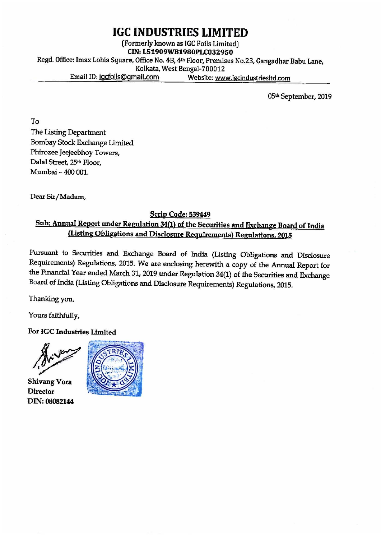# IGC INDUSTRIES LIMITED

(Formerly known as IGC Foils Limited) CIN: L51909WBI980PLC032950 Regd. Office: Imax Lohia Square, Office No. 4B, 4<sup>th</sup> Floor, Premises No.23, Gangadhar Babu Lane, Kolkata, West Bengal-700012<br>Email ID: igcfoils@gmail.com Website: ww Website: www.igcindustriesltd.com

05th September, 2019

To The Listing Department Bombay Stock Exchange Limited Phirozee Jeejeebhoy Towers, Dalal Street, 25th Floor, Mumbai — 400 001.

Dear Sir/Madam,

Scrip Code: 539449

# Sub: Annual Report under Regulation 34(1) of the Securities and Exchange Board of India (Listing Obligations and Disclosure Requirements) Regulations, 2015

Pursuant to Securities and Exchange Board of India (Listing Obligations and Disclosure Requirements) Regulations, 2015. We are enclosing herewith <sup>a</sup> copy of the Annual Report for the Financial Year ended March 31, <sup>2019</sup> under Regulation 34(1) of the Securities and Exchange Board of India (Listing Obligations and Disclosure Requirements) Regulations, 2015.

Thanking you.

Yours faithfully,

For IGC Industries Limited

 $\frac{1}{2}$ 

Shivang Vora **Director** DIN: 08082144

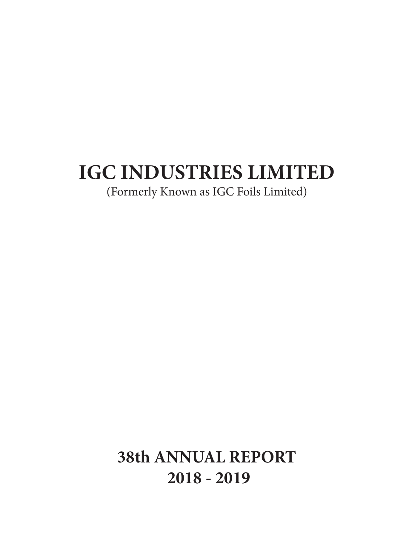# **IGC INDUSTRIES LIMITED**

(Formerly Known as IGC Foils Limited)

**38th ANNUAL REPORT 2018 - 2019**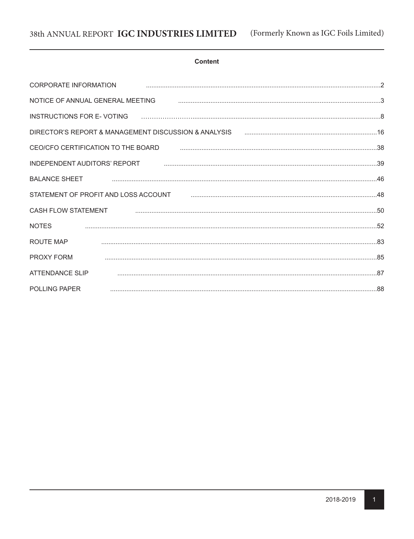## **Content**

| <b>CORPORATE INFORMATION</b>                                                              |  |
|-------------------------------------------------------------------------------------------|--|
| NOTICE OF ANNUAL GENERAL MEETING                                                          |  |
|                                                                                           |  |
| DIRECTOR'S REPORT & MANAGEMENT DISCUSSION & ANALYSIS Facecommunically according to the 16 |  |
| CEO/CFO CERTIFICATION TO THE BOARD                                                        |  |
| INDEPENDENT AUDITORS' REPORT                                                              |  |
| <b>BALANCE SHEET</b>                                                                      |  |
| STATEMENT OF PROFIT AND LOSS ACCOUNT FRAMELLED AND THE CONTROL OF PROFIT AND LOSS ACCOUNT |  |
| <b>CASH FLOW STATEMENT</b>                                                                |  |
| <b>NOTES</b>                                                                              |  |
| <b>ROUTE MAP</b>                                                                          |  |
| <b>PROXY FORM</b>                                                                         |  |
| <b>ATTENDANCE SLIP</b>                                                                    |  |
| <b>POLLING PAPER</b>                                                                      |  |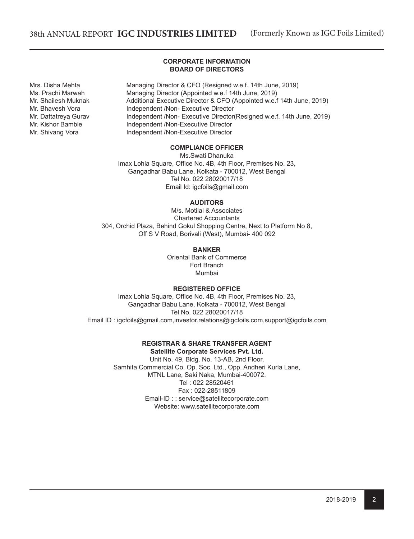**CORPORATE INFORMATION BOARD OF DIRECTORS**

Mrs. Disha Mehta Managing Director & CFO (Resigned w.e.f. 14th June, 2019)<br>Ms. Prachi Marwah Managing Director (Appointed w.e.f. 14th June, 2019) Managing Director (Appointed w.e.f 14th June, 2019) Mr. Shailesh Muknak Additional Executive Director & CFO (Appointed w.e.f 14th June, 2019) Mr. Bhavesh Vora **Independent /Non- Executive Director**<br>Mr. Dattatreva Gurav **Independent /Non- Executive Director** Mr. Dattatreya Gurav Independent /Non- Executive Director(Resigned w.e.f. 14th June, 2019)<br>Mr. Kishor Bamble Independent /Non-Executive Director Mr. Kishor Bamble Independent /Non-Executive Director<br>
Mr. Shivang Vora Independent /Non-Executive Director Independent /Non-Executive Director

#### **COMPLIANCE OFFICER**

Ms.Swati Dhanuka Imax Lohia Square, Office No. 4B, 4th Floor, Premises No. 23, Gangadhar Babu Lane, Kolkata - 700012, West Bengal Tel No. 022 28020017/18 Email Id: igcfoils@gmail.com

### **AUDITORS**

M/s. Motilal & Associates Chartered Accountants 304, Orchid Plaza, Behind Gokul Shopping Centre, Next to Platform No 8, Off S V Road, Borivali (West), Mumbai- 400 092

#### **BANKER**

Oriental Bank of Commerce Fort Branch Mumbai

#### **REGISTERED OFFICE**

Imax Lohia Square, Office No. 4B, 4th Floor, Premises No. 23, Gangadhar Babu Lane, Kolkata - 700012, West Bengal Tel No. 022 28020017/18 Email ID : igcfoils@gmail.com,investor.relations@igcfoils.com,support@igcfoils.com

#### **REGISTRAR & SHARE TRANSFER AGENT Satellite Corporate Services Pvt. Ltd.**

Unit No. 49, Bldg. No. 13-AB, 2nd Floor, Samhita Commercial Co. Op. Soc. Ltd., Opp. Andheri Kurla Lane, MTNL Lane, Saki Naka, Mumbai-400072. Tel : 022 28520461 Fax : 022-28511809 Email-ID : : service@satellitecorporate.com Website: www.satellitecorporate.com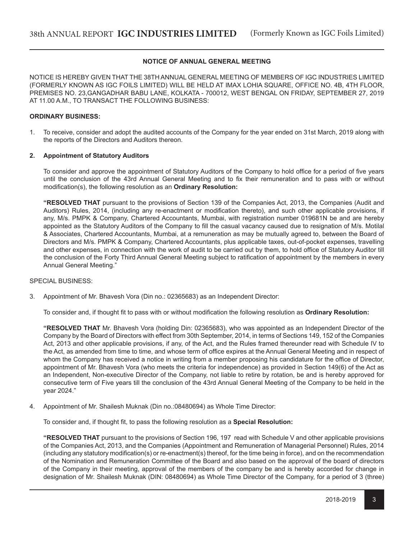#### **NOTICE OF ANNUAL GENERAL MEETING**

NOTICE IS HEREBY GIVEN THAT THE 38TH ANNUAL GENERAL MEETING OF MEMBERS OF IGC INDUSTRIES LIMITED (FORMERLY KNOWN AS IGC FOILS LIMITED) WILL BE HELD AT IMAX LOHIA SQUARE, OFFICE NO. 4B, 4TH FLOOR, PREMISES NO. 23,GANGADHAR BABU LANE, KOLKATA - 700012, WEST BENGAL ON FRIDAY, SEPTEMBER 27, 2019 AT 11.00 A.M., TO TRANSACT THE FOLLOWING BUSINESS:

#### **ORDINARY BUSINESS:**

1. To receive, consider and adopt the audited accounts of the Company for the year ended on 31st March, 2019 along with the reports of the Directors and Auditors thereon.

#### **2. Appointment of Statutory Auditors**

To consider and approve the appointment of Statutory Auditors of the Company to hold office for a period of five years until the conclusion of the 43rd Annual General Meeting and to fix their remuneration and to pass with or without modification(s), the following resolution as an **Ordinary Resolution:**

**"RESOLVED THAT** pursuant to the provisions of Section 139 of the Companies Act, 2013, the Companies (Audit and Auditors) Rules, 2014, (including any re-enactment or modification thereto), and such other applicable provisions, if any, M/s. PMPK & Company, Chartered Accountants, Mumbai, with registration number 019681N be and are hereby appointed as the Statutory Auditors of the Company to fill the casual vacancy caused due to resignation of M/s. Motilal & Associates, Chartered Accountants, Mumbai, at a remuneration as may be mutually agreed to, between the Board of Directors and M/s. PMPK & Company, Chartered Accountants, plus applicable taxes, out-of-pocket expenses, travelling and other expenses, in connection with the work of audit to be carried out by them, to hold office of Statutory Auditor till the conclusion of the Forty Third Annual General Meeting subject to ratification of appointment by the members in every Annual General Meeting."

#### SPECIAL BUSINESS:

3. Appointment of Mr. Bhavesh Vora (Din no.: 02365683) as an Independent Director:

To consider and, if thought fit to pass with or without modification the following resolution as **Ordinary Resolution:** 

**"RESOLVED THAT** Mr. Bhavesh Vora (holding Din: 02365683), who was appointed as an Independent Director of the Company by the Board of Directors with effect from 30th September, 2014, in terms of Sections 149, 152 of the Companies Act, 2013 and other applicable provisions, if any, of the Act, and the Rules framed thereunder read with Schedule IV to the Act, as amended from time to time, and whose term of office expires at the Annual General Meeting and in respect of whom the Company has received a notice in writing from a member proposing his candidature for the office of Director, appointment of Mr. Bhavesh Vora (who meets the criteria for independence) as provided in Section 149(6) of the Act as an Independent, Non-executive Director of the Company, not liable to retire by rotation, be and is hereby approved for consecutive term of Five years till the conclusion of the 43rd Annual General Meeting of the Company to be held in the year 2024."

4. Appointment of Mr. Shailesh Muknak (Din no.:08480694) as Whole Time Director:

To consider and, if thought fit, to pass the following resolution as a **Special Resolution:**

**"RESOLVED THAT** pursuant to the provisions of Section 196, 197 read with Schedule V and other applicable provisions of the Companies Act, 2013, and the Companies (Appointment and Remuneration of Managerial Personnel) Rules, 2014 (including any statutory modification(s) or re-enactment(s) thereof, for the time being in force), and on the recommendation of the Nomination and Remuneration Committee of the Board and also based on the approval of the board of directors of the Company in their meeting, approval of the members of the company be and is hereby accorded for change in designation of Mr. Shailesh Muknak (DIN: 08480694) as Whole Time Director of the Company, for a period of 3 (three)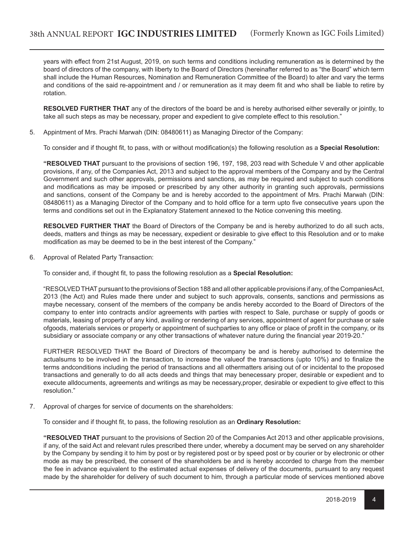years with effect from 21st August, 2019, on such terms and conditions including remuneration as is determined by the board of directors of the company, with liberty to the Board of Directors (hereinafter referred to as "the Board" which term shall include the Human Resources, Nomination and Remuneration Committee of the Board) to alter and vary the terms and conditions of the said re-appointment and / or remuneration as it may deem fit and who shall be liable to retire by rotation.

**RESOLVED FURTHER THAT** any of the directors of the board be and is hereby authorised either severally or jointly, to take all such steps as may be necessary, proper and expedient to give complete effect to this resolution."

5. Appintment of Mrs. Prachi Marwah (DIN: 08480611) as Managing Director of the Company:

To consider and if thought fit, to pass, with or without modification(s) the following resolution as a **Special Resolution:**

**"RESOLVED THAT** pursuant to the provisions of section 196, 197, 198, 203 read with Schedule V and other applicable provisions, if any, of the Companies Act, 2013 and subject to the approval members of the Company and by the Central Government and such other approvals, permissions and sanctions, as may be required and subject to such conditions and modifications as may be imposed or prescribed by any other authority in granting such approvals, permissions and sanctions, consent of the Company be and is hereby accorded to the appointment of Mrs. Prachi Marwah (DIN: 08480611) as a Managing Director of the Company and to hold office for a term upto five consecutive years upon the terms and conditions set out in the Explanatory Statement annexed to the Notice convening this meeting.

**RESOLVED FURTHER THAT** the Board of Directors of the Company be and is hereby authorized to do all such acts, deeds, matters and things as may be necessary, expedient or desirable to give effect to this Resolution and or to make modification as may be deemed to be in the best interest of the Company."

6. Approval of Related Party Transaction:

To consider and, if thought fit, to pass the following resolution as a **Special Resolution:**

"RESOLVED THAT pursuant to the provisions of Section 188 and all other applicable provisions if any, of the CompaniesAct, 2013 (the Act) and Rules made there under and subject to such approvals, consents, sanctions and permissions as maybe necessary, consent of the members of the company be andis hereby accorded to the Board of Directors of the company to enter into contracts and/or agreements with parties with respect to Sale, purchase or supply of goods or materials, leasing of property of any kind, availing or rendering of any services, appointment of agent for purchase or sale ofgoods, materials services or property or appointment of suchparties to any office or place of profit in the company, or its subsidiary or associate company or any other transactions of whatever nature during the financial year 2019-20."

FURTHER RESOLVED THAT the Board of Directors of thecompany be and is hereby authorised to determine the actualsums to be involved in the transaction, to increase the valueof the transactions (upto 10%) and to finalize the terms andconditions including the period of transactions and all othermatters arising out of or incidental to the proposed transactions and generally to do all acts deeds and things that may benecessary proper, desirable or expedient and to execute alldocuments, agreements and writings as may be necessary,proper, desirable or expedient to give effect to this resolution."

7. Approval of charges for service of documents on the shareholders:

To consider and if thought fit, to pass, the following resolution as an **Ordinary Resolution:** 

**"RESOLVED THAT** pursuant to the provisions of Section 20 of the Companies Act 2013 and other applicable provisions, if any, of the said Act and relevant rules prescribed there under, whereby a document may be served on any shareholder by the Company by sending it to him by post or by registered post or by speed post or by courier or by electronic or other mode as may be prescribed, the consent of the shareholders be and is hereby accorded to charge from the member the fee in advance equivalent to the estimated actual expenses of delivery of the documents, pursuant to any request made by the shareholder for delivery of such document to him, through a particular mode of services mentioned above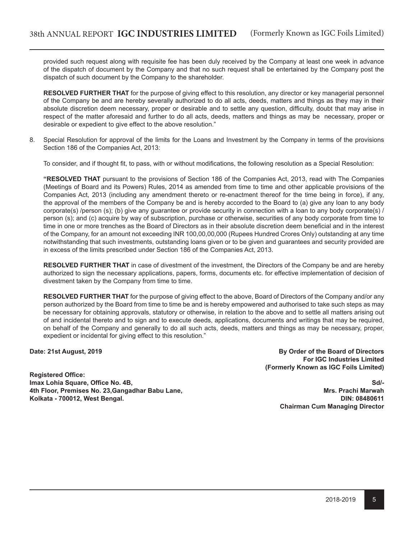provided such request along with requisite fee has been duly received by the Company at least one week in advance of the dispatch of document by the Company and that no such request shall be entertained by the Company post the dispatch of such document by the Company to the shareholder.

**RESOLVED FURTHER THAT** for the purpose of giving effect to this resolution, any director or key managerial personnel of the Company be and are hereby severally authorized to do all acts, deeds, matters and things as they may in their absolute discretion deem necessary, proper or desirable and to settle any question, difficulty, doubt that may arise in respect of the matter aforesaid and further to do all acts, deeds, matters and things as may be necessary, proper or desirable or expedient to give effect to the above resolution."

8. Special Resolution for approval of the limits for the Loans and Investment by the Company in terms of the provisions Section 186 of the Companies Act, 2013:

To consider, and if thought fit, to pass, with or without modifications, the following resolution as a Special Resolution:

**"RESOLVED THAT** pursuant to the provisions of Section 186 of the Companies Act, 2013, read with The Companies (Meetings of Board and its Powers) Rules, 2014 as amended from time to time and other applicable provisions of the Companies Act, 2013 (including any amendment thereto or re-enactment thereof for the time being in force), if any, the approval of the members of the Company be and is hereby accorded to the Board to (a) give any loan to any body corporate(s) /person (s); (b) give any guarantee or provide security in connection with a loan to any body corporate(s) / person (s); and (c) acquire by way of subscription, purchase or otherwise, securities of any body corporate from time to time in one or more trenches as the Board of Directors as in their absolute discretion deem beneficial and in the interest of the Company, for an amount not exceeding INR 100,00,00,000 (Rupees Hundred Crores Only) outstanding at any time notwithstanding that such investments, outstanding loans given or to be given and guarantees and security provided are in excess of the limits prescribed under Section 186 of the Companies Act, 2013.

**RESOLVED FURTHER THAT** in case of divestment of the investment, the Directors of the Company be and are hereby authorized to sign the necessary applications, papers, forms, documents etc. for effective implementation of decision of divestment taken by the Company from time to time.

**RESOLVED FURTHER THAT** for the purpose of giving effect to the above, Board of Directors of the Company and/or any person authorized by the Board from time to time be and is hereby empowered and authorised to take such steps as may be necessary for obtaining approvals, statutory or otherwise, in relation to the above and to settle all matters arising out of and incidental thereto and to sign and to execute deeds, applications, documents and writings that may be required, on behalf of the Company and generally to do all such acts, deeds, matters and things as may be necessary, proper, expedient or incidental for giving effect to this resolution."

**Date: 21st August, 2019 By Order of the Board of Directors For IGC Industries Limited (Formerly Known as IGC Foils Limited)**

**Registered Office: Imax Lohia Square, Office No. 4B, Solution Science 1, 2008, Science 1, 2008, Science 1, 2008, Science 1, 2008, Science 1, 2008, Science 1, 2008, Science 1, 2009, Science 1, 2009, Science 1, 2009, Science 1, 2009, Science 4th Floor, Premises No. 23,Gangadhar Babu Lane, Mrs. Prachi Marwah** Kolkata - 700012, West Bengal.

 **Chairman Cum Managing Director**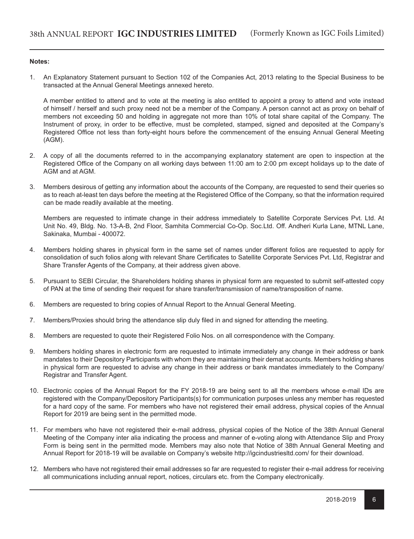#### **Notes:**

1. An Explanatory Statement pursuant to Section 102 of the Companies Act, 2013 relating to the Special Business to be transacted at the Annual General Meetings annexed hereto.

A member entitled to attend and to vote at the meeting is also entitled to appoint a proxy to attend and vote instead of himself / herself and such proxy need not be a member of the Company. A person cannot act as proxy on behalf of members not exceeding 50 and holding in aggregate not more than 10% of total share capital of the Company. The Instrument of proxy, in order to be effective, must be completed, stamped, signed and deposited at the Company's Registered Office not less than forty-eight hours before the commencement of the ensuing Annual General Meeting (AGM).

- 2. A copy of all the documents referred to in the accompanying explanatory statement are open to inspection at the Registered Office of the Company on all working days between 11:00 am to 2:00 pm except holidays up to the date of AGM and at AGM.
- 3. Members desirous of getting any information about the accounts of the Company, are requested to send their queries so as to reach at-least ten days before the meeting at the Registered Office of the Company, so that the information required can be made readily available at the meeting.

Members are requested to intimate change in their address immediately to Satellite Corporate Services Pvt. Ltd. At Unit No. 49, Bldg. No. 13-A-B, 2nd Floor, Samhita Commercial Co-Op. Soc.Ltd. Off. Andheri Kurla Lane, MTNL Lane, Sakinaka, Mumbai - 400072.

- 4. Members holding shares in physical form in the same set of names under different folios are requested to apply for consolidation of such folios along with relevant Share Certificates to Satellite Corporate Services Pvt. Ltd, Registrar and Share Transfer Agents of the Company, at their address given above.
- 5. Pursuant to SEBI Circular, the Shareholders holding shares in physical form are requested to submit self-attested copy of PAN at the time of sending their request for share transfer/transmission of name/transposition of name.
- 6. Members are requested to bring copies of Annual Report to the Annual General Meeting.
- 7. Members/Proxies should bring the attendance slip duly filed in and signed for attending the meeting.
- 8. Members are requested to quote their Registered Folio Nos. on all correspondence with the Company.
- 9. Members holding shares in electronic form are requested to intimate immediately any change in their address or bank mandates to their Depository Participants with whom they are maintaining their demat accounts. Members holding shares in physical form are requested to advise any change in their address or bank mandates immediately to the Company/ Registrar and Transfer Agent.
- 10. Electronic copies of the Annual Report for the FY 2018-19 are being sent to all the members whose e-mail IDs are registered with the Company/Depository Participants(s) for communication purposes unless any member has requested for a hard copy of the same. For members who have not registered their email address, physical copies of the Annual Report for 2019 are being sent in the permitted mode.
- 11. For members who have not registered their e-mail address, physical copies of the Notice of the 38th Annual General Meeting of the Company inter alia indicating the process and manner of e-voting along with Attendance Slip and Proxy Form is being sent in the permitted mode. Members may also note that Notice of 38th Annual General Meeting and Annual Report for 2018-19 will be available on Company's website http://igcindustriesltd.com/ for their download.
- 12. Members who have not registered their email addresses so far are requested to register their e-mail address for receiving all communications including annual report, notices, circulars etc. from the Company electronically.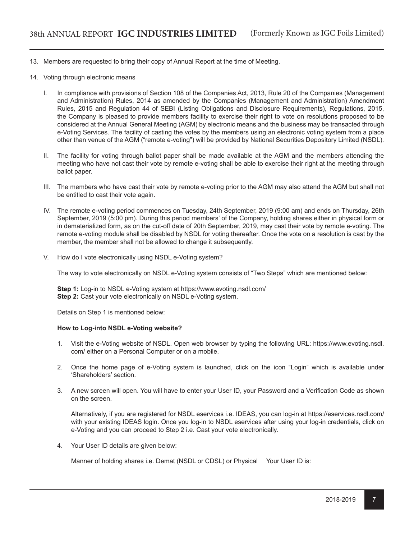- 13. Members are requested to bring their copy of Annual Report at the time of Meeting.
- 14. Voting through electronic means
	- I. In compliance with provisions of Section 108 of the Companies Act, 2013, Rule 20 of the Companies (Management and Administration) Rules, 2014 as amended by the Companies (Management and Administration) Amendment Rules, 2015 and Regulation 44 of SEBI (Listing Obligations and Disclosure Requirements), Regulations, 2015, the Company is pleased to provide members facility to exercise their right to vote on resolutions proposed to be considered at the Annual General Meeting (AGM) by electronic means and the business may be transacted through e-Voting Services. The facility of casting the votes by the members using an electronic voting system from a place other than venue of the AGM ("remote e-voting") will be provided by National Securities Depository Limited (NSDL).
	- II. The facility for voting through ballot paper shall be made available at the AGM and the members attending the meeting who have not cast their vote by remote e-voting shall be able to exercise their right at the meeting through ballot paper.
	- III. The members who have cast their vote by remote e-voting prior to the AGM may also attend the AGM but shall not be entitled to cast their vote again.
	- IV. The remote e-voting period commences on Tuesday, 24th September, 2019 (9:00 am) and ends on Thursday, 26th September, 2019 (5:00 pm). During this period members' of the Company, holding shares either in physical form or in dematerialized form, as on the cut-off date of 20th September, 2019, may cast their vote by remote e-voting. The remote e-voting module shall be disabled by NSDL for voting thereafter. Once the vote on a resolution is cast by the member, the member shall not be allowed to change it subsequently.
	- V. How do I vote electronically using NSDL e-Voting system?

The way to vote electronically on NSDL e-Voting system consists of "Two Steps" which are mentioned below:

**Step 1:** Log-in to NSDL e-Voting system at https://www.evoting.nsdl.com/ **Step 2:** Cast your vote electronically on NSDL e-Voting system.

Details on Step 1 is mentioned below:

#### **How to Log-into NSDL e-Voting website?**

- 1. Visit the e-Voting website of NSDL. Open web browser by typing the following URL: https://www.evoting.nsdl. com/ either on a Personal Computer or on a mobile.
- 2. Once the home page of e-Voting system is launched, click on the icon "Login" which is available under 'Shareholders' section.
- 3. A new screen will open. You will have to enter your User ID, your Password and a Verification Code as shown on the screen.

Alternatively, if you are registered for NSDL eservices i.e. IDEAS, you can log-in at https://eservices.nsdl.com/ with your existing IDEAS login. Once you log-in to NSDL eservices after using your log-in credentials, click on e-Voting and you can proceed to Step 2 i.e. Cast your vote electronically.

4. Your User ID details are given below:

Manner of holding shares i.e. Demat (NSDL or CDSL) or Physical Your User ID is: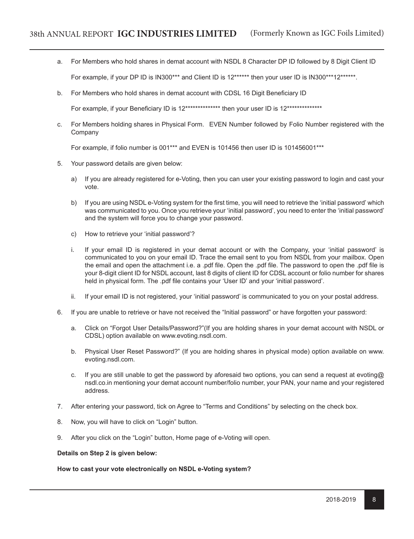- a. For Members who hold shares in demat account with NSDL 8 Character DP ID followed by 8 Digit Client ID For example, if your DP ID is IN300\*\*\* and Client ID is 12\*\*\*\*\*\* then your user ID is IN300\*\*\*12\*\*\*\*\*\*.
- b. For Members who hold shares in demat account with CDSL 16 Digit Beneficiary ID

For example, if your Beneficiary ID is 12\*\*\*\*\*\*\*\*\*\*\*\*\*\*\* then your user ID is 12\*\*\*\*\*\*\*\*\*\*\*\*\*\*\*

c. For Members holding shares in Physical Form. EVEN Number followed by Folio Number registered with the Company

For example, if folio number is 001\*\*\* and EVEN is 101456 then user ID is 101456001\*\*\*

- 5. Your password details are given below:
	- a) If you are already registered for e-Voting, then you can user your existing password to login and cast your vote.
	- b) If you are using NSDL e-Voting system for the first time, you will need to retrieve the 'initial password' which was communicated to you. Once you retrieve your 'initial password', you need to enter the 'initial password' and the system will force you to change your password.
	- c) How to retrieve your 'initial password'?
	- i. If your email ID is registered in your demat account or with the Company, your 'initial password' is communicated to you on your email ID. Trace the email sent to you from NSDL from your mailbox. Open the email and open the attachment i.e. a .pdf file. Open the .pdf file. The password to open the .pdf file is your 8-digit client ID for NSDL account, last 8 digits of client ID for CDSL account or folio number for shares held in physical form. The .pdf file contains your 'User ID' and your 'initial password'.
	- ii. If your email ID is not registered, your 'initial password' is communicated to you on your postal address.
- 6. If you are unable to retrieve or have not received the "Initial password" or have forgotten your password:
	- a. Click on "Forgot User Details/Password?"(If you are holding shares in your demat account with NSDL or CDSL) option available on www.evoting.nsdl.com.
	- b. Physical User Reset Password?" (If you are holding shares in physical mode) option available on www. evoting.nsdl.com.
	- c. If you are still unable to get the password by aforesaid two options, you can send a request at evoting@ nsdl.co.in mentioning your demat account number/folio number, your PAN, your name and your registered address.
- 7. After entering your password, tick on Agree to "Terms and Conditions" by selecting on the check box.
- 8. Now, you will have to click on "Login" button.
- 9. After you click on the "Login" button, Home page of e-Voting will open.

#### **Details on Step 2 is given below:**

**How to cast your vote electronically on NSDL e-Voting system?**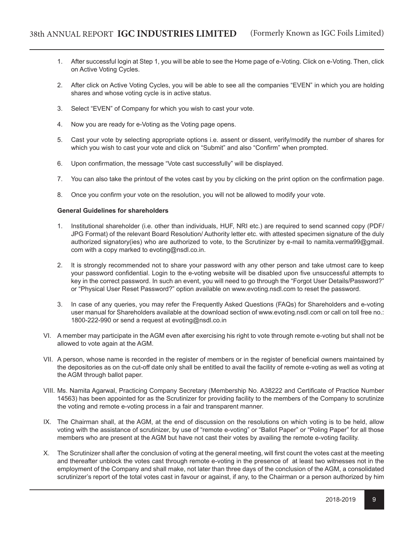- 1. After successful login at Step 1, you will be able to see the Home page of e-Voting. Click on e-Voting. Then, click on Active Voting Cycles.
- 2. After click on Active Voting Cycles, you will be able to see all the companies "EVEN" in which you are holding shares and whose voting cycle is in active status.
- 3. Select "EVEN" of Company for which you wish to cast your vote.
- 4. Now you are ready for e-Voting as the Voting page opens.
- 5. Cast your vote by selecting appropriate options i.e. assent or dissent, verify/modify the number of shares for which you wish to cast your vote and click on "Submit" and also "Confirm" when prompted.
- 6. Upon confirmation, the message "Vote cast successfully" will be displayed.
- 7. You can also take the printout of the votes cast by you by clicking on the print option on the confirmation page.
- 8. Once you confirm your vote on the resolution, you will not be allowed to modify your vote.

#### **General Guidelines for shareholders**

- 1. Institutional shareholder (i.e. other than individuals, HUF, NRI etc.) are required to send scanned copy (PDF/ JPG Format) of the relevant Board Resolution/ Authority letter etc. with attested specimen signature of the duly authorized signatory(ies) who are authorized to vote, to the Scrutinizer by e-mail to namita.verma99@gmail. com with a copy marked to evoting@nsdl.co.in.
- 2. It is strongly recommended not to share your password with any other person and take utmost care to keep your password confidential. Login to the e-voting website will be disabled upon five unsuccessful attempts to key in the correct password. In such an event, you will need to go through the "Forgot User Details/Password?" or "Physical User Reset Password?" option available on www.evoting.nsdl.com to reset the password.
- 3. In case of any queries, you may refer the Frequently Asked Questions (FAQs) for Shareholders and e-voting user manual for Shareholders available at the download section of www.evoting.nsdl.com or call on toll free no.: 1800-222-990 or send a request at evoting@nsdl.co.in
- VI. A member may participate in the AGM even after exercising his right to vote through remote e-voting but shall not be allowed to vote again at the AGM.
- VII. A person, whose name is recorded in the register of members or in the register of beneficial owners maintained by the depositories as on the cut-off date only shall be entitled to avail the facility of remote e-voting as well as voting at the AGM through ballot paper.
- VIII. Ms. Namita Agarwal, Practicing Company Secretary (Membership No. A38222 and Certificate of Practice Number 14563) has been appointed for as the Scrutinizer for providing facility to the members of the Company to scrutinize the voting and remote e-voting process in a fair and transparent manner.
- IX. The Chairman shall, at the AGM, at the end of discussion on the resolutions on which voting is to be held, allow voting with the assistance of scrutinizer, by use of "remote e-voting" or "Ballot Paper" or "Poling Paper" for all those members who are present at the AGM but have not cast their votes by availing the remote e-voting facility.
- X. The Scrutinizer shall after the conclusion of voting at the general meeting, will first count the votes cast at the meeting and thereafter unblock the votes cast through remote e-voting in the presence of at least two witnesses not in the employment of the Company and shall make, not later than three days of the conclusion of the AGM, a consolidated scrutinizer's report of the total votes cast in favour or against, if any, to the Chairman or a person authorized by him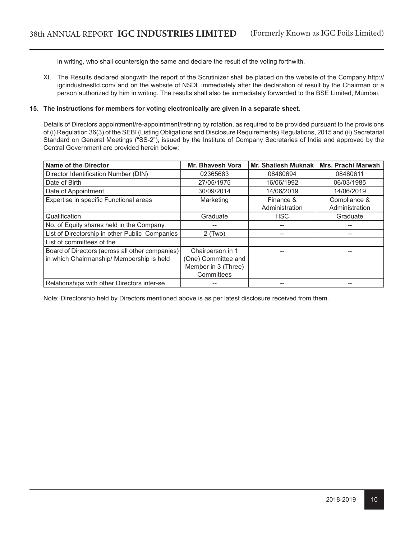in writing, who shall countersign the same and declare the result of the voting forthwith.

XI. The Results declared alongwith the report of the Scrutinizer shall be placed on the website of the Company http:// igcindustriesltd.com/ and on the website of NSDL immediately after the declaration of result by the Chairman or a person authorized by him in writing. The results shall also be immediately forwarded to the BSE Limited, Mumbai.

#### **15. The instructions for members for voting electronically are given in a separate sheet.**

Details of Directors appointment/re-appointment/retiring by rotation, as required to be provided pursuant to the provisions of (i) Regulation 36(3) of the SEBI (Listing Obligations and Disclosure Requirements) Regulations, 2015 and (ii) Secretarial Standard on General Meetings ("SS-2"), issued by the Institute of Company Secretaries of India and approved by the Central Government are provided herein below:

| <b>Name of the Director</b>                     | Mr. Bhavesh Vora    | Mr. Shailesh Muknak | <b>Mrs. Prachi Marwah</b> |
|-------------------------------------------------|---------------------|---------------------|---------------------------|
| Director Identification Number (DIN)            | 02365683            | 08480694            | 08480611                  |
| Date of Birth                                   | 27/05/1975          | 16/06/1992          | 06/03/1985                |
| Date of Appointment                             | 30/09/2014          | 14/06/2019          | 14/06/2019                |
| Expertise in specific Functional areas          | Marketing           | Finance &           | Compliance &              |
|                                                 |                     | Administration      | Administration            |
| Qualification                                   | Graduate            | <b>HSC</b>          | Graduate                  |
| No. of Equity shares held in the Company        |                     | --                  |                           |
| List of Directorship in other Public Companies  | $2$ (Two)           |                     |                           |
| List of committees of the                       |                     |                     |                           |
| Board of Directors (across all other companies) | Chairperson in 1    |                     |                           |
| in which Chairmanship/ Membership is held       | (One) Committee and |                     |                           |
|                                                 | Member in 3 (Three) |                     |                           |
|                                                 | Committees          |                     |                           |
| Relationships with other Directors inter-se     |                     |                     |                           |

Note: Directorship held by Directors mentioned above is as per latest disclosure received from them.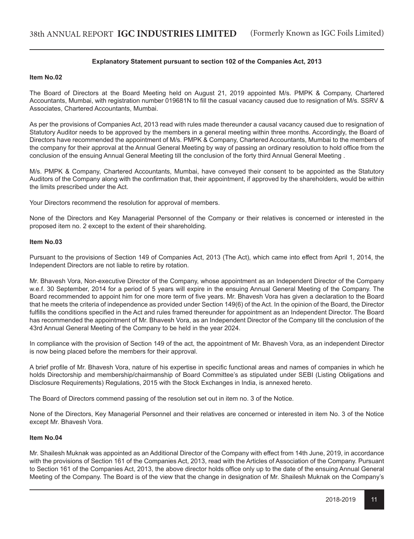#### **Explanatory Statement pursuant to section 102 of the Companies Act, 2013**

#### **Item No.02**

The Board of Directors at the Board Meeting held on August 21, 2019 appointed M/s. PMPK & Company, Chartered Accountants, Mumbai, with registration number 019681N to fill the casual vacancy caused due to resignation of M/s. SSRV & Associates, Chartered Accountants, Mumbai.

As per the provisions of Companies Act, 2013 read with rules made thereunder a causal vacancy caused due to resignation of Statutory Auditor needs to be approved by the members in a general meeting within three months. Accordingly, the Board of Directors have recommended the appointment of M/s. PMPK & Company, Chartered Accountants, Mumbai to the members of the company for their approval at the Annual General Meeting by way of passing an ordinary resolution to hold office from the conclusion of the ensuing Annual General Meeting till the conclusion of the forty third Annual General Meeting .

M/s. PMPK & Company, Chartered Accountants, Mumbai, have conveyed their consent to be appointed as the Statutory Auditors of the Company along with the confirmation that, their appointment, if approved by the shareholders, would be within the limits prescribed under the Act.

Your Directors recommend the resolution for approval of members.

None of the Directors and Key Managerial Personnel of the Company or their relatives is concerned or interested in the proposed item no. 2 except to the extent of their shareholding.

#### **Item No.03**

Pursuant to the provisions of Section 149 of Companies Act, 2013 (The Act), which came into effect from April 1, 2014, the Independent Directors are not liable to retire by rotation.

Mr. Bhavesh Vora, Non-executive Director of the Company, whose appointment as an Independent Director of the Company w.e.f. 30 September, 2014 for a period of 5 years will expire in the ensuing Annual General Meeting of the Company. The Board recommended to appoint him for one more term of five years. Mr. Bhavesh Vora has given a declaration to the Board that he meets the criteria of independence as provided under Section 149(6) of the Act. In the opinion of the Board, the Director fulfills the conditions specified in the Act and rules framed thereunder for appointment as an Independent Director. The Board has recommended the appointment of Mr. Bhavesh Vora, as an Independent Director of the Company till the conclusion of the 43rd Annual General Meeting of the Company to be held in the year 2024.

In compliance with the provision of Section 149 of the act, the appointment of Mr. Bhavesh Vora, as an independent Director is now being placed before the members for their approval.

A brief profile of Mr. Bhavesh Vora, nature of his expertise in specific functional areas and names of companies in which he holds Directorship and membership/chairmanship of Board Committee's as stipulated under SEBI (Listing Obligations and Disclosure Requirements) Regulations, 2015 with the Stock Exchanges in India, is annexed hereto.

The Board of Directors commend passing of the resolution set out in item no. 3 of the Notice.

None of the Directors, Key Managerial Personnel and their relatives are concerned or interested in item No. 3 of the Notice except Mr. Bhavesh Vora.

#### **Item No.04**

Mr. Shailesh Muknak was appointed as an Additional Director of the Company with effect from 14th June, 2019, in accordance with the provisions of Section 161 of the Companies Act, 2013, read with the Articles of Association of the Company. Pursuant to Section 161 of the Companies Act, 2013, the above director holds office only up to the date of the ensuing Annual General Meeting of the Company. The Board is of the view that the change in designation of Mr. Shailesh Muknak on the Company's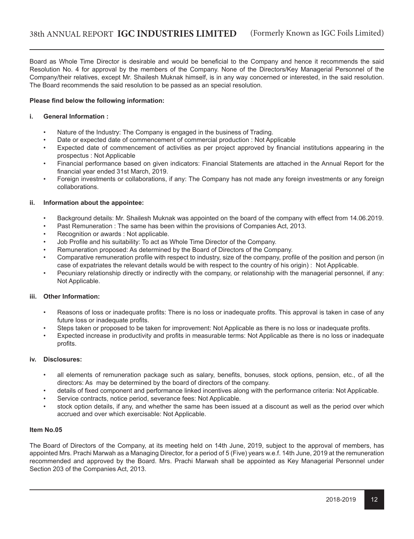Board as Whole Time Director is desirable and would be beneficial to the Company and hence it recommends the said Resolution No. 4 for approval by the members of the Company. None of the Directors/Key Managerial Personnel of the Company/their relatives, except Mr. Shailesh Muknak himself, is in any way concerned or interested, in the said resolution. The Board recommends the said resolution to be passed as an special resolution.

#### **Please find below the following information:**

#### **i. General Information :**

- Nature of the Industry: The Company is engaged in the business of Trading.
- Date or expected date of commencement of commercial production : Not Applicable
- Expected date of commencement of activities as per project approved by financial institutions appearing in the prospectus : Not Applicable
- Financial performance based on given indicators: Financial Statements are attached in the Annual Report for the financial year ended 31st March, 2019.
- Foreign investments or collaborations, if any: The Company has not made any foreign investments or any foreign collaborations.

#### **ii. Information about the appointee:**

- Background details: Mr. Shailesh Muknak was appointed on the board of the company with effect from 14.06.2019.
- Past Remuneration : The same has been within the provisions of Companies Act, 2013.
- Recognition or awards : Not applicable.
- Job Profile and his suitability: To act as Whole Time Director of the Company.
- Remuneration proposed: As determined by the Board of Directors of the Company.
- Comparative remuneration profile with respect to industry, size of the company, profile of the position and person (in case of expatriates the relevant details would be with respect to the country of his origin) : Not Applicable.
- Pecuniary relationship directly or indirectly with the company, or relationship with the managerial personnel, if any: Not Applicable.

#### **iii. Other Information:**

- Reasons of loss or inadequate profits: There is no loss or inadequate profits. This approval is taken in case of any future loss or inadequate profits.
- Steps taken or proposed to be taken for improvement: Not Applicable as there is no loss or inadequate profits.
- Expected increase in productivity and profits in measurable terms: Not Applicable as there is no loss or inadequate profits.

#### **iv. Disclosures:**

- all elements of remuneration package such as salary, benefits, bonuses, stock options, pension, etc., of all the directors: As may be determined by the board of directors of the company.
- details of fixed component and performance linked incentives along with the performance criteria: Not Applicable.
- Service contracts, notice period, severance fees: Not Applicable.
- stock option details, if any, and whether the same has been issued at a discount as well as the period over which accrued and over which exercisable: Not Applicable.

#### **Item No.05**

The Board of Directors of the Company, at its meeting held on 14th June, 2019, subject to the approval of members, has appointed Mrs. Prachi Marwah as a Managing Director, for a period of 5 (Five) years w.e.f. 14th June, 2019 at the remuneration recommended and approved by the Board. Mrs. Prachi Marwah shall be appointed as Key Managerial Personnel under Section 203 of the Companies Act, 2013.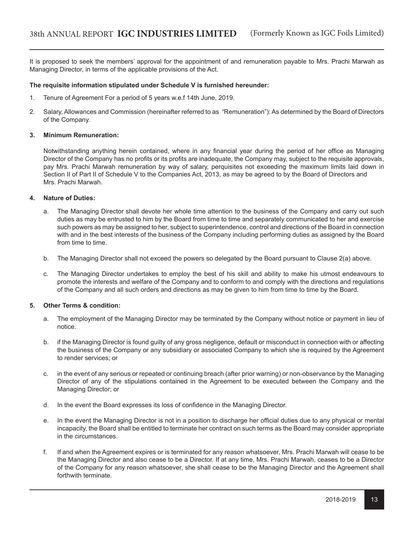It is proposed to seek the members' approval for the appointment of and remuneration payable to Mrs. Prachi Marwah as Managing Director, in terms of the applicable provisions of the Act.

#### **The requisite information stipulated under Schedule V is furnished hereunder:**

- 1. Tenure of Agreement For a period of 5 years w.e.f 14th June, 2019.
- 2. Salary, Allowances and Commission (hereinafter referred to as "Remuneration"): As determined by the Board of Directors of the Company.

#### **3. Minimum Remuneration:**

Notwithstanding anything herein contained, where in any financial year during the period of her office as Managing Director of the Company has no profits or its profits are inadequate, the Company may, subject to the requisite approvals, pay Mrs. Prachi Marwah remuneration by way of salary, perquisites not exceeding the maximum limits laid down in Section II of Part II of Schedule V to the Companies Act, 2013, as may be agreed to by the Board of Directors and Mrs. Prachi Marwah.

#### **4. Nature of Duties:**

- a. The Managing Director shall devote her whole time attention to the business of the Company and carry out such duties as may be entrusted to him by the Board from time to time and separately communicated to her and exercise such powers as may be assigned to her, subject to superintendence, control and directions of the Board in connection with and in the best interests of the business of the Company including performing duties as assigned by the Board from time to time.
- b. The Managing Director shall not exceed the powers so delegated by the Board pursuant to Clause 2(a) above.
- c. The Managing Director undertakes to employ the best of his skill and ability to make his utmost endeavours to promote the interests and welfare of the Company and to conform to and comply with the directions and regulations of the Company and all such orders and directions as may be given to him from time to time by the Board.

#### **5. Other Terms & condition:**

- a. The employment of the Managing Director may be terminated by the Company without notice or payment in lieu of notice.
- b. if the Managing Director is found guilty of any gross negligence, default or misconduct in connection with or affecting the business of the Company or any subsidiary or associated Company to which she is required by the Agreement to render services; or
- c. in the event of any serious or repeated or continuing breach (after prior warning) or non-observance by the Managing Director of any of the stipulations contained in the Agreement to be executed between the Company and the Managing Director; or
- d. In the event the Board expresses its loss of confidence in the Managing Director.
- e. In the event the Managing Director is not in a position to discharge her official duties due to any physical or mental incapacity, the Board shall be entitled to terminate her contract on such terms as the Board may consider appropriate in the circumstances.
- f. If and when the Agreement expires or is terminated for any reason whatsoever, Mrs. Prachi Marwah will cease to be the Managing Director and also cease to be a Director. If at any time, Mrs. Prachi Marwah, ceases to be a Director of the Company for any reason whatsoever, she shall cease to be the Managing Director and the Agreement shall forthwith terminate.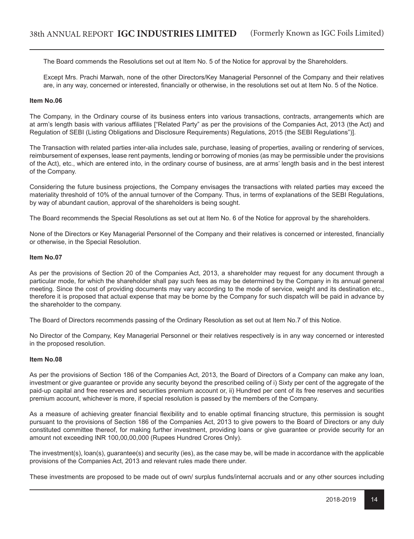The Board commends the Resolutions set out at Item No. 5 of the Notice for approval by the Shareholders.

Except Mrs. Prachi Marwah, none of the other Directors/Key Managerial Personnel of the Company and their relatives are, in any way, concerned or interested, financially or otherwise, in the resolutions set out at Item No. 5 of the Notice.

#### **Item No.06**

The Company, in the Ordinary course of its business enters into various transactions, contracts, arrangements which are at arm's length basis with various affiliates ["Related Party" as per the provisions of the Companies Act, 2013 (the Act) and Regulation of SEBI (Listing Obligations and Disclosure Requirements) Regulations, 2015 (the SEBI Regulations")].

The Transaction with related parties inter-alia includes sale, purchase, leasing of properties, availing or rendering of services, reimbursement of expenses, lease rent payments, lending or borrowing of monies (as may be permissible under the provisions of the Act), etc., which are entered into, in the ordinary course of business, are at arms' length basis and in the best interest of the Company.

Considering the future business projections, the Company envisages the transactions with related parties may exceed the materiality threshold of 10% of the annual turnover of the Company. Thus, in terms of explanations of the SEBI Regulations, by way of abundant caution, approval of the shareholders is being sought.

The Board recommends the Special Resolutions as set out at Item No. 6 of the Notice for approval by the shareholders.

None of the Directors or Key Managerial Personnel of the Company and their relatives is concerned or interested, financially or otherwise, in the Special Resolution.

#### **Item No.07**

As per the provisions of Section 20 of the Companies Act, 2013, a shareholder may request for any document through a particular mode, for which the shareholder shall pay such fees as may be determined by the Company in its annual general meeting. Since the cost of providing documents may vary according to the mode of service, weight and its destination etc., therefore it is proposed that actual expense that may be borne by the Company for such dispatch will be paid in advance by the shareholder to the company.

The Board of Directors recommends passing of the Ordinary Resolution as set out at Item No.7 of this Notice.

No Director of the Company, Key Managerial Personnel or their relatives respectively is in any way concerned or interested in the proposed resolution.

#### **Item No.08**

As per the provisions of Section 186 of the Companies Act, 2013, the Board of Directors of a Company can make any loan, investment or give guarantee or provide any security beyond the prescribed ceiling of i) Sixty per cent of the aggregate of the paid-up capital and free reserves and securities premium account or, ii) Hundred per cent of its free reserves and securities premium account, whichever is more, if special resolution is passed by the members of the Company.

As a measure of achieving greater financial flexibility and to enable optimal financing structure, this permission is sought pursuant to the provisions of Section 186 of the Companies Act, 2013 to give powers to the Board of Directors or any duly constituted committee thereof, for making further investment, providing loans or give guarantee or provide security for an amount not exceeding INR 100,00,00,000 (Rupees Hundred Crores Only).

The investment(s), loan(s), guarantee(s) and security (ies), as the case may be, will be made in accordance with the applicable provisions of the Companies Act, 2013 and relevant rules made there under.

These investments are proposed to be made out of own/ surplus funds/internal accruals and or any other sources including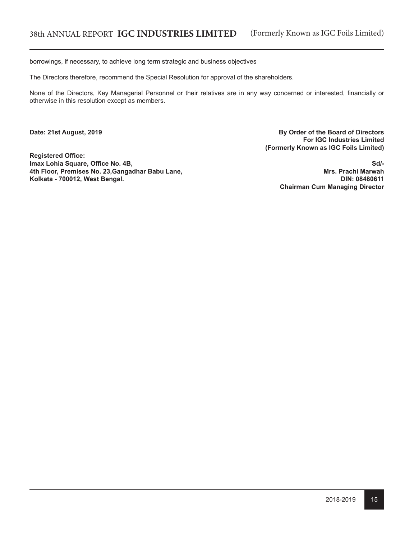borrowings, if necessary, to achieve long term strategic and business objectives

The Directors therefore, recommend the Special Resolution for approval of the shareholders.

None of the Directors, Key Managerial Personnel or their relatives are in any way concerned or interested, financially or otherwise in this resolution except as members.

**Registered Office: Imax Lohia Square, Office No. 4B, Sd/- 4th Floor, Premises No. 23,Gangadhar Babu Lane, Mrs. Prachi Marwah** Kolkata - 700012, West Bengal.

**Date: 21st August, 2019 By Order of the Board of Directors For IGC Industries Limited (Formerly Known as IGC Foils Limited)**

 **Chairman Cum Managing Director**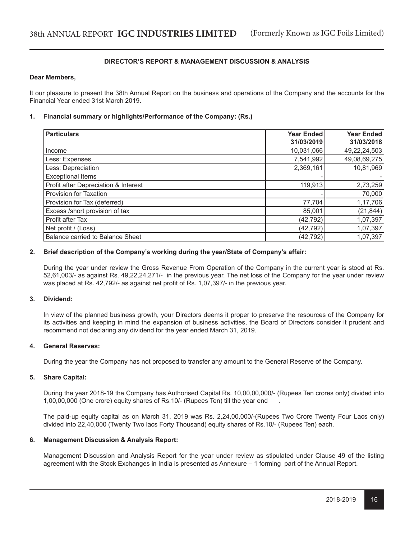#### **DIRECTOR'S REPORT & MANAGEMENT DISCUSSION & ANALYSIS**

#### **Dear Members,**

It our pleasure to present the 38th Annual Report on the business and operations of the Company and the accounts for the Financial Year ended 31st March 2019.

#### **1. Financial summary or highlights/Performance of the Company: (Rs.)**

| <b>Particulars</b>                   | <b>Year Ended</b> | Year Ended      |
|--------------------------------------|-------------------|-----------------|
|                                      | 31/03/2019        | 31/03/2018      |
| Income                               | 10,031,066        | 49, 22, 24, 503 |
| Less: Expenses                       | 7,541,992         | 49,08,69,275    |
| Less: Depreciation                   | 2,369,161         | 10,81,969       |
| <b>Exceptional Items</b>             |                   |                 |
| Profit after Depreciation & Interest | 119,913           | 2,73,259        |
| Provision for Taxation               |                   | 70,000          |
| Provision for Tax (deferred)         | 77,704            | 1,17,706        |
| Excess /short provision of tax       | 85,001            | (21, 844)       |
| Profit after Tax                     | (42, 792)         | 1,07,397        |
| Net profit / (Loss)                  | (42, 792)         | 1,07,397        |
| Balance carried to Balance Sheet     | (42, 792)         | 1,07,397        |

#### **2. Brief description of the Company's working during the year/State of Company's affair:**

During the year under review the Gross Revenue From Operation of the Company in the current year is stood at Rs. 52,61,003/- as against Rs. 49,22,24,271/- in the previous year. The net loss of the Company for the year under review was placed at Rs. 42,792/- as against net profit of Rs. 1,07,397/- in the previous year.

#### **3. Dividend:**

In view of the planned business growth, your Directors deems it proper to preserve the resources of the Company for its activities and keeping in mind the expansion of business activities, the Board of Directors consider it prudent and recommend not declaring any dividend for the year ended March 31, 2019.

#### **4. General Reserves:**

During the year the Company has not proposed to transfer any amount to the General Reserve of the Company.

#### **5. Share Capital:**

During the year 2018-19 the Company has Authorised Capital Rs. 10,00,00,000/- (Rupees Ten crores only) divided into 1,00,00,000 (One crore) equity shares of Rs.10/- (Rupees Ten) till the year end .

The paid-up equity capital as on March 31, 2019 was Rs. 2,24,00,000/-(Rupees Two Crore Twenty Four Lacs only) divided into 22,40,000 (Twenty Two lacs Forty Thousand) equity shares of Rs.10/- (Rupees Ten) each.

#### **6. Management Discussion & Analysis Report:**

Management Discussion and Analysis Report for the year under review as stipulated under Clause 49 of the listing agreement with the Stock Exchanges in India is presented as Annexure – 1 forming part of the Annual Report.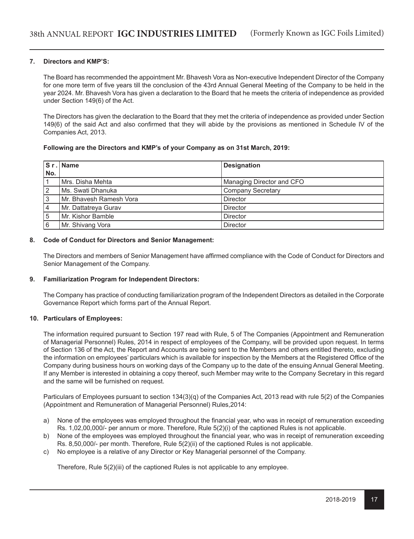#### **7. Directors and KMP'S:**

The Board has recommended the appointment Mr. Bhavesh Vora as Non-executive Independent Director of the Company for one more term of five years till the conclusion of the 43rd Annual General Meeting of the Company to be held in the year 2024. Mr. Bhavesh Vora has given a declaration to the Board that he meets the criteria of independence as provided under Section 149(6) of the Act.

The Directors has given the declaration to the Board that they met the criteria of independence as provided under Section 149(6) of the said Act and also confirmed that they will abide by the provisions as mentioned in Schedule IV of the Companies Act, 2013.

#### **Following are the Directors and KMP's of your Company as on 31st March, 2019:**

|     | $Sr$ . Name             | <b>Designation</b>        |
|-----|-------------------------|---------------------------|
| No. |                         |                           |
|     | Mrs. Disha Mehta        | Managing Director and CFO |
|     | Ms. Swati Dhanuka       | <b>Company Secretary</b>  |
| 3   | Mr. Bhavesh Ramesh Vora | <b>Director</b>           |
|     | Mr. Dattatreya Gurav    | <b>Director</b>           |
|     | Mr. Kishor Bamble       | <b>Director</b>           |
|     | Mr. Shivang Vora        | <b>Director</b>           |

#### **8. Code of Conduct for Directors and Senior Management:**

The Directors and members of Senior Management have affirmed compliance with the Code of Conduct for Directors and Senior Management of the Company.

#### **9. Familiarization Program for Independent Directors:**

The Company has practice of conducting familiarization program of the Independent Directors as detailed in the Corporate Governance Report which forms part of the Annual Report.

#### **10. Particulars of Employees:**

The information required pursuant to Section 197 read with Rule, 5 of The Companies (Appointment and Remuneration of Managerial Personnel) Rules, 2014 in respect of employees of the Company, will be provided upon request. In terms of Section 136 of the Act, the Report and Accounts are being sent to the Members and others entitled thereto, excluding the information on employees' particulars which is available for inspection by the Members at the Registered Office of the Company during business hours on working days of the Company up to the date of the ensuing Annual General Meeting. If any Member is interested in obtaining a copy thereof, such Member may write to the Company Secretary in this regard and the same will be furnished on request.

Particulars of Employees pursuant to section 134(3)(q) of the Companies Act, 2013 read with rule 5(2) of the Companies (Appointment and Remuneration of Managerial Personnel) Rules,2014:

- a) None of the employees was employed throughout the financial year, who was in receipt of remuneration exceeding Rs. 1,02,00,000/- per annum or more. Therefore, Rule 5(2)(i) of the captioned Rules is not applicable.
- b) None of the employees was employed throughout the financial year, who was in receipt of remuneration exceeding Rs. 8,50,000/- per month. Therefore, Rule 5(2)(ii) of the captioned Rules is not applicable.
- c) No employee is a relative of any Director or Key Managerial personnel of the Company.

Therefore, Rule 5(2)(iii) of the captioned Rules is not applicable to any employee.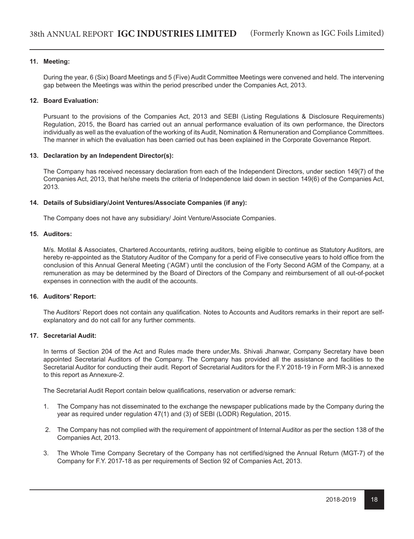#### **11. Meeting:**

During the year, 6 (Six) Board Meetings and 5 (Five) Audit Committee Meetings were convened and held. The intervening gap between the Meetings was within the period prescribed under the Companies Act, 2013.

#### **12. Board Evaluation:**

Pursuant to the provisions of the Companies Act, 2013 and SEBI (Listing Regulations & Disclosure Requirements) Regulation, 2015, the Board has carried out an annual performance evaluation of its own performance, the Directors individually as well as the evaluation of the working of its Audit, Nomination & Remuneration and Compliance Committees. The manner in which the evaluation has been carried out has been explained in the Corporate Governance Report.

#### **13. Declaration by an Independent Director(s):**

The Company has received necessary declaration from each of the Independent Directors, under section 149(7) of the Companies Act, 2013, that he/she meets the criteria of Independence laid down in section 149(6) of the Companies Act, 2013.

#### **14. Details of Subsidiary/Joint Ventures/Associate Companies (if any):**

The Company does not have any subsidiary/ Joint Venture/Associate Companies.

#### **15. Auditors:**

M/s. Motilal & Associates, Chartered Accountants, retiring auditors, being eligible to continue as Statutory Auditors, are hereby re-appointed as the Statutory Auditor of the Company for a perid of Five consecutive years to hold office from the conclusion of this Annual General Meeting ('AGM') until the conclusion of the Forty Second AGM of the Company, at a remuneration as may be determined by the Board of Directors of the Company and reimbursement of all out-of-pocket expenses in connection with the audit of the accounts.

#### **16. Auditors' Report:**

The Auditors' Report does not contain any qualification. Notes to Accounts and Auditors remarks in their report are selfexplanatory and do not call for any further comments.

#### **17. Secretarial Audit:**

In terms of Section 204 of the Act and Rules made there under,Ms. Shivali Jhanwar, Company Secretary have been appointed Secretarial Auditors of the Company. The Company has provided all the assistance and facilities to the Secretarial Auditor for conducting their audit. Report of Secretarial Auditors for the F.Y 2018-19 in Form MR-3 is annexed to this report as Annexure-2.

The Secretarial Audit Report contain below qualifications, reservation or adverse remark:

- 1. The Company has not disseminated to the exchange the newspaper publications made by the Company during the year as required under regulation 47(1) and (3) of SEBI (LODR) Regulation, 2015.
- 2. The Company has not complied with the requirement of appointment of Internal Auditor as per the section 138 of the Companies Act, 2013.
- 3. The Whole Time Company Secretary of the Company has not certified/signed the Annual Return (MGT-7) of the Company for F.Y. 2017-18 as per requirements of Section 92 of Companies Act, 2013.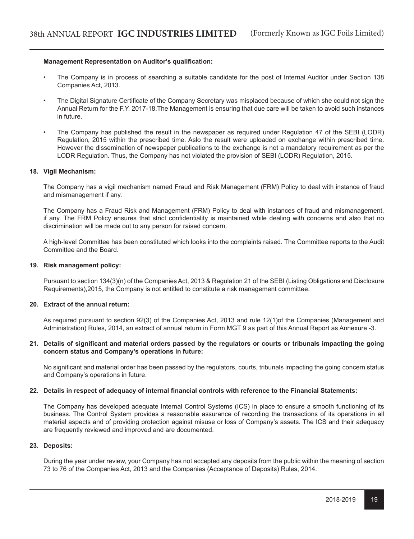#### **Management Representation on Auditor's qualification:**

- The Company is in process of searching a suitable candidate for the post of Internal Auditor under Section 138 Companies Act, 2013.
- The Digital Signature Certificate of the Company Secretary was misplaced because of which she could not sign the Annual Return for the F.Y. 2017-18.The Management is ensuring that due care will be taken to avoid such instances in future.
- The Company has published the result in the newspaper as required under Regulation 47 of the SEBI (LODR) Regulation, 2015 within the prescribed time. Aslo the result were uploaded on exchange within prescribed time. However the dissemination of newspaper publications to the exchange is not a mandatory requirement as per the LODR Regulation. Thus, the Company has not violated the provision of SEBI (LODR) Regulation, 2015.

#### **18. Vigil Mechanism:**

The Company has a vigil mechanism named Fraud and Risk Management (FRM) Policy to deal with instance of fraud and mismanagement if any.

The Company has a Fraud Risk and Management (FRM) Policy to deal with instances of fraud and mismanagement, if any. The FRM Policy ensures that strict confidentiality is maintained while dealing with concerns and also that no discrimination will be made out to any person for raised concern.

A high-level Committee has been constituted which looks into the complaints raised. The Committee reports to the Audit Committee and the Board.

#### **19. Risk management policy:**

Pursuant to section 134(3)(n) of the Companies Act, 2013 & Regulation 21 of the SEBI (Listing Obligations and Disclosure Requirements),2015, the Company is not entitled to constitute a risk management committee.

#### **20. Extract of the annual return:**

As required pursuant to section 92(3) of the Companies Act, 2013 and rule 12(1)of the Companies (Management and Administration) Rules, 2014, an extract of annual return in Form MGT 9 as part of this Annual Report as Annexure -3.

#### **21. Details of significant and material orders passed by the regulators or courts or tribunals impacting the going concern status and Company's operations in future:**

No significant and material order has been passed by the regulators, courts, tribunals impacting the going concern status and Company's operations in future.

#### **22. Details in respect of adequacy of internal financial controls with reference to the Financial Statements:**

The Company has developed adequate Internal Control Systems (ICS) in place to ensure a smooth functioning of its business. The Control System provides a reasonable assurance of recording the transactions of its operations in all material aspects and of providing protection against misuse or loss of Company's assets. The ICS and their adequacy are frequently reviewed and improved and are documented.

#### **23. Deposits:**

During the year under review, your Company has not accepted any deposits from the public within the meaning of section 73 to 76 of the Companies Act, 2013 and the Companies (Acceptance of Deposits) Rules, 2014.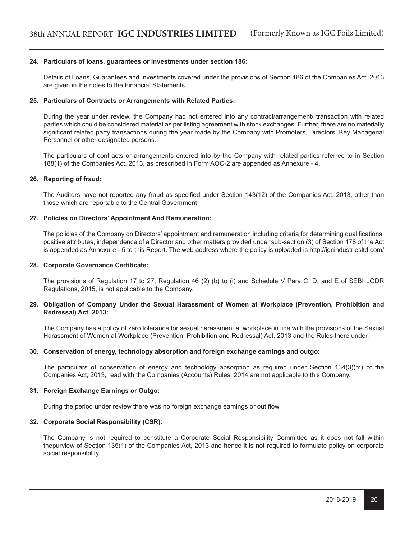#### **24. Particulars of loans, guarantees or investments under section 186:**

Details of Loans, Guarantees and Investments covered under the provisions of Section 186 of the Companies Act, 2013 are given in the notes to the Financial Statements.

#### **25. Particulars of Contracts or Arrangements with Related Parties:**

During the year under review, the Company had not entered into any contract/arrangement/ transaction with related parties which could be considered material as per listing agreement with stock exchanges. Further, there are no materially significant related party transactions during the year made by the Company with Promoters, Directors, Key Managerial Personnel or other designated persons.

The particulars of contracts or arrangements entered into by the Company with related parties referred to in Section 188(1) of the Companies Act, 2013, as prescribed in Form AOC-2 are appended as Annexure - 4.

#### **26. Reporting of fraud:**

The Auditors have not reported any fraud as specified under Section 143(12) of the Companies Act, 2013, other than those which are reportable to the Central Government.

#### **27. Policies on Directors' Appointment And Remuneration:**

The policies of the Company on Directors' appointment and remuneration including criteria for determining qualifications, positive attributes, independence of a Director and other matters provided under sub-section (3) of Section 178 of the Act is appended as Annexure - 5 to this Report. The web address where the policy is uploaded is http://igcindustriesltd.com/

#### **28. Corporate Governance Certificate:**

The provisions of Regulation 17 to 27, Regulation 46 (2) (b) to (i) and Schedule V Para C, D, and E of SEBI LODR Regulations, 2015, is not applicable to the Company.

#### **29. Obligation of Company Under the Sexual Harassment of Women at Workplace (Prevention, Prohibition and Redressal) Act, 2013:**

The Company has a policy of zero tolerance for sexual harassment at workplace in line with the provisions of the Sexual Harassment of Women at Workplace (Prevention, Prohibition and Redressal) Act, 2013 and the Rules there under.

#### **30. Conservation of energy, technology absorption and foreign exchange earnings and outgo:**

The particulars of conservation of energy and technology absorption as required under Section 134(3)(m) of the Companies Act, 2013, read with the Companies (Accounts) Rules, 2014 are not applicable to this Company.

#### **31. Foreign Exchange Earnings or Outgo:**

During the period under review there was no foreign exchange earnings or out flow.

#### **32. Corporate Social Responsibility (CSR):**

The Company is not required to constitute a Corporate Social Responsibility Committee as it does not fall within thepurview of Section 135(1) of the Companies Act, 2013 and hence it is not required to formulate policy on corporate social responsibility.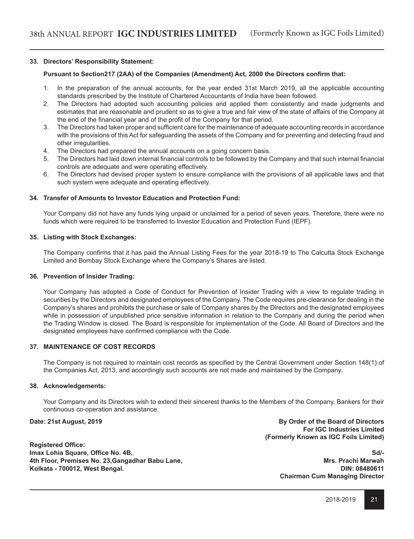#### **33. Directors' Responsibility Statement:**

#### **Pursuant to Section217 (2AA) of the Companies (Amendment) Act, 2000 the Directors confirm that:**

- 1. In the preparation of the annual accounts, for the year ended 31st March 2019, all the applicable accounting standards prescribed by the Institute of Chartered Accountants of India have been followed.
- 2. The Directors had adopted such accounting policies and applied them consistently and made judgments and estimates that are reasonable and prudent so as to give a true and fair view of the state of affairs of the Company at the end of the financial year and of the profit of the Company for that period.
- 3. The Directors had taken proper and sufficient care for the maintenance of adequate accounting records in accordance with the provisions of this Act for safeguarding the assets of the Company and for preventing and detecting fraud and other irregularities.
- 4. The Directors had prepared the annual accounts on a going concern basis.
- 5. The Directors had laid down internal financial controls to be followed by the Company and that such internal financial controls are adequate and were operating effectively.
- 6. The Directors had devised proper system to ensure compliance with the provisions of all applicable laws and that such system were adequate and operating effectively.

#### **34. Transfer of Amounts to Investor Education and Protection Fund:**

Your Company did not have any funds lying unpaid or unclaimed for a period of seven years. Therefore, there were no funds which were required to be transferred to Investor Education and Protection Fund (IEPF).

#### **35. Listing with Stock Exchanges:**

The Company confirms that it has paid the Annual Listing Fees for the year 2018-19 to The Calcutta Stock Exchange Limited and Bombay Stock Exchange where the Company's Shares are listed.

#### **36. Prevention of Insider Trading:**

Your Company has adopted a Code of Conduct for Prevention of Insider Trading with a view to regulate trading in securities by the Directors and designated employees of the Company. The Code requires pre-clearance for dealing in the Company's shares and prohibits the purchase or sale of Company shares by the Directors and the designated employees while in possession of unpublished price sensitive information in relation to the Company and during the period when the Trading Window is closed. The Board is responsible for implementation of the Code. All Board of Directors and the designated employees have confirmed compliance with the Code.

#### **37. MAINTENANCE OF COST RECORDS**

The Company is not required to maintain cost records as specified by the Central Government under Section 148(1) of the Companies Act, 2013, and accordingly such accounts are not made and maintained by the Company.

#### **38. Acknowledgements:**

Your Company and its Directors wish to extend their sincerest thanks to the Members of the Company, Bankers for their continuous co-operation and assistance.

**Date: 21st August, 2019 By Order of the Board of Directors For IGC Industries Limited (Formerly Known as IGC Foils Limited)**

**Registered Office: Imax Lohia Square, Office No. 4B, Sd/- 4th Floor, Premises No. 23,Gangadhar Babu Lane, Mrs. Prachi Marwah** Kolkata - 700012, West Bengal.

 **Chairman Cum Managing Director**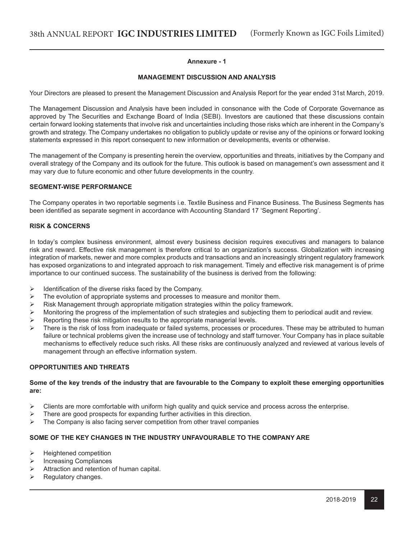#### **Annexure - 1**

#### **MANAGEMENT DISCUSSION AND ANALYSIS**

Your Directors are pleased to present the Management Discussion and Analysis Report for the year ended 31st March, 2019.

The Management Discussion and Analysis have been included in consonance with the Code of Corporate Governance as approved by The Securities and Exchange Board of India (SEBI). Investors are cautioned that these discussions contain certain forward looking statements that involve risk and uncertainties including those risks which are inherent in the Company's growth and strategy. The Company undertakes no obligation to publicly update or revise any of the opinions or forward looking statements expressed in this report consequent to new information or developments, events or otherwise.

The management of the Company is presenting herein the overview, opportunities and threats, initiatives by the Company and overall strategy of the Company and its outlook for the future. This outlook is based on management's own assessment and it may vary due to future economic and other future developments in the country.

#### **SEGMENT-WISE PERFORMANCE**

The Company operates in two reportable segments i.e. Textile Business and Finance Business. The Business Segments has been identified as separate segment in accordance with Accounting Standard 17 'Segment Reporting'.

#### **RISK & CONCERNS**

In today's complex business environment, almost every business decision requires executives and managers to balance risk and reward. Effective risk management is therefore critical to an organization's success. Globalization with increasing integration of markets, newer and more complex products and transactions and an increasingly stringent regulatory framework has exposed organizations to and integrated approach to risk management. Timely and effective risk management is of prime importance to our continued success. The sustainability of the business is derived from the following:

- $\triangleright$  Identification of the diverse risks faced by the Company.
- $\triangleright$  The evolution of appropriate systems and processes to measure and monitor them.
- $\triangleright$  Risk Management through appropriate mitigation strategies within the policy framework.
- $\triangleright$  Monitoring the progress of the implementation of such strategies and subjecting them to periodical audit and review.
- $\triangleright$  Reporting these risk mitigation results to the appropriate managerial levels.
- There is the risk of loss from inadequate or failed systems, processes or procedures. These may be attributed to human failure or technical problems given the increase use of technology and staff turnover. Your Company has in place suitable mechanisms to effectively reduce such risks. All these risks are continuously analyzed and reviewed at various levels of management through an effective information system.

#### **OPPORTUNITIES AND THREATS**

**Some of the key trends of the industry that are favourable to the Company to exploit these emerging opportunities are:** 

- $\triangleright$  Clients are more comfortable with uniform high quality and quick service and process across the enterprise.
- $\triangleright$  There are good prospects for expanding further activities in this direction.
- $\triangleright$  The Company is also facing server competition from other travel companies

#### **SOME OF THE KEY CHANGES IN THE INDUSTRY UNFAVOURABLE TO THE COMPANY ARE**

- $\triangleright$  Heightened competition
- ¾ Increasing Compliances
- $\triangleright$  Attraction and retention of human capital.
- $\triangleright$  Regulatory changes.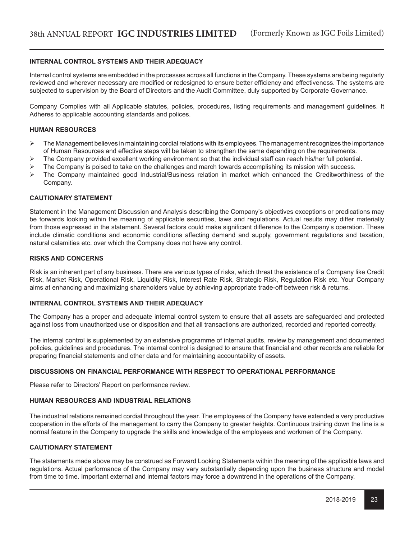#### **INTERNAL CONTROL SYSTEMS AND THEIR ADEQUACY**

Internal control systems are embedded in the processes across all functions in the Company. These systems are being regularly reviewed and wherever necessary are modified or redesigned to ensure better efficiency and effectiveness. The systems are subjected to supervision by the Board of Directors and the Audit Committee, duly supported by Corporate Governance.

Company Complies with all Applicable statutes, policies, procedures, listing requirements and management guidelines. It Adheres to applicable accounting standards and polices.

#### **HUMAN RESOURCES**

- $\triangleright$  The Management believes in maintaining cordial relations with its employees. The management recognizes the importance of Human Resources and effective steps will be taken to strengthen the same depending on the requirements.
- $\triangleright$  The Company provided excellent working environment so that the individual staff can reach his/her full potential.
- $\triangleright$  The Company is poised to take on the challenges and march towards accomplishing its mission with success.
- $\triangleright$  The Company maintained good Industrial/Business relation in market which enhanced the Creditworthiness of the Company.

#### **CAUTIONARY STATEMENT**

Statement in the Management Discussion and Analysis describing the Company's objectives exceptions or predications may be forwards looking within the meaning of applicable securities, laws and regulations. Actual results may differ materially from those expressed in the statement. Several factors could make significant difference to the Company's operation. These include climatic conditions and economic conditions affecting demand and supply, government regulations and taxation, natural calamities etc. over which the Company does not have any control.

#### **RISKS AND CONCERNS**

Risk is an inherent part of any business. There are various types of risks, which threat the existence of a Company like Credit Risk, Market Risk, Operational Risk, Liquidity Risk, Interest Rate Risk, Strategic Risk, Regulation Risk etc. Your Company aims at enhancing and maximizing shareholders value by achieving appropriate trade-off between risk & returns.

#### **INTERNAL CONTROL SYSTEMS AND THEIR ADEQUACY**

The Company has a proper and adequate internal control system to ensure that all assets are safeguarded and protected against loss from unauthorized use or disposition and that all transactions are authorized, recorded and reported correctly.

The internal control is supplemented by an extensive programme of internal audits, review by management and documented policies, guidelines and procedures. The internal control is designed to ensure that financial and other records are reliable for preparing financial statements and other data and for maintaining accountability of assets.

#### **DISCUSSIONS ON FINANCIAL PERFORMANCE WITH RESPECT TO OPERATIONAL PERFORMANCE**

Please refer to Directors' Report on performance review.

#### **HUMAN RESOURCES AND INDUSTRIAL RELATIONS**

The industrial relations remained cordial throughout the year. The employees of the Company have extended a very productive cooperation in the efforts of the management to carry the Company to greater heights. Continuous training down the line is a normal feature in the Company to upgrade the skills and knowledge of the employees and workmen of the Company.

#### **CAUTIONARY STATEMENT**

The statements made above may be construed as Forward Looking Statements within the meaning of the applicable laws and regulations. Actual performance of the Company may vary substantially depending upon the business structure and model from time to time. Important external and internal factors may force a downtrend in the operations of the Company.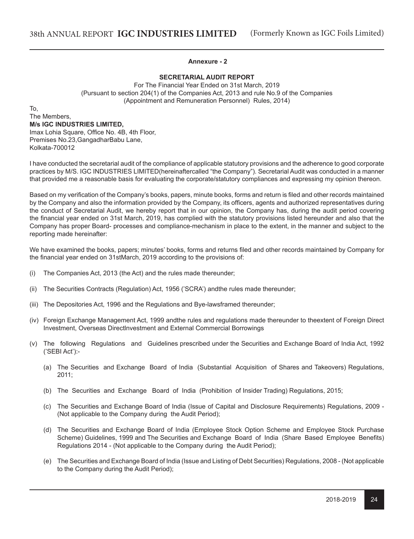#### **Annexure - 2**

#### **SECRETARIAL AUDIT REPORT**

For The Financial Year Ended on 31st March, 2019 (Pursuant to section 204(1) of the Companies Act, 2013 and rule No.9 of the Companies (Appointment and Remuneration Personnel) Rules, 2014)

To, The Members, **M/s IGC INDUSTRIES LIMITED,**  Imax Lohia Square, Office No. 4B, 4th Floor, Premises No.23,GangadharBabu Lane, Kolkata-700012

I have conducted the secretarial audit of the compliance of applicable statutory provisions and the adherence to good corporate practices by M/S. IGC INDUSTRIES LIMITED(hereinaftercalled "the Company"). Secretarial Audit was conducted in a manner that provided me a reasonable basis for evaluating the corporate/statutory compliances and expressing my opinion thereon.

Based on my verification of the Company's books, papers, minute books, forms and return is filed and other records maintained by the Company and also the information provided by the Company, its officers, agents and authorized representatives during the conduct of Secretarial Audit, we hereby report that in our opinion, the Company has, during the audit period covering the financial year ended on 31st March, 2019, has complied with the statutory provisions listed hereunder and also that the Company has proper Board- processes and compliance-mechanism in place to the extent, in the manner and subject to the reporting made hereinafter:

We have examined the books, papers; minutes' books, forms and returns filed and other records maintained by Company for the financial year ended on 31stMarch, 2019 according to the provisions of:

- (i) The Companies Act, 2013 (the Act) and the rules made thereunder;
- (ii) The Securities Contracts (Regulation) Act, 1956 ('SCRA') andthe rules made thereunder;
- (iii) The Depositories Act, 1996 and the Regulations and Bye-lawsframed thereunder;
- (iv) Foreign Exchange Management Act, 1999 andthe rules and regulations made thereunder to theextent of Foreign Direct Investment, Overseas Directlnvestment and External Commercial Borrowings
- (v) The following Regulations and Guidelines prescribed under the Securities and Exchange Board of India Act, 1992 ('SEBI Act'):-
	- (a) The Securities and Exchange Board of India (Substantial Acquisition of Shares and Takeovers) Regulations, 2011;
	- (b) The Securities and Exchange Board of India (Prohibition of Insider Trading) Regulations, 2015;
	- (c) The Securities and Exchange Board of India (Issue of Capital and Disclosure Requirements) Regulations, 2009 (Not applicable to the Company during the Audit Period);
	- (d) The Securities and Exchange Board of India (Employee Stock Option Scheme and Employee Stock Purchase Scheme) Guidelines, 1999 and The Securities and Exchange Board of India (Share Based Employee Benefits) Regulations 2014 - (Not applicable to the Company during the Audit Period);
	- (e) The Securities and Exchange Board of India (Issue and Listing of Debt Securities) Regulations, 2008 (Not applicable to the Company during the Audit Period);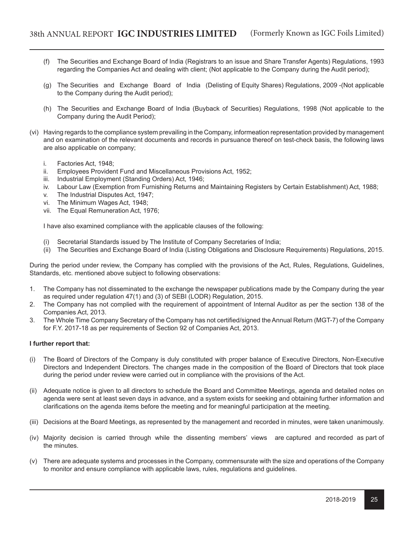- (f) The Securities and Exchange Board of India (Registrars to an issue and Share Transfer Agents) Regulations, 1993 regarding the Companies Act and dealing with client; (Not applicable to the Company during the Audit period);
- (g) The Securities and Exchange Board of India (Delisting of Equity Shares) Regulations, 2009 -(Not applicable to the Company during the Audit period);
- (h) The Securities and Exchange Board of India (Buyback of Securities) Regulations, 1998 (Not applicable to the Company during the Audit Period);
- (vi) Having regards to the compliance system prevailing in the Company, informeation representation provided by management and on examination of the relevant documents and records in pursuance thereof on test-check basis, the following laws are also applicable on company;
	- i. Factories Act, 1948;
	- ii. Employees Provident Fund and Miscellaneous Provisions Act, 1952;
	- iii. Industrial Employment (Standing Orders) Act, 1946;
	- iv. Labour Law (Exemption from Furnishing Returns and Maintaining Registers by Certain Establishment) Act, 1988;
	- v. The Industrial Disputes Act, 1947;
	- vi. The Minimum Wages Act, 1948;
	- vii. The Equal Remuneration Act, 1976;

I have also examined compliance with the applicable clauses of the following:

- (i) Secretarial Standards issued by The Institute of Company Secretaries of India;
- (ii) The Securities and Exchange Board of India (Listing Obligations and Disclosure Requirements) Regulations, 2015.

During the period under review, the Company has complied with the provisions of the Act, Rules, Regulations, Guidelines, Standards, etc. mentioned above subject to following observations:

- 1. The Company has not disseminated to the exchange the newspaper publications made by the Company during the year as required under regulation 47(1) and (3) of SEBI (LODR) Regulation, 2015.
- 2. The Company has not complied with the requirement of appointment of Internal Auditor as per the section 138 of the Companies Act, 2013.
- 3. The Whole Time Company Secretary of the Company has not certified/signed the Annual Return (MGT-7) of the Company for F.Y. 2017-18 as per requirements of Section 92 of Companies Act, 2013.

#### **I further report that:**

- (i) The Board of Directors of the Company is duly constituted with proper balance of Executive Directors, Non-Executive Directors and Independent Directors. The changes made in the composition of the Board of Directors that took place during the period under review were carried out in compliance with the provisions of the Act.
- (ii) Adequate notice is given to all directors to schedule the Board and Committee Meetings, agenda and detailed notes on agenda were sent at least seven days in advance, and a system exists for seeking and obtaining further information and clarifications on the agenda items before the meeting and for meaningful participation at the meeting.
- (iii) Decisions at the Board Meetings, as represented by the management and recorded in minutes, were taken unanimously.
- (iv) Majority decision is carried through while the dissenting members' views are captured and recorded as part of the minutes.
- (v) There are adequate systems and processes in the Company, commensurate with the size and operations of the Company to monitor and ensure compliance with applicable laws, rules, regulations and guidelines.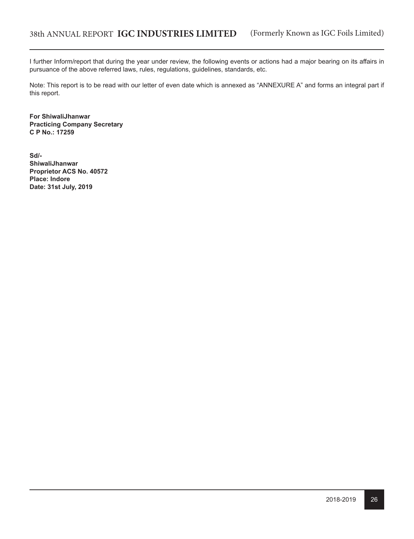I further Inform/report that during the year under review, the following events or actions had a major bearing on its affairs in pursuance of the above referred laws, rules, regulations, guidelines, standards, etc.

Note: This report is to be read with our letter of even date which is annexed as "ANNEXURE A" and forms an integral part if this report.

**For ShiwaliJhanwar Practicing Company Secretary C P No.: 17259** 

**Sd/- ShiwaliJhanwar Proprietor ACS No. 40572 Place: Indore Date: 31st July, 2019**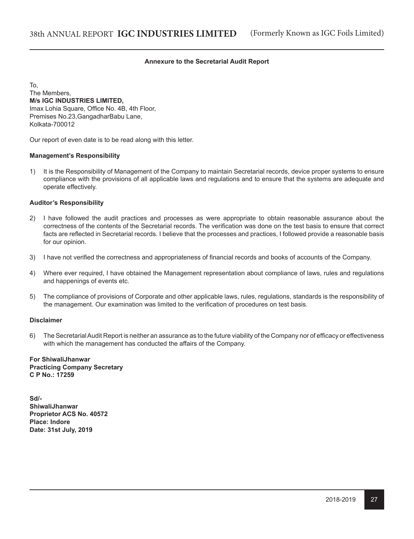#### **Annexure to the Secretarial Audit Report**

To, The Members, **M/s IGC INDUSTRIES LIMITED,**  Imax Lohia Square, Office No. 4B, 4th Floor, Premises No.23,GangadharBabu Lane, Kolkata-700012

Our report of even date is to be read along with this letter.

#### **Management's Responsibility**

1) It is the Responsibility of Management of the Company to maintain Secretarial records, device proper systems to ensure compliance with the provisions of all applicable laws and regulations and to ensure that the systems are adequate and operate effectively.

#### **Auditor's Responsibility**

- 2) I have followed the audit practices and processes as were appropriate to obtain reasonable assurance about the correctness of the contents of the Secretarial records. The verification was done on the test basis to ensure that correct facts are reflected in Secretarial records. I believe that the processes and practices, I followed provide a reasonable basis for our opinion.
- 3) I have not verified the correctness and appropriateness of financial records and books of accounts of the Company.
- 4) Where ever required, I have obtained the Management representation about compliance of laws, rules and regulations and happenings of events etc.
- 5) The compliance of provisions of Corporate and other applicable laws, rules, regulations, standards is the responsibility of the management. Our examination was limited to the verification of procedures on test basis.

#### **Disclaimer**

6) The Secretarial Audit Report is neither an assurance as to the future viability of the Company nor of efficacy or effectiveness with which the management has conducted the affairs of the Company.

**For ShiwaliJhanwar Practicing Company Secretary C P No.: 17259** 

**Sd/- ShiwaliJhanwar Proprietor ACS No. 40572 Place: Indore Date: 31st July, 2019**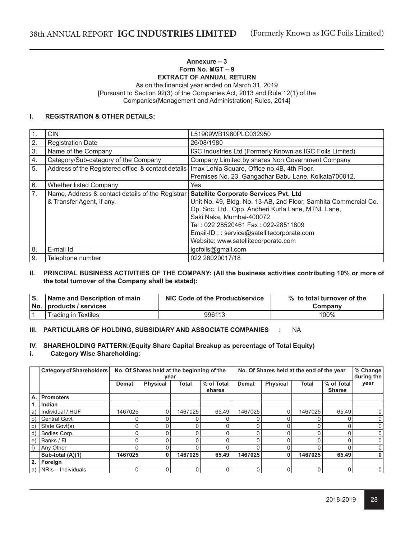#### **Annexure – 3 Form No. MGT – 9 EXTRACT OF ANNUAL RETURN**

As on the financial year ended on March 31, 2019 [Pursuant to Section 92(3) of the Companies Act, 2013 and Rule 12(1) of the Companies(Management and Administration) Rules, 2014]

#### **I. REGISTRATION & OTHER DETAILS:**

| 1.            | <b>CIN</b>                                                                                       | L51909WB1980PLC032950                                           |
|---------------|--------------------------------------------------------------------------------------------------|-----------------------------------------------------------------|
| $\boxed{2}$ . | <b>Registration Date</b>                                                                         | 26/08/1980                                                      |
| $\sqrt{3}$ .  | Name of the Company                                                                              | IGC Industries Ltd (Formerly Known as IGC Foils Limited)        |
| 4.            | Category/Sub-category of the Company                                                             | Company Limited by shares Non Government Company                |
| 5.            | Address of the Registered office & contact details   Imax Lohia Square, Office no.4B, 4th Floor, |                                                                 |
|               |                                                                                                  | Premises No. 23, Gangadhar Babu Lane, Kolkata700012.            |
| $\boxed{6}$ . | <b>Whether listed Company</b>                                                                    | <b>Yes</b>                                                      |
| $\boxed{7}$ . | Name, Address & contact details of the Registrar                                                 | Satellite Corporate Services Pvt. Ltd                           |
|               | & Transfer Agent, if any.                                                                        | Unit No. 49, Bldg. No. 13-AB, 2nd Floor, Samhita Commercial Co. |
|               |                                                                                                  | Op. Soc. Ltd., Opp. Andheri Kurla Lane, MTNL Lane,              |
|               |                                                                                                  | Saki Naka, Mumbai-400072.                                       |
|               |                                                                                                  | Tel: 022 28520461 Fax: 022-28511809                             |
|               |                                                                                                  | Email-ID:: service@satellitecorporate.com                       |
|               |                                                                                                  | Website: www.satellitecorporate.com                             |
| 8.            | E-mail Id                                                                                        | igcfoils@gmail.com                                              |
| l 9.          | Telephone number                                                                                 | 022 28020017/18                                                 |

#### **II. PRINCIPAL BUSINESS ACTIVITIES OF THE COMPANY: (All the business activities contributing 10% or more of the total turnover of the Company shall be stated):**

| Name and Description of main<br>No. products / services | NIC Code of the Product/service | % to total turnover of the<br>Company |
|---------------------------------------------------------|---------------------------------|---------------------------------------|
| Trading in Textiles                                     | 996113                          | 100%                                  |

#### **III. PARTICULARS OF HOLDING, SUBSIDIARY AND ASSOCIATE COMPANIES** : NA

#### **IV. SHAREHOLDING PATTERN:(Equity Share Capital Breakup as percentage of Total Equity)**

**i. Category Wise Shareholding:**

|                | <b>Category of Shareholders</b> |              | No. Of Shares held at the beginning of the |         |            | No. Of Shares held at the end of the year |                 |         |               | % Change       |
|----------------|---------------------------------|--------------|--------------------------------------------|---------|------------|-------------------------------------------|-----------------|---------|---------------|----------------|
|                |                                 |              | year                                       |         |            |                                           |                 |         |               | during the     |
|                |                                 | <b>Demat</b> | <b>Physical</b>                            | Total   | % of Total | <b>Demat</b>                              | <b>Physical</b> | Total   | % of Total    | year           |
|                |                                 |              |                                            |         | shares     |                                           |                 |         | <b>Shares</b> |                |
| А.             | <b>Promoters</b>                |              |                                            |         |            |                                           |                 |         |               |                |
| $\mathbf{1}$ . | Indian                          |              |                                            |         |            |                                           |                 |         |               |                |
| a)             | Individual / HUF                | 1467025      |                                            | 1467025 | 65.49      | 1467025                                   |                 | 1467025 | 65.49         |                |
| b)             | <b>Central Govt</b>             |              |                                            |         |            |                                           |                 |         |               |                |
| $\vert$ C)     | State Govt(s)                   |              |                                            |         |            | 0                                         |                 |         |               |                |
| $\mathsf{d}$   | Bodies Corp.                    | 0            |                                            |         |            | 0                                         |                 |         |               |                |
| le)            | Banks / Fl                      |              |                                            |         |            | 0                                         |                 |         |               |                |
| f              | Any Other                       |              |                                            |         |            |                                           |                 |         |               |                |
|                | Sub-total (A)(1)                | 1467025      |                                            | 1467025 | 65.49      | 1467025                                   | 0               | 1467025 | 65.49         | 0              |
| <b>2.</b>      | Foreign                         |              |                                            |         |            |                                           |                 |         |               |                |
|                | a)   NRIs - Individuals         | $\Omega$     |                                            |         | 0          | $\Omega$                                  |                 |         |               | $\overline{0}$ |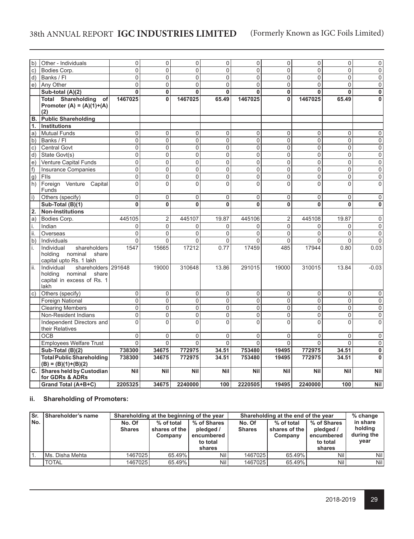## 38th ANNUAL REPORT **IGC INDUSTRIES LIMITED** (Formerly Known as IGC Foils Limited)

| $\mathsf{b}$  | Other - Individuals                                       | 0              | 0                       | 0            | $\Omega$       | 0              | 0                       | $\mathbf 0$    | $\mathbf 0$    | $\mathbf 0$         |
|---------------|-----------------------------------------------------------|----------------|-------------------------|--------------|----------------|----------------|-------------------------|----------------|----------------|---------------------|
| C)            | Bodies Corp.                                              | 0              | 0                       | 0            | $\mathbf{0}$   | $\mathbf{0}$   | $\overline{0}$          | $\overline{0}$ | $\mathbf{0}$   | $\mathbf 0$         |
| d)            | Banks / Fl                                                | 0              | $\overline{0}$          | 0            | $\Omega$       | $\overline{0}$ | $\overline{0}$          | $\overline{0}$ | $\Omega$       | $\mathbf 0$         |
| $ e\rangle$   | Any Other                                                 | 0              | 0                       | 0            | $\mathbf 0$    | 0              | 0                       | 0              | $\Omega$       | $\mathbf 0$         |
|               | Sub-total (A)(2)                                          | $\mathbf{0}$   | $\overline{\mathbf{0}}$ | $\mathbf{0}$ | $\mathbf{0}$   | $\overline{0}$ | $\overline{\mathbf{0}}$ | $\mathbf{0}$   | $\mathbf{0}$   | 0                   |
|               | <b>Total Shareholding</b><br>of                           | 1467025        | 0                       | 1467025      | 65.49          | 1467025        | $\bf{0}$                | 1467025        | 65.49          |                     |
|               | Promoter (A) = $(A)(1)+(A)$                               |                |                         |              |                |                |                         |                |                |                     |
|               | (2)                                                       |                |                         |              |                |                |                         |                |                |                     |
| В.            | <b>Public Shareholding</b>                                |                |                         |              |                |                |                         |                |                |                     |
| 1.            | <b>Institutions</b>                                       |                |                         |              |                |                |                         |                |                |                     |
| a)            | Mutual Funds                                              | 0              | 0                       | 0            | $\Omega$       | 0              | 0                       | 0              | $\Omega$       | $\Omega$            |
| b)            | Banks / Fl                                                | 0              | $\overline{0}$          | $\mathbf 0$  | $\overline{0}$ | $\overline{0}$ | $\overline{0}$          | $\overline{0}$ | $\mathbf{0}$   | $\mathbf 0$         |
| $\mathsf{c})$ | <b>Central Govt</b>                                       | 0              | 0                       | 0            | 0              | 0              | 0                       | 0              | 0              | $\mathsf 0$         |
| d)            | State Govt(s)                                             | 0              | $\overline{0}$          | $\mathbf 0$  | 0              | 0              | $\overline{0}$          | $\mathbf 0$    | $\overline{0}$ | $\mathsf{O}\xspace$ |
| e)            | Venture Capital Funds                                     | 0              | 0                       | 0            | 0              | $\mathbf 0$    | 0                       | $\mathbf 0$    | $\mathbf 0$    | $\mathbf 0$         |
| $\sqrt{f}$    | Insurance Companies                                       | 0              | 0                       | 0            | $\Omega$       | 0              | 0                       | $\mathbf 0$    | $\mathbf 0$    | $\mathbf 0$         |
| $ g\rangle$   | Flis                                                      | $\mathbf 0$    | 0                       | 0            | 0              | $\mathbf 0$    | 0                       | $\mathbf 0$    | $\mathbf 0$    | $\mathsf 0$         |
| h)            | Foreign Venture Capital<br>Funds                          | $\overline{0}$ | $\overline{0}$          | $\Omega$     | $\Omega$       | $\overline{0}$ | $\overline{O}$          | $\overline{0}$ | $\Omega$       | $\Omega$            |
| li)           | Others (specify)                                          | $\Omega$       | $\mathbf{0}$            | $\Omega$     | $\Omega$       | $\mathbf 0$    | $\mathbf{0}$            | $\mathbf{0}$   | $\Omega$       | $\Omega$            |
|               | Sub-Total (B)(1)                                          | 0              | 0                       | 0            | $\mathbf{0}$   | $\mathbf{0}$   | 0                       | $\mathbf{0}$   | 0              | 0                   |
| 2.            | <b>Non-Institutions</b>                                   |                |                         |              |                |                |                         |                |                |                     |
| a)            | Bodies Corp.                                              | 445105         | 2                       | 445107       | 19.87          | 445106         | $\overline{2}$          | 445108         | 19.87          | $\mathbf 0$         |
| i.            | Indian                                                    | 0              | 0                       | 0            | 0              | 0              | 0                       | 0              | $\mathbf 0$    | 0                   |
| ii.           | Overseas                                                  | 0              | $\overline{0}$          | 0            | $\Omega$       | $\mathbf{0}$   | $\overline{0}$          | $\mathbf{0}$   | $\mathbf{0}$   | $\mathbf 0$         |
| b)            | Individuals                                               | $\Omega$       | 0                       | 0            | $\Omega$       | $\Omega$       | 0                       | $\Omega$       | $\Omega$       | $\mathbf 0$         |
| İ.            | Individual<br>shareholders                                | 1547           | 15665                   | 17212        | 0.77           | 17459          | 485                     | 17944          | 0.80           | 0.03                |
|               | holding<br>nominal<br>share                               |                |                         |              |                |                |                         |                |                |                     |
|               | capital upto Rs. 1 lakh                                   |                |                         |              |                |                |                         |                |                |                     |
| ii.           | Individual<br>shareholders   291648                       |                | 19000                   | 310648       | 13.86          | 291015         | 19000                   | 310015         | 13.84          | $-0.03$             |
|               | holding nominal share                                     |                |                         |              |                |                |                         |                |                |                     |
|               | capital in excess of Rs. 1                                |                |                         |              |                |                |                         |                |                |                     |
|               | lakh                                                      |                |                         |              |                |                |                         |                |                |                     |
| C)            | Others (specify)                                          | $\Omega$       | $\mathbf 0$             | 0            | $\Omega$       | 0              | $\mathbf 0$             | $\Omega$       | $\Omega$       | $\Omega$            |
|               | Foreign National                                          | 0              | 0                       | 0            | $\Omega$       | 0              | 0                       | $\mathbf 0$    | 0              | 0                   |
|               | <b>Clearing Members</b>                                   | 0              | $\overline{0}$          | $\Omega$     | $\Omega$       | 0              | $\overline{0}$          | $\overline{0}$ | $\mathbf 0$    | $\mathbf 0$         |
|               | Non-Resident Indians                                      | 0              | 0                       | 0            | 0              | 0              | 0                       | $\mathbf 0$    | 0              | 0                   |
|               | Independent Directors and<br>their Relatives              | $\overline{0}$ | $\Omega$                | $\Omega$     | $\Omega$       | $\Omega$       | $\Omega$                | $\Omega$       | $\Omega$       | $\Omega$            |
|               | OCB                                                       | 0              | $\mathbf 0$             | $\Omega$     | $\Omega$       | $\mathbf 0$    | $\mathbf{0}$            | $\Omega$       | $\mathbf{0}$   | $\Omega$            |
|               | <b>Employees Welfare Trust</b>                            | 0              | 0                       | 0            | 0              | $\mathbf 0$    | $\mathbf{0}$            | $\mathbf{0}$   | $\Omega$       | $\mathbf 0$         |
|               | Sub-Total (B)(2)                                          | 738300         | 34675                   | 772975       | 34.51          | 753480         | 19495                   | 772975         | 34.51          | 0                   |
|               | <b>Total Public Shareholding</b><br>$(B) = (B)(1)+(B)(2)$ | 738300         | 34675                   | 772975       | 34.51          | 753480         | 19495                   | 772975         | 34.51          | $\mathbf{0}$        |
| C.            | Shares held by Custodian<br>for GDRs & ADRs               | <b>Nil</b>     | <b>Nil</b>              | <b>Nil</b>   | <b>Nil</b>     | <b>Nil</b>     | <b>Nil</b>              | <b>Nil</b>     | <b>Nil</b>     | <b>Nil</b>          |
|               | Grand Total (A+B+C)                                       | 2205325        | 34675                   | 2240000      | 100            | 2220505        | 19495                   | 2240000        | 100            | <b>Nil</b>          |

### **ii. Shareholding of Promoters:**

| l Sr.<br>INo. | <b>Shareholder's name</b> | No. Of<br><b>Shares</b> | Shareholding at the beginning of the year<br>% of total<br>shares of the<br>Company | % of Shares<br>pledged /<br>encumbered<br>to total<br>shares | No. Of<br><b>Shares</b> | Shareholding at the end of the year<br>% of total<br>shares of the<br>Company | % of Shares<br>pledged /<br>encumbered<br>to total<br>shares | $%$ change<br>in share<br>holding<br>during the<br>year |
|---------------|---------------------------|-------------------------|-------------------------------------------------------------------------------------|--------------------------------------------------------------|-------------------------|-------------------------------------------------------------------------------|--------------------------------------------------------------|---------------------------------------------------------|
|               | l Ms. Disha Mehta         | 1467025                 | 65.49%                                                                              | Nil I                                                        | 1467025                 | 65.49%                                                                        | Nil                                                          | Nil l                                                   |
|               | <b>TOTAL</b>              | 1467025                 | 65.49%                                                                              | Nil                                                          | 1467025                 | 65.49%                                                                        | Nil                                                          | Nil l                                                   |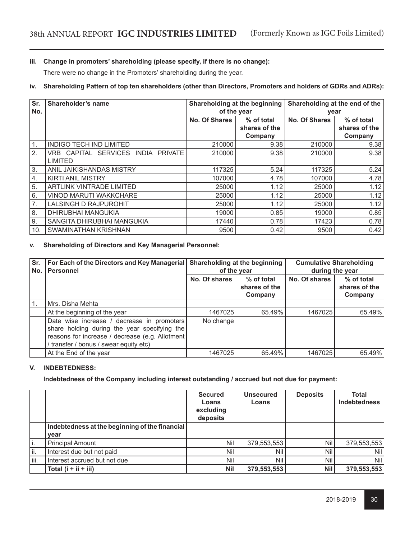#### **iii. Change in promoters' shareholding (please specify, if there is no change):**

There were no change in the Promoters' shareholding during the year.

#### **iv. Shareholding Pattern of top ten shareholders (other than Directors, Promoters and holders of GDRs and ADRs):**

| Sr.            | Shareholder's name                                               | Shareholding at the beginning |               | Shareholding at the end of the |               |  |
|----------------|------------------------------------------------------------------|-------------------------------|---------------|--------------------------------|---------------|--|
| No.            |                                                                  | of the year                   |               | year                           |               |  |
|                |                                                                  | No. Of Shares                 | % of total    | No. Of Shares                  | % of total    |  |
|                |                                                                  |                               | shares of the |                                | shares of the |  |
|                |                                                                  |                               | Company       |                                | Company       |  |
| $\mathbf{1}$ . | <b>INDIGO TECH IND LIMITED</b>                                   | 210000                        | 9.38          | 210000                         | 9.38          |  |
| 2.             | <b>PRIVATE</b><br>VRB CAPITAL<br><b>SERVICES</b><br><b>INDIA</b> | 210000                        | 9.38          | 210000                         | 9.38          |  |
|                | <b>LIMITED</b>                                                   |                               |               |                                |               |  |
| 3.             | ANIL JAIKISHANDAS MISTRY                                         | 117325                        | 5.24          | 117325                         | 5.24          |  |
| 4.             | <b>KIRTI ANIL MISTRY</b>                                         | 107000                        | 4.78          | 107000                         | 4.78          |  |
| 5.             | <b>ARTLINK VINTRADE LIMITED</b>                                  | 25000                         | 1.12          | 25000                          | 1.12          |  |
| 6.             | VINOD MARUTI WAKKCHARE                                           | 25000                         | 1.12          | 25000                          | 1.12          |  |
| 7.             | LALSINGH D RAJPUROHIT                                            | 25000                         | 1.12          | 25000                          | 1.12          |  |
| 8.             | <b>DHIRUBHAI MANGUKIA</b>                                        | 19000                         | 0.85          | 19000                          | 0.85          |  |
| 9.             | SANGITA DHIRUBHAI MANGUKIA                                       | 17440                         | 0.78          | 17423                          | 0.78          |  |
| 10.            | SWAMINATHAN KRISHNAN                                             | 9500                          | 0.42          | 9500                           | 0.42          |  |

#### **v. Shareholding of Directors and Key Managerial Personnel:**

| Sr.<br>l No. | For Each of the Directors and Key Managerial  <br><b>Personnel</b>                                                                                                                       |               | Shareholding at the beginning<br>of the year | <b>Cumulative Shareholding</b><br>during the year |                                        |
|--------------|------------------------------------------------------------------------------------------------------------------------------------------------------------------------------------------|---------------|----------------------------------------------|---------------------------------------------------|----------------------------------------|
|              |                                                                                                                                                                                          | No. Of shares | % of total<br>shares of the<br>Company       | No. Of shares                                     | % of total<br>shares of the<br>Company |
|              | Mrs. Disha Mehta                                                                                                                                                                         |               |                                              |                                                   |                                        |
|              | At the beginning of the year                                                                                                                                                             | 1467025       | 65.49%                                       | 1467025                                           | 65.49%                                 |
|              | Date wise increase / decrease in promoters<br>share holding during the year specifying the<br>reasons for increase / decrease (e.g. Allotment)<br>/ transfer / bonus / swear equity etc) | No change     |                                              |                                                   |                                        |
|              | At the End of the year                                                                                                                                                                   | 1467025       | 65.49%                                       | 1467025                                           | 65.49%                                 |

#### **V. INDEBTEDNESS:**

**Indebtedness of the Company including interest outstanding / accrued but not due for payment:**

|        |                                                | <b>Secured</b><br>Loans<br>excluding<br>deposits | <b>Unsecured</b><br>Loans | <b>Deposits</b> | Total<br><b>Indebtedness</b> |
|--------|------------------------------------------------|--------------------------------------------------|---------------------------|-----------------|------------------------------|
|        | Indebtedness at the beginning of the financial |                                                  |                           |                 |                              |
|        | vear                                           |                                                  |                           |                 |                              |
|        | <b>Principal Amount</b>                        | Nil                                              | 379,553,553               | Nil             | 379,553,553                  |
| Ιi.    | Interest due but not paid                      | Nil                                              | Nil                       | Nil             | Nil                          |
| l iii. | Interest accrued but not due                   | Nil                                              | Nil                       | Nil             | Nil                          |
|        | Total $(i + ii + iii)$                         | <b>Nil</b>                                       | 379,553,553               | <b>Nil</b>      | 379,553,553                  |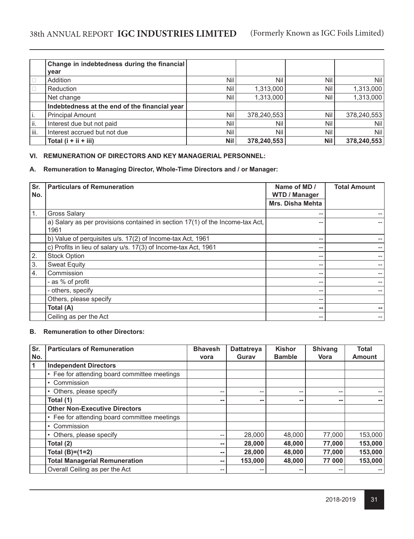|        | Change in indebtedness during the financial<br>year |            |             |     |             |
|--------|-----------------------------------------------------|------------|-------------|-----|-------------|
| $\Box$ | Addition                                            | Nil        | Nil         | Nil | Nil         |
| $\Box$ | Reduction                                           | Nil        | 1,313,000   | Nil | 1,313,000   |
|        | Net change                                          | Nil        | 1,313,000   | Nil | 1,313,000   |
|        | Indebtedness at the end of the financial year       |            |             |     |             |
| ۱i.    | <b>Principal Amount</b>                             | Nil        | 378,240,553 | Nil | 378,240,553 |
| ۱ii.   | Interest due but not paid                           | Nil        | Nil         | Nil | Nil         |
| ∣iii.  | Interest accrued but not due                        | Nil        | Nil         | Nil | Nil         |
|        | Total $(i + ii + iii)$                              | <b>Nil</b> | 378,240,553 | Nil | 378,240,553 |

#### **VI. REMUNERATION OF DIRECTORS AND KEY MANAGERIAL PERSONNEL:**

#### **A. Remuneration to Managing Director, Whole-Time Directors and / or Manager:**

| Sr.<br>No. | <b>Particulars of Remuneration</b>                                                    | Name of MD /<br><b>WTD / Manager</b> | <b>Total Amount</b> |
|------------|---------------------------------------------------------------------------------------|--------------------------------------|---------------------|
|            |                                                                                       | <b>Mrs. Disha Mehta</b>              |                     |
| 1.         | <b>Gross Salary</b>                                                                   | $\overline{\phantom{a}}$             |                     |
|            | a) Salary as per provisions contained in section 17(1) of the Income-tax Act,<br>1961 |                                      |                     |
|            | b) Value of perquisites u/s. 17(2) of Income-tax Act, 1961                            | $\qquad \qquad -$                    |                     |
|            | c) Profits in lieu of salary u/s. 17(3) of Income-tax Act, 1961                       | $-$                                  |                     |
| 2.         | <b>Stock Option</b>                                                                   | $-$                                  |                     |
| 3.         | <b>Sweat Equity</b>                                                                   | $-$                                  |                     |
| 4.         | Commission                                                                            | $-$                                  |                     |
|            | - as % of profit                                                                      | $-$                                  |                     |
|            | - others, specify                                                                     | $-$                                  |                     |
|            | Others, please specify                                                                | --                                   |                     |
|            | Total (A)                                                                             | --                                   |                     |
|            | Ceiling as per the Act                                                                | $\qquad \qquad -$                    |                     |

#### **B. Remuneration to other Directors:**

| Sr.<br>No.   | <b>Particulars of Remuneration</b>           | <b>Bhavesh</b><br>vora | <b>Dattatreya</b><br>Gurav | <b>Kishor</b><br><b>Bamble</b> | <b>Shivang</b><br><b>Vora</b> | <b>Total</b><br><b>Amount</b> |
|--------------|----------------------------------------------|------------------------|----------------------------|--------------------------------|-------------------------------|-------------------------------|
| $\mathbf{1}$ | <b>Independent Directors</b>                 |                        |                            |                                |                               |                               |
|              | • Fee for attending board committee meetings |                        |                            |                                |                               |                               |
|              | • Commission                                 |                        |                            |                                |                               |                               |
|              | • Others, please specify                     | $- -$                  | $- -$                      |                                | --                            |                               |
|              | Total (1)                                    | --                     | --                         | --                             | --                            |                               |
|              | <b>Other Non-Executive Directors</b>         |                        |                            |                                |                               |                               |
|              | • Fee for attending board committee meetings |                        |                            |                                |                               |                               |
|              | • Commission                                 |                        |                            |                                |                               |                               |
|              | • Others, please specify                     | $- -$                  | 28,000                     | 48,000                         | 77.000                        | 153,000                       |
|              | Total (2)                                    | --                     | 28,000                     | 48,000                         | 77,000                        | 153,000                       |
|              | Total $(B)=(1=2)$                            | --                     | 28,000                     | 48,000                         | 77,000                        | 153,000                       |
|              | <b>Total Managerial Remuneration</b>         | --                     | 153,000                    | 48,000                         | 77 000                        | 153,000                       |
|              | Overall Ceiling as per the Act               | $- -$                  | $- -$                      |                                | --                            |                               |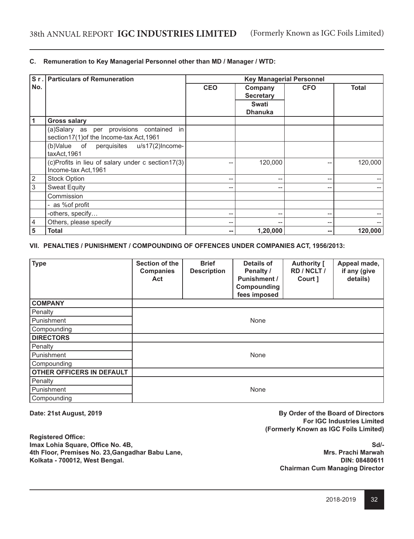#### **C. Remuneration to Key Managerial Personnel other than MD / Manager / WTD:**

|                | S r. Particulars of Remuneration                                                     | <b>Key Managerial Personnel</b> |                             |                   |              |
|----------------|--------------------------------------------------------------------------------------|---------------------------------|-----------------------------|-------------------|--------------|
| No.            |                                                                                      | <b>CEO</b>                      | Company<br><b>Secretary</b> | <b>CFO</b>        | <b>Total</b> |
|                |                                                                                      |                                 | <b>Swati</b>                |                   |              |
|                |                                                                                      |                                 | <b>Dhanuka</b>              |                   |              |
| 1              | <b>Gross salary</b>                                                                  |                                 |                             |                   |              |
|                | (a)Salary as per provisions contained in<br>section17(1) of the Income-tax Act, 1961 |                                 |                             |                   |              |
|                | (b)Value of perquisites u/s17(2)Income-<br>taxAct, 1961                              |                                 |                             |                   |              |
|                | (c)Profits in lieu of salary under c section17(3)<br>Income-tax Act, 1961            | --                              | 120,000                     |                   | 120,000      |
| $\overline{2}$ | <b>Stock Option</b>                                                                  | --                              | --                          | --                |              |
| $\mathbf{3}$   | <b>Sweat Equity</b>                                                                  | --                              |                             |                   |              |
|                | Commission                                                                           |                                 |                             |                   |              |
|                | - as %of profit                                                                      |                                 |                             |                   |              |
|                | -others, specify                                                                     | --                              | --                          | $\qquad \qquad -$ |              |
| $\overline{4}$ | Others, please specify                                                               | --                              |                             | --                |              |
| $5\phantom{a}$ | <b>Total</b>                                                                         | --                              | 1,20,000                    | --                | 120,000      |

#### **VII. PENALTIES / PUNISHMENT / COMPOUNDING OF OFFENCES UNDER COMPANIES ACT, 1956/2013:**

| <b>Type</b>               | Section of the<br><b>Companies</b><br>Act | <b>Brief</b><br><b>Description</b> | <b>Details of</b><br>Penalty /<br><b>Punishment /</b><br>Compounding | <b>Authority</b> [<br>RD / NCLT /<br>Court ] | Appeal made,<br>if any (give<br>details) |  |
|---------------------------|-------------------------------------------|------------------------------------|----------------------------------------------------------------------|----------------------------------------------|------------------------------------------|--|
| <b>COMPANY</b>            |                                           |                                    | fees imposed                                                         |                                              |                                          |  |
| Penalty                   |                                           |                                    |                                                                      |                                              |                                          |  |
| Punishment                | None                                      |                                    |                                                                      |                                              |                                          |  |
| Compounding               |                                           |                                    |                                                                      |                                              |                                          |  |
| <b>DIRECTORS</b>          |                                           |                                    |                                                                      |                                              |                                          |  |
| Penalty                   |                                           |                                    |                                                                      |                                              |                                          |  |
| Punishment                | None                                      |                                    |                                                                      |                                              |                                          |  |
| Compounding               |                                           |                                    |                                                                      |                                              |                                          |  |
| OTHER OFFICERS IN DEFAULT |                                           |                                    |                                                                      |                                              |                                          |  |
| Penalty                   |                                           |                                    |                                                                      |                                              |                                          |  |
| Punishment                | None                                      |                                    |                                                                      |                                              |                                          |  |
| Compounding               |                                           |                                    |                                                                      |                                              |                                          |  |

**Registered Office: Imax Lohia Square, Office No. 4B, Sd/- 4th Floor, Premises No. 23,Gangadhar Babu Lane, Mrs. Prachi Marwah** Kolkata - 700012, West Bengal.

**Date: 21st August, 2019 By Order of the Board of Directors For IGC Industries Limited (Formerly Known as IGC Foils Limited)**

 **Chairman Cum Managing Director**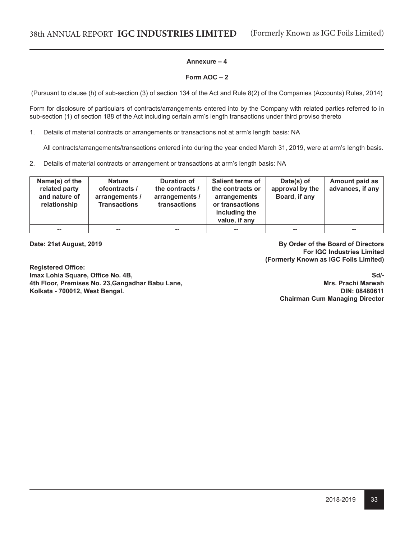#### **Annexure – 4**

#### **Form AOC – 2**

(Pursuant to clause (h) of sub-section (3) of section 134 of the Act and Rule 8(2) of the Companies (Accounts) Rules, 2014)

Form for disclosure of particulars of contracts/arrangements entered into by the Company with related parties referred to in sub-section (1) of section 188 of the Act including certain arm's length transactions under third proviso thereto

1. Details of material contracts or arrangements or transactions not at arm's length basis: NA

All contracts/arrangements/transactions entered into during the year ended March 31, 2019, were at arm's length basis.

2. Details of material contracts or arrangement or transactions at arm's length basis: NA

| Name(s) of the<br>related party<br>and nature of<br>relationship | <b>Nature</b><br>ofcontracts /<br>arrangements /<br><b>Transactions</b> | <b>Duration of</b><br>the contracts /<br>arrangements /<br>transactions | <b>Salient terms of</b><br>the contracts or<br>arrangements<br>or transactions<br>including the<br>value, if any | Date(s) of<br>approval by the<br>Board, if any | Amount paid as<br>advances, if any |
|------------------------------------------------------------------|-------------------------------------------------------------------------|-------------------------------------------------------------------------|------------------------------------------------------------------------------------------------------------------|------------------------------------------------|------------------------------------|
| --                                                               | $- -$                                                                   |                                                                         |                                                                                                                  |                                                | $- -$                              |

**Date: 21st August, 2019 By Order of the Board of Directors For IGC Industries Limited (Formerly Known as IGC Foils Limited)**

**Registered Office: Imax Lohia Square, Office No. 4B, Sd/- 4th Floor, Premises No. 23, Gangadhar Babu Lane, Kolkata - 700012, West Bengal. DIN: 08480611**

 **Chairman Cum Managing Director**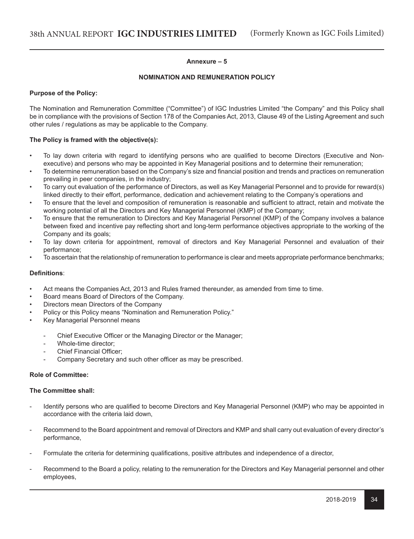### **Annexure – 5**

### **NOMINATION AND REMUNERATION POLICY**

### **Purpose of the Policy:**

The Nomination and Remuneration Committee ("Committee") of IGC Industries Limited "the Company" and this Policy shall be in compliance with the provisions of Section 178 of the Companies Act, 2013, Clause 49 of the Listing Agreement and such other rules / regulations as may be applicable to the Company.

### **The Policy is framed with the objective(s):**

- To lay down criteria with regard to identifying persons who are qualified to become Directors (Executive and Nonexecutive) and persons who may be appointed in Key Managerial positions and to determine their remuneration;
- To determine remuneration based on the Company's size and financial position and trends and practices on remuneration prevailing in peer companies, in the industry;
- To carry out evaluation of the performance of Directors, as well as Key Managerial Personnel and to provide for reward(s) linked directly to their effort, performance, dedication and achievement relating to the Company's operations and
- To ensure that the level and composition of remuneration is reasonable and sufficient to attract, retain and motivate the working potential of all the Directors and Key Managerial Personnel (KMP) of the Company;
- To ensure that the remuneration to Directors and Key Managerial Personnel (KMP) of the Company involves a balance between fixed and incentive pay reflecting short and long-term performance objectives appropriate to the working of the Company and its goals;
- To lay down criteria for appointment, removal of directors and Key Managerial Personnel and evaluation of their performance;
- To ascertain that the relationship of remuneration to performance is clear and meets appropriate performance benchmarks;

#### **Definitions**:

- Act means the Companies Act, 2013 and Rules framed thereunder, as amended from time to time.
- Board means Board of Directors of the Company.
- Directors mean Directors of the Company
- Policy or this Policy means "Nomination and Remuneration Policy."
- Key Managerial Personnel means
	- Chief Executive Officer or the Managing Director or the Manager;
	- Whole-time director:
	- Chief Financial Officer:
	- Company Secretary and such other officer as may be prescribed.

### **Role of Committee:**

#### **The Committee shall:**

- Identify persons who are qualified to become Directors and Key Managerial Personnel (KMP) who may be appointed in accordance with the criteria laid down,
- Recommend to the Board appointment and removal of Directors and KMP and shall carry out evaluation of every director's performance,
- Formulate the criteria for determining qualifications, positive attributes and independence of a director,
- Recommend to the Board a policy, relating to the remuneration for the Directors and Key Managerial personnel and other employees,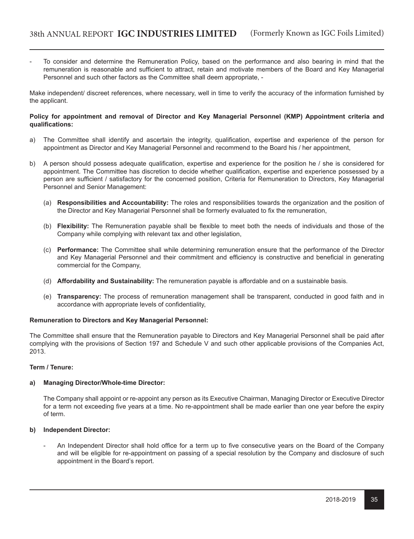- To consider and determine the Remuneration Policy, based on the performance and also bearing in mind that the remuneration is reasonable and sufficient to attract, retain and motivate members of the Board and Key Managerial Personnel and such other factors as the Committee shall deem appropriate, -

Make independent/ discreet references, where necessary, well in time to verify the accuracy of the information furnished by the applicant.

### **Policy for appointment and removal of Director and Key Managerial Personnel (KMP) Appointment criteria and qualifications:**

- a) The Committee shall identify and ascertain the integrity, qualification, expertise and experience of the person for appointment as Director and Key Managerial Personnel and recommend to the Board his / her appointment,
- b) A person should possess adequate qualification, expertise and experience for the position he / she is considered for appointment. The Committee has discretion to decide whether qualification, expertise and experience possessed by a person are sufficient / satisfactory for the concerned position, Criteria for Remuneration to Directors, Key Managerial Personnel and Senior Management:
	- (a) **Responsibilities and Accountability:** The roles and responsibilities towards the organization and the position of the Director and Key Managerial Personnel shall be formerly evaluated to fix the remuneration,
	- (b) **Flexibility:** The Remuneration payable shall be flexible to meet both the needs of individuals and those of the Company while complying with relevant tax and other legislation,
	- (c) **Performance:** The Committee shall while determining remuneration ensure that the performance of the Director and Key Managerial Personnel and their commitment and efficiency is constructive and beneficial in generating commercial for the Company,
	- (d) **Affordability and Sustainability:** The remuneration payable is affordable and on a sustainable basis.
	- (e) **Transparency:** The process of remuneration management shall be transparent, conducted in good faith and in accordance with appropriate levels of confidentiality,

### **Remuneration to Directors and Key Managerial Personnel:**

The Committee shall ensure that the Remuneration payable to Directors and Key Managerial Personnel shall be paid after complying with the provisions of Section 197 and Schedule V and such other applicable provisions of the Companies Act, 2013.

### **Term / Tenure:**

#### **a) Managing Director/Whole-time Director:**

The Company shall appoint or re-appoint any person as its Executive Chairman, Managing Director or Executive Director for a term not exceeding five years at a time. No re-appointment shall be made earlier than one year before the expiry of term.

# **b) Independent Director:**

- An Independent Director shall hold office for a term up to five consecutive years on the Board of the Company and will be eligible for re-appointment on passing of a special resolution by the Company and disclosure of such appointment in the Board's report.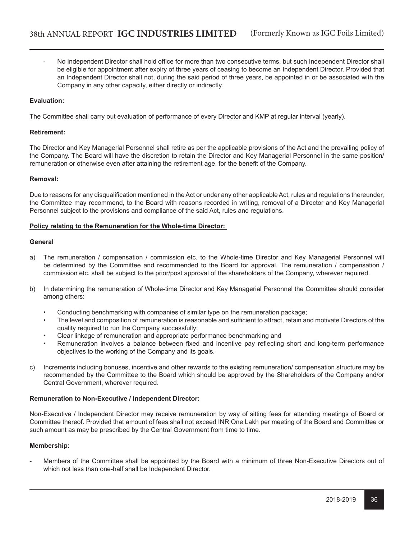- No Independent Director shall hold office for more than two consecutive terms, but such Independent Director shall be eligible for appointment after expiry of three years of ceasing to become an Independent Director. Provided that an Independent Director shall not, during the said period of three years, be appointed in or be associated with the Company in any other capacity, either directly or indirectly.

# **Evaluation:**

The Committee shall carry out evaluation of performance of every Director and KMP at regular interval (yearly).

# **Retirement:**

The Director and Key Managerial Personnel shall retire as per the applicable provisions of the Act and the prevailing policy of the Company. The Board will have the discretion to retain the Director and Key Managerial Personnel in the same position/ remuneration or otherwise even after attaining the retirement age, for the benefit of the Company.

### **Removal:**

Due to reasons for any disqualification mentioned in the Act or under any other applicable Act, rules and regulations thereunder, the Committee may recommend, to the Board with reasons recorded in writing, removal of a Director and Key Managerial Personnel subject to the provisions and compliance of the said Act, rules and regulations.

### **Policy relating to the Remuneration for the Whole-time Director:**

### **General**

- a) The remuneration / compensation / commission etc. to the Whole-time Director and Key Managerial Personnel will be determined by the Committee and recommended to the Board for approval. The remuneration / compensation / commission etc. shall be subject to the prior/post approval of the shareholders of the Company, wherever required.
- b) In determining the remuneration of Whole-time Director and Key Managerial Personnel the Committee should consider among others:
	- Conducting benchmarking with companies of similar type on the remuneration package;
	- The level and composition of remuneration is reasonable and sufficient to attract, retain and motivate Directors of the quality required to run the Company successfully;
	- Clear linkage of remuneration and appropriate performance benchmarking and
	- Remuneration involves a balance between fixed and incentive pay reflecting short and long-term performance objectives to the working of the Company and its goals.
- c) Increments including bonuses, incentive and other rewards to the existing remuneration/ compensation structure may be recommended by the Committee to the Board which should be approved by the Shareholders of the Company and/or Central Government, wherever required.

# **Remuneration to Non-Executive / Independent Director:**

Non-Executive / Independent Director may receive remuneration by way of sitting fees for attending meetings of Board or Committee thereof. Provided that amount of fees shall not exceed INR One Lakh per meeting of the Board and Committee or such amount as may be prescribed by the Central Government from time to time.

#### **Membership:**

Members of the Committee shall be appointed by the Board with a minimum of three Non-Executive Directors out of which not less than one-half shall be Independent Director.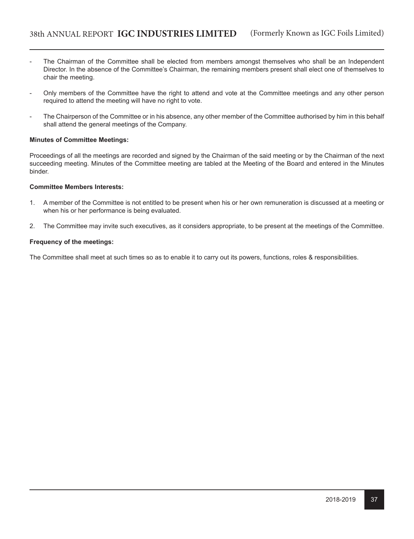- The Chairman of the Committee shall be elected from members amongst themselves who shall be an Independent Director. In the absence of the Committee's Chairman, the remaining members present shall elect one of themselves to chair the meeting.
- Only members of the Committee have the right to attend and vote at the Committee meetings and any other person required to attend the meeting will have no right to vote.
- The Chairperson of the Committee or in his absence, any other member of the Committee authorised by him in this behalf shall attend the general meetings of the Company.

# **Minutes of Committee Meetings:**

Proceedings of all the meetings are recorded and signed by the Chairman of the said meeting or by the Chairman of the next succeeding meeting. Minutes of the Committee meeting are tabled at the Meeting of the Board and entered in the Minutes binder.

# **Committee Members Interests:**

- 1. A member of the Committee is not entitled to be present when his or her own remuneration is discussed at a meeting or when his or her performance is being evaluated.
- 2. The Committee may invite such executives, as it considers appropriate, to be present at the meetings of the Committee.

### **Frequency of the meetings:**

The Committee shall meet at such times so as to enable it to carry out its powers, functions, roles & responsibilities.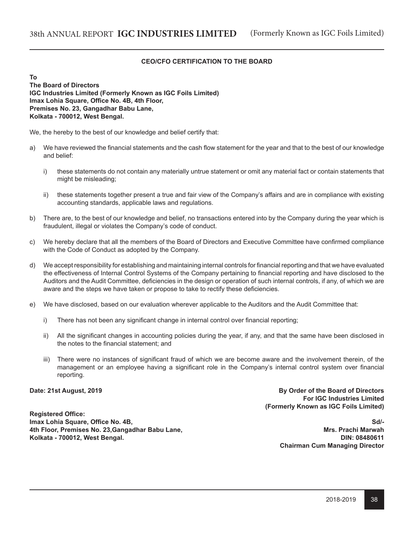# **CEO/CFO CERTIFICATION TO THE BOARD**

**To The Board of Directors IGC Industries Limited (Formerly Known as IGC Foils Limited) Imax Lohia Square, Office No. 4B, 4th Floor, Premises No. 23, Gangadhar Babu Lane, Kolkata - 700012, West Bengal.**

We, the hereby to the best of our knowledge and belief certify that:

- a) We have reviewed the financial statements and the cash flow statement for the year and that to the best of our knowledge and belief:
	- i) these statements do not contain any materially untrue statement or omit any material fact or contain statements that might be misleading;
	- ii) these statements together present a true and fair view of the Company's affairs and are in compliance with existing accounting standards, applicable laws and regulations.
- b) There are, to the best of our knowledge and belief, no transactions entered into by the Company during the year which is fraudulent, illegal or violates the Company's code of conduct.
- c) We hereby declare that all the members of the Board of Directors and Executive Committee have confirmed compliance with the Code of Conduct as adopted by the Company.
- d) We accept responsibility for establishing and maintaining internal controls for financial reporting and that we have evaluated the effectiveness of Internal Control Systems of the Company pertaining to financial reporting and have disclosed to the Auditors and the Audit Committee, deficiencies in the design or operation of such internal controls, if any, of which we are aware and the steps we have taken or propose to take to rectify these deficiencies.
- e) We have disclosed, based on our evaluation wherever applicable to the Auditors and the Audit Committee that:
	- i) There has not been any significant change in internal control over financial reporting;
	- All the significant changes in accounting policies during the year, if any, and that the same have been disclosed in the notes to the financial statement; and
	- iii) There were no instances of significant fraud of which we are become aware and the involvement therein, of the management or an employee having a significant role in the Company's internal control system over financial reporting.

Kolkata - 700012, West Bengal.

**Registered Office:**

**Imax Lohia Square, Office No. 4B, Solution Science 1, 2008, Science 1, 2008, Science 1, 2008, Science 1, 2008, Science 1, 2008, Science 1, 2008, Science 1, 2009, Science 1, 2009, Science 1, 2009, Science 1, 2009, Science** 

**Date: 21st August, 2019 By Order of the Board of Directors For IGC Industries Limited (Formerly Known as IGC Foils Limited)**

**4th Floor, Premises No. 23,Gangadhar Babu Lane, Mrs. Prachi Marwah Chairman Cum Managing Director**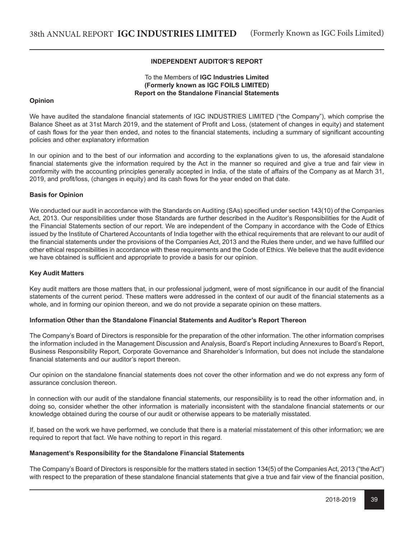# **INDEPENDENT AUDITOR'S REPORT**

# To the Members of **IGC Industries Limited (Formerly known as IGC FOILS LIMITED) Report on the Standalone Financial Statements**

### **Opinion**

We have audited the standalone financial statements of IGC INDUSTRIES LIMITED ("the Company"), which comprise the Balance Sheet as at 31st March 2019, and the statement of Profit and Loss, (statement of changes in equity) and statement of cash flows for the year then ended, and notes to the financial statements, including a summary of significant accounting policies and other explanatory information

In our opinion and to the best of our information and according to the explanations given to us, the aforesaid standalone financial statements give the information required by the Act in the manner so required and give a true and fair view in conformity with the accounting principles generally accepted in India, of the state of affairs of the Company as at March 31, 2019, and profit/loss, (changes in equity) and its cash flows for the year ended on that date.

### **Basis for Opinion**

We conducted our audit in accordance with the Standards on Auditing (SAs) specified under section 143(10) of the Companies Act, 2013. Our responsibilities under those Standards are further described in the Auditor's Responsibilities for the Audit of the Financial Statements section of our report. We are independent of the Company in accordance with the Code of Ethics issued by the Institute of Chartered Accountants of India together with the ethical requirements that are relevant to our audit of the financial statements under the provisions of the Companies Act, 2013 and the Rules there under, and we have fulfilled our other ethical responsibilities in accordance with these requirements and the Code of Ethics. We believe that the audit evidence we have obtained is sufficient and appropriate to provide a basis for our opinion.

#### **Key Audit Matters**

Key audit matters are those matters that, in our professional judgment, were of most significance in our audit of the financial statements of the current period. These matters were addressed in the context of our audit of the financial statements as a whole, and in forming our opinion thereon, and we do not provide a separate opinion on these matters.

### **Information Other than the Standalone Financial Statements and Auditor's Report Thereon**

The Company's Board of Directors is responsible for the preparation of the other information. The other information comprises the information included in the Management Discussion and Analysis, Board's Report including Annexures to Board's Report, Business Responsibility Report, Corporate Governance and Shareholder's Information, but does not include the standalone financial statements and our auditor's report thereon.

Our opinion on the standalone financial statements does not cover the other information and we do not express any form of assurance conclusion thereon.

In connection with our audit of the standalone financial statements, our responsibility is to read the other information and, in doing so, consider whether the other information is materially inconsistent with the standalone financial statements or our knowledge obtained during the course of our audit or otherwise appears to be materially misstated.

If, based on the work we have performed, we conclude that there is a material misstatement of this other information; we are required to report that fact. We have nothing to report in this regard.

### **Management's Responsibility for the Standalone Financial Statements**

The Company's Board of Directors is responsible for the matters stated in section 134(5) of the Companies Act, 2013 ("the Act") with respect to the preparation of these standalone financial statements that give a true and fair view of the financial position,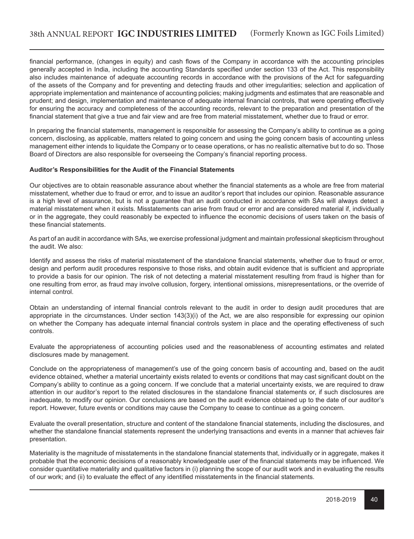financial performance, (changes in equity) and cash flows of the Company in accordance with the accounting principles generally accepted in India, including the accounting Standards specified under section 133 of the Act. This responsibility also includes maintenance of adequate accounting records in accordance with the provisions of the Act for safeguarding of the assets of the Company and for preventing and detecting frauds and other irregularities; selection and application of appropriate implementation and maintenance of accounting policies; making judgments and estimates that are reasonable and prudent; and design, implementation and maintenance of adequate internal financial controls, that were operating effectively for ensuring the accuracy and completeness of the accounting records, relevant to the preparation and presentation of the financial statement that give a true and fair view and are free from material misstatement, whether due to fraud or error.

In preparing the financial statements, management is responsible for assessing the Company's ability to continue as a going concern, disclosing, as applicable, matters related to going concern and using the going concern basis of accounting unless management either intends to liquidate the Company or to cease operations, or has no realistic alternative but to do so. Those Board of Directors are also responsible for overseeing the Company's financial reporting process.

# **Auditor's Responsibilities for the Audit of the Financial Statements**

Our objectives are to obtain reasonable assurance about whether the financial statements as a whole are free from material misstatement, whether due to fraud or error, and to issue an auditor's report that includes our opinion. Reasonable assurance is a high level of assurance, but is not a guarantee that an audit conducted in accordance with SAs will always detect a material misstatement when it exists. Misstatements can arise from fraud or error and are considered material if, individually or in the aggregate, they could reasonably be expected to influence the economic decisions of users taken on the basis of these financial statements.

As part of an audit in accordance with SAs, we exercise professional judgment and maintain professional skepticism throughout the audit. We also:

Identify and assess the risks of material misstatement of the standalone financial statements, whether due to fraud or error, design and perform audit procedures responsive to those risks, and obtain audit evidence that is sufficient and appropriate to provide a basis for our opinion. The risk of not detecting a material misstatement resulting from fraud is higher than for one resulting from error, as fraud may involve collusion, forgery, intentional omissions, misrepresentations, or the override of internal control.

Obtain an understanding of internal financial controls relevant to the audit in order to design audit procedures that are appropriate in the circumstances. Under section 143(3)(i) of the Act, we are also responsible for expressing our opinion on whether the Company has adequate internal financial controls system in place and the operating effectiveness of such controls.

Evaluate the appropriateness of accounting policies used and the reasonableness of accounting estimates and related disclosures made by management.

Conclude on the appropriateness of management's use of the going concern basis of accounting and, based on the audit evidence obtained, whether a material uncertainty exists related to events or conditions that may cast significant doubt on the Company's ability to continue as a going concern. If we conclude that a material uncertainty exists, we are required to draw attention in our auditor's report to the related disclosures in the standalone financial statements or, if such disclosures are inadequate, to modify our opinion. Our conclusions are based on the audit evidence obtained up to the date of our auditor's report. However, future events or conditions may cause the Company to cease to continue as a going concern.

Evaluate the overall presentation, structure and content of the standalone financial statements, including the disclosures, and whether the standalone financial statements represent the underlying transactions and events in a manner that achieves fair presentation.

Materiality is the magnitude of misstatements in the standalone financial statements that, individually or in aggregate, makes it probable that the economic decisions of a reasonably knowledgeable user of the financial statements may be influenced. We consider quantitative materiality and qualitative factors in (i) planning the scope of our audit work and in evaluating the results of our work; and (ii) to evaluate the effect of any identified misstatements in the financial statements.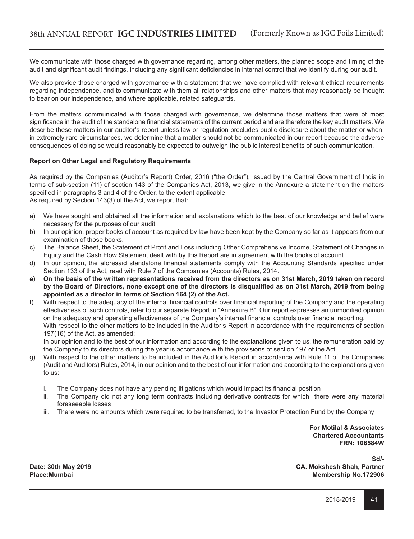We communicate with those charged with governance regarding, among other matters, the planned scope and timing of the audit and significant audit findings, including any significant deficiencies in internal control that we identify during our audit.

We also provide those charged with governance with a statement that we have complied with relevant ethical requirements regarding independence, and to communicate with them all relationships and other matters that may reasonably be thought to bear on our independence, and where applicable, related safeguards.

From the matters communicated with those charged with governance, we determine those matters that were of most significance in the audit of the standalone financial statements of the current period and are therefore the key audit matters. We describe these matters in our auditor's report unless law or regulation precludes public disclosure about the matter or when, in extremely rare circumstances, we determine that a matter should not be communicated in our report because the adverse consequences of doing so would reasonably be expected to outweigh the public interest benefits of such communication.

### **Report on Other Legal and Regulatory Requirements**

As required by the Companies (Auditor's Report) Order, 2016 ("the Order"), issued by the Central Government of India in terms of sub-section (11) of section 143 of the Companies Act, 2013, we give in the Annexure a statement on the matters specified in paragraphs 3 and 4 of the Order, to the extent applicable. As required by Section 143(3) of the Act, we report that:

- a) We have sought and obtained all the information and explanations which to the best of our knowledge and belief were necessary for the purposes of our audit.
- b) In our opinion, proper books of account as required by law have been kept by the Company so far as it appears from our examination of those books.
- c) The Balance Sheet, the Statement of Profit and Loss including Other Comprehensive Income, Statement of Changes in Equity and the Cash Flow Statement dealt with by this Report are in agreement with the books of account.
- d) In our opinion, the aforesaid standalone financial statements comply with the Accounting Standards specified under Section 133 of the Act, read with Rule 7 of the Companies (Accounts) Rules, 2014.
- **e) On the basis of the written representations received from the directors as on 31st March, 2019 taken on record by the Board of Directors, none except one of the directors is disqualified as on 31st March, 2019 from being appointed as a director in terms of Section 164 (2) of the Act.**
- f) With respect to the adequacy of the internal financial controls over financial reporting of the Company and the operating effectiveness of such controls, refer to our separate Report in "Annexure B". Our report expresses an unmodified opinion on the adequacy and operating effectiveness of the Company's internal financial controls over financial reporting. With respect to the other matters to be included in the Auditor's Report in accordance with the requirements of section 197(16) of the Act, as amended:

In our opinion and to the best of our information and according to the explanations given to us, the remuneration paid by the Company to its directors during the year is accordance with the provisions of section 197 of the Act.

- g) With respect to the other matters to be included in the Auditor's Report in accordance with Rule 11 of the Companies (Audit and Auditors) Rules, 2014, in our opinion and to the best of our information and according to the explanations given to us:
	- i. The Company does not have any pending litigations which would impact its financial position
	- ii. The Company did not any long term contracts including derivative contracts for which there were any material foreseeable losses
	- iii. There were no amounts which were required to be transferred, to the Investor Protection Fund by the Company

 **For Motilal & Associates Chartered Accountants FRN: 106584W**

**Sd/- Date: 30th May 2019 CA. Mokshesh Shah, Partner Place:Mumbai Membership No.172906**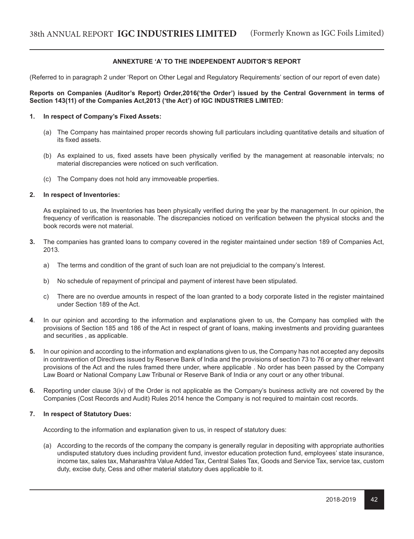# **ANNEXTURE 'A' TO THE INDEPENDENT AUDITOR'S REPORT**

(Referred to in paragraph 2 under 'Report on Other Legal and Regulatory Requirements' section of our report of even date)

# **Reports on Companies (Auditor's Report) Order,2016('the Order') issued by the Central Government in terms of Section 143(11) of the Companies Act,2013 ('the Act') of IGC INDUSTRIES LIMITED:**

#### **1. In respect of Company's Fixed Assets:**

- (a) The Company has maintained proper records showing full particulars including quantitative details and situation of its fixed assets.
- (b) As explained to us, fixed assets have been physically verified by the management at reasonable intervals; no material discrepancies were noticed on such verification.
- (c) The Company does not hold any immoveable properties.

### **2. In respect of Inventories:**

As explained to us, the Inventories has been physically verified during the year by the management. In our opinion, the frequency of verification is reasonable. The discrepancies noticed on verification between the physical stocks and the book records were not material.

- **3.** The companies has granted loans to company covered in the register maintained under section 189 of Companies Act, 2013.
	- a) The terms and condition of the grant of such loan are not prejudicial to the company's Interest.
	- b) No schedule of repayment of principal and payment of interest have been stipulated.
	- c) There are no overdue amounts in respect of the loan granted to a body corporate listed in the register maintained under Section 189 of the Act.
- **4**. In our opinion and according to the information and explanations given to us, the Company has complied with the provisions of Section 185 and 186 of the Act in respect of grant of loans, making investments and providing guarantees and securities , as applicable.
- **5.** In our opinion and according to the information and explanations given to us, the Company has not accepted any deposits in contravention of Directives issued by Reserve Bank of India and the provisions of section 73 to 76 or any other relevant provisions of the Act and the rules framed there under, where applicable . No order has been passed by the Company Law Board or National Company Law Tribunal or Reserve Bank of India or any court or any other tribunal.
- **6.** Reporting under clause 3(iv) of the Order is not applicable as the Company's business activity are not covered by the Companies (Cost Records and Audit) Rules 2014 hence the Company is not required to maintain cost records.

# **7. In respect of Statutory Dues:**

According to the information and explanation given to us, in respect of statutory dues:

(a) According to the records of the company the company is generally regular in depositing with appropriate authorities undisputed statutory dues including provident fund, investor education protection fund, employees' state insurance, income tax, sales tax, Maharashtra Value Added Tax, Central Sales Tax, Goods and Service Tax, service tax, custom duty, excise duty, Cess and other material statutory dues applicable to it.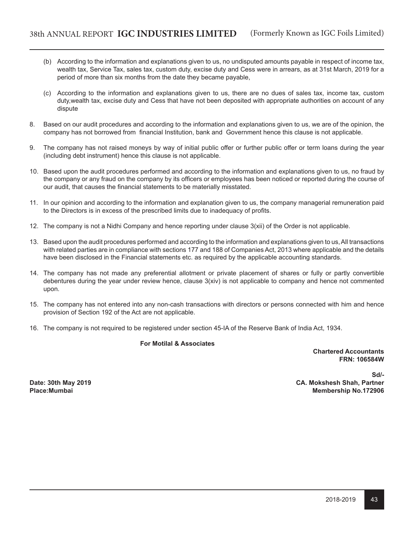- (b) According to the information and explanations given to us, no undisputed amounts payable in respect of income tax, wealth tax, Service Tax, sales tax, custom duty, excise duty and Cess were in arrears, as at 31st March, 2019 for a period of more than six months from the date they became payable,
- (c) According to the information and explanations given to us, there are no dues of sales tax, income tax, custom duty,wealth tax, excise duty and Cess that have not been deposited with appropriate authorities on account of any dispute
- 8. Based on our audit procedures and according to the information and explanations given to us, we are of the opinion, the company has not borrowed from financial Institution, bank and Government hence this clause is not applicable.
- 9. The company has not raised moneys by way of initial public offer or further public offer or term loans during the year (including debt instrument) hence this clause is not applicable.
- 10. Based upon the audit procedures performed and according to the information and explanations given to us, no fraud by the company or any fraud on the company by its officers or employees has been noticed or reported during the course of our audit, that causes the financial statements to be materially misstated.
- 11. In our opinion and according to the information and explanation given to us, the company managerial remuneration paid to the Directors is in excess of the prescribed limits due to inadequacy of profits.
- 12. The company is not a Nidhi Company and hence reporting under clause 3(xii) of the Order is not applicable.
- 13. Based upon the audit procedures performed and according to the information and explanations given to us, All transactions with related parties are in compliance with sections 177 and 188 of Companies Act, 2013 where applicable and the details have been disclosed in the Financial statements etc. as required by the applicable accounting standards.
- 14. The company has not made any preferential allotment or private placement of shares or fully or partly convertible debentures during the year under review hence, clause 3(xiv) is not applicable to company and hence not commented upon.
- 15. The company has not entered into any non-cash transactions with directors or persons connected with him and hence provision of Section 192 of the Act are not applicable.
- 16. The company is not required to be registered under section 45-IA of the Reserve Bank of India Act, 1934.

### **For Motilal & Associates**

**Chartered Accountants FRN: 106584W**

**Sd/- Date: 30th May 2019 CA. Mokshesh Shah, Partner Membership No.172906**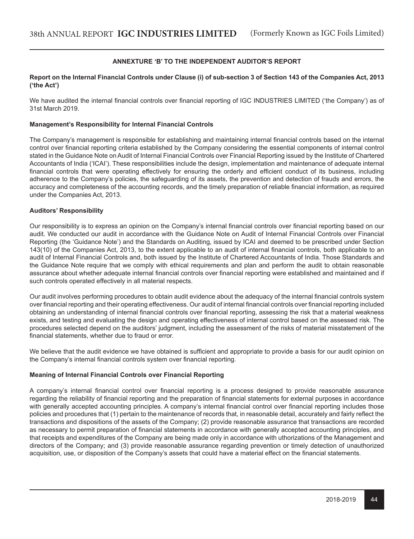# **ANNEXTURE 'B' TO THE INDEPENDENT AUDITOR'S REPORT**

### **Report on the Internal Financial Controls under Clause (i) of sub-section 3 of Section 143 of the Companies Act, 2013 ('the Act')**

We have audited the internal financial controls over financial reporting of IGC INDUSTRIES LIMITED ('the Company') as of 31st March 2019.

#### **Management's Responsibility for Internal Financial Controls**

The Company's management is responsible for establishing and maintaining internal financial controls based on the internal control over financial reporting criteria established by the Company considering the essential components of internal control stated in the Guidance Note on Audit of Internal Financial Controls over Financial Reporting issued by the Institute of Chartered Accountants of India ('ICAI'). These responsibilities include the design, implementation and maintenance of adequate internal financial controls that were operating effectively for ensuring the orderly and efficient conduct of its business, including adherence to the Company's policies, the safeguarding of its assets, the prevention and detection of frauds and errors, the accuracy and completeness of the accounting records, and the timely preparation of reliable financial information, as required under the Companies Act, 2013.

### **Auditors' Responsibility**

Our responsibility is to express an opinion on the Company's internal financial controls over financial reporting based on our audit. We conducted our audit in accordance with the Guidance Note on Audit of Internal Financial Controls over Financial Reporting (the 'Guidance Note') and the Standards on Auditing, issued by ICAI and deemed to be prescribed under Section 143(10) of the Companies Act, 2013, to the extent applicable to an audit of internal financial controls, both applicable to an audit of Internal Financial Controls and, both issued by the Institute of Chartered Accountants of India. Those Standards and the Guidance Note require that we comply with ethical requirements and plan and perform the audit to obtain reasonable assurance about whether adequate internal financial controls over financial reporting were established and maintained and if such controls operated effectively in all material respects.

Our audit involves performing procedures to obtain audit evidence about the adequacy of the internal financial controls system over financial reporting and their operating effectiveness. Our audit of internal financial controls over financial reporting included obtaining an understanding of internal financial controls over financial reporting, assessing the risk that a material weakness exists, and testing and evaluating the design and operating effectiveness of internal control based on the assessed risk. The procedures selected depend on the auditors' judgment, including the assessment of the risks of material misstatement of the financial statements, whether due to fraud or error.

We believe that the audit evidence we have obtained is sufficient and appropriate to provide a basis for our audit opinion on the Company's internal financial controls system over financial reporting.

#### **Meaning of Internal Financial Controls over Financial Reporting**

A company's internal financial control over financial reporting is a process designed to provide reasonable assurance regarding the reliability of financial reporting and the preparation of financial statements for external purposes in accordance with generally accepted accounting principles. A company's internal financial control over financial reporting includes those policies and procedures that (1) pertain to the maintenance of records that, in reasonable detail, accurately and fairly reflect the transactions and dispositions of the assets of the Company; (2) provide reasonable assurance that transactions are recorded as necessary to permit preparation of financial statements in accordance with generally accepted accounting principles, and that receipts and expenditures of the Company are being made only in accordance with uthorizations of the Management and directors of the Company; and (3) provide reasonable assurance regarding prevention or timely detection of unauthorized acquisition, use, or disposition of the Company's assets that could have a material effect on the financial statements.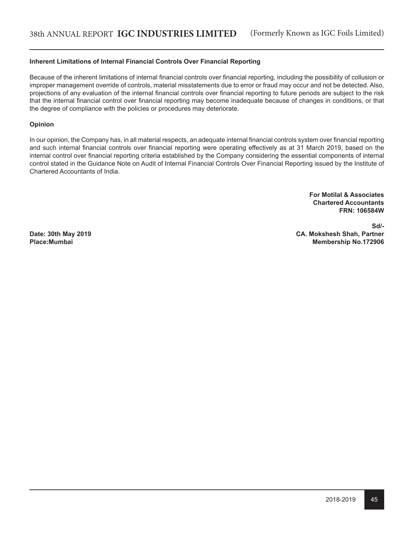# **Inherent Limitations of Internal Financial Controls Over Financial Reporting**

Because of the inherent limitations of internal financial controls over financial reporting, including the possibility of collusion or improper management override of controls, material misstatements due to error or fraud may occur and not be detected. Also, projections of any evaluation of the internal financial controls over financial reporting to future periods are subject to the risk that the internal financial control over financial reporting may become inadequate because of changes in conditions, or that the degree of compliance with the policies or procedures may deteriorate.

#### **Opinion**

In our opinion, the Company has, in all material respects, an adequate internal financial controls system over financial reporting and such internal financial controls over financial reporting were operating effectively as at 31 March 2019, based on the internal control over financial reporting criteria established by the Company considering the essential components of internal control stated in the Guidance Note on Audit of Internal Financial Controls Over Financial Reporting issued by the Institute of Chartered Accountants of India.

> **For Motilal & Associates Chartered Accountants FRN: 106584W**

**Sd/- Date: 30th May 2019 CA. Mokshesh Shah, Partner Membership No.172906**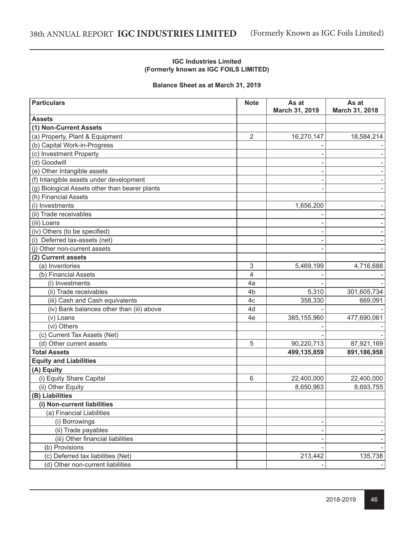# **IGC Industries Limited (Formerly known as IGC FOILS LIMITED)**

# **Balance Sheet as at March 31, 2019**

| <b>Particulars</b>                             | <b>Note</b>    | As at<br>March 31, 2019 | As at<br>March 31, 2018 |
|------------------------------------------------|----------------|-------------------------|-------------------------|
| <b>Assets</b>                                  |                |                         |                         |
| (1) Non-Current Assets                         |                |                         |                         |
| (a) Property, Plant & Equipment                | $\overline{2}$ | 16,270,147              | 18,584,214              |
| (b) Capital Work-in-Progress                   |                |                         |                         |
| (c) Investment Property                        |                |                         |                         |
| (d) Goodwill                                   |                |                         |                         |
| (e) Other Intangible assets                    |                |                         |                         |
| (f) Intangible assets under development        |                |                         |                         |
| (g) Biological Assets other than bearer plants |                |                         |                         |
| (h) Financial Assets                           |                |                         |                         |
| (i) Investments                                |                | 1,656,200               |                         |
| (ii) Trade receivables                         |                |                         |                         |
| (iii) Loans                                    |                |                         |                         |
| (iv) Others (to be specified)                  |                |                         |                         |
| (i) Deferred tax-assets (net)                  |                |                         |                         |
| (j) Other non-current assets                   |                |                         |                         |
| (2) Current assets                             |                |                         |                         |
| (a) Inventories                                | 3              | 5,469,199               | 4,716,688               |
| (b) Financial Assets                           | 4              |                         |                         |
| (i) Investments                                | 4a             |                         |                         |
| (ii) Trade receivables                         | 4b             | 5,310                   | 301,605,734             |
| (iii) Cash and Cash equivalents                | 4c             | 358,330                 | 669,091                 |
| (iv) Bank balances other than (iii) above      | 4d             |                         |                         |
| (v) Loans                                      | 4e             | 385,155,960             | 477,690,061             |
| (vi) Others                                    |                |                         |                         |
| (c) Current Tax Assets (Net)                   |                |                         |                         |
| (d) Other current assets                       | 5              | 90,220,713              | 87,921,169              |
| <b>Total Assets</b>                            |                | 499,135,859             | 891,186,958             |
| <b>Equity and Liabilities</b>                  |                |                         |                         |
| (A) Equity                                     |                |                         |                         |
| (i) Equity Share Capital                       | 6              | 22,400,000              | 22,400,000              |
| (ii) Other Equity                              |                | 8,650,963               | 8,693,755               |
| (B) Liabilities                                |                |                         |                         |
| (i) Non-current liabilities                    |                |                         |                         |
| (a) Financial Liabilities                      |                |                         |                         |
| (i) Borrowings                                 |                |                         |                         |
| (ii) Trade payables                            |                |                         |                         |
| (iii) Other financial liabilities              |                |                         |                         |
| (b) Provisions                                 |                |                         |                         |
| (c) Deferred tax liabilities (Net)             |                | 213,442                 | 135,738                 |
| (d) Other non-current liabilities              |                |                         |                         |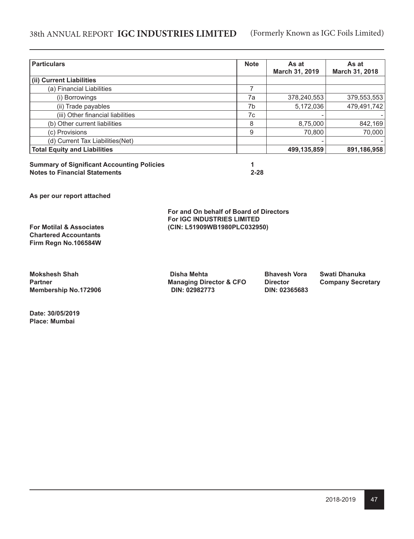| <b>Particulars</b>                  | <b>Note</b> | As at<br>March 31, 2019 | As at<br>March 31, 2018 |
|-------------------------------------|-------------|-------------------------|-------------------------|
| (ii) Current Liabilities            |             |                         |                         |
| (a) Financial Liabilities           |             |                         |                         |
| (i) Borrowings                      | 7a          | 378,240,553             | 379,553,553             |
| (ii) Trade payables                 | 7b          | 5,172,036               | 479,491,742             |
| (iii) Other financial liabilities   | 7c          |                         |                         |
| (b) Other current liabilities       | 8           | 8,75,000                | 842,169                 |
| (c) Provisions                      | 9           | 70,800                  | 70,000                  |
| (d) Current Tax Liabilities (Net)   |             |                         |                         |
| <b>Total Equity and Liabilities</b> |             | 499,135,859             | 891,186,958             |

**Summary of Significant Accounting Policies 1**<br> **Notes to Financial Statements** 2-28 **Notes to Financial Statements** 

**As per our report attached** 

 **For and On behalf of Board of Directors For IGC INDUSTRIES LIMITED**<br>CIN: L51909WB1980PLC03295/ (CIN: L51909WB1980PLC03295) **For Motilal & Associates (CIN: L51909WB1980PLC032950)**

**Chartered Accountants Firm Regn No.106584W**

**Membership No.172906** 

**Date: 30/05/2019 Place: Mumbai** 

Mokshesh Shah **Disha Mehta** Bhavesh Vora Swati Dhanuka<br>Partner **Bartner** Bhavesh Vora Swati Dhanuka<br>Managing Director & CFO Director Company Secretary Partner Managing Director & CFO Director<br>Membership No.172906 **Managing Director & CFO** DIN: 02365683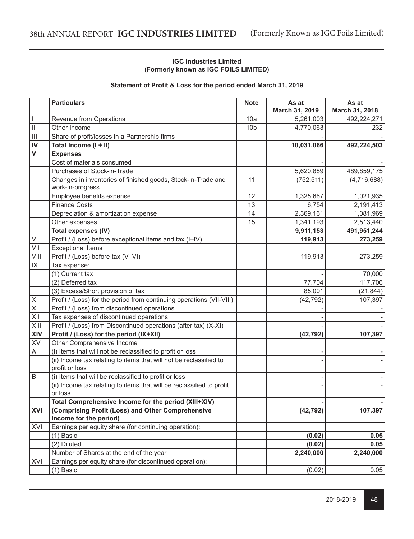# **IGC Industries Limited (Formerly known as IGC FOILS LIMITED)**

# **Statement of Profit & Loss for the period ended March 31, 2019**

|                 | <b>Particulars</b>                                                                   | <b>Note</b>     | As at          | As at          |
|-----------------|--------------------------------------------------------------------------------------|-----------------|----------------|----------------|
|                 |                                                                                      |                 | March 31, 2019 | March 31, 2018 |
| I               | Revenue from Operations                                                              | 10a             | 5,261,003      | 492,224,271    |
| $\vert \Vert$   | Other Income                                                                         | 10 <sub>b</sub> | 4,770,063      | 232            |
| $\mathsf{III}$  | Share of profit/losses in a Partnership firms                                        |                 |                |                |
| IV              | Total Income (I + II)                                                                |                 | 10,031,066     | 492,224,503    |
| $\mathbf v$     | <b>Expenses</b>                                                                      |                 |                |                |
|                 | Cost of materials consumed                                                           |                 |                |                |
|                 | Purchases of Stock-in-Trade                                                          |                 | 5,620,889      | 489,859,175    |
|                 | Changes in inventories of finished goods, Stock-in-Trade and<br>work-in-progress     | 11              | (752, 511)     | (4,716,688)    |
|                 | Employee benefits expense                                                            | 12              | 1,325,667      | 1,021,935      |
|                 | <b>Finance Costs</b>                                                                 | 13              | 6,754          | 2,191,413      |
|                 | Depreciation & amortization expense                                                  | 14              | 2,369,161      | 1,081,969      |
|                 | Other expenses                                                                       | 15              | 1,341,193      | 2,513,440      |
|                 | <b>Total expenses (IV)</b>                                                           |                 | 9,911,153      | 491,951,244    |
| VI              | Profit / (Loss) before exceptional items and tax (I-IV)                              |                 | 119,913        | 273,259        |
| VII             | <b>Exceptional Items</b>                                                             |                 |                |                |
| VIII            | Profit / (Loss) before tax (V-VI)                                                    |                 | 119,913        | 273,259        |
| IX              | Tax expense:                                                                         |                 |                |                |
|                 | (1) Current tax                                                                      |                 |                | 70,000         |
|                 | (2) Deferred tax                                                                     |                 | 77,704         | 117,706        |
|                 | (3) Excess/Short provision of tax                                                    |                 | 85,001         | (21, 844)      |
| X               | Profit / (Loss) for the period from continuing operations (VII-VIII)                 |                 | (42, 792)      | 107,397        |
| $\overline{X}$  | Profit / (Loss) from discontinued operations                                         |                 |                |                |
| x <sub>II</sub> | Tax expenses of discontinued operations                                              |                 |                |                |
| XIII            | Profit / (Loss) from Discontinued operations (after tax) (X-XI)                      |                 |                |                |
| <b>XIV</b>      | Profit / (Loss) for the period (IX+XII)                                              |                 | (42, 792)      | 107,397        |
| XV              | Other Comprehensive Income                                                           |                 |                |                |
| $\overline{A}$  | (i) Items that will not be reclassified to profit or loss                            |                 |                |                |
|                 | (ii) Income tax relating to items that will not be reclassified to<br>profit or loss |                 |                |                |
| B               | (i) Items that will be reclassified to profit or loss                                |                 |                |                |
|                 | (ii) Income tax relating to items that will be reclassified to profit<br>or loss     |                 |                |                |
|                 | Total Comprehensive Income for the period (XIII+XIV)                                 |                 |                |                |
| <b>XVI</b>      | (Comprising Profit (Loss) and Other Comprehensive                                    |                 | (42, 792)      | 107,397        |
|                 | Income for the period)                                                               |                 |                |                |
| XVII            | Earnings per equity share (for continuing operation):                                |                 |                |                |
|                 | (1) Basic                                                                            |                 | (0.02)         | 0.05           |
|                 | (2) Diluted                                                                          |                 | (0.02)         | 0.05           |
|                 | Number of Shares at the end of the year                                              |                 | 2,240,000      | 2,240,000      |
| <b>XVIII</b>    | Earnings per equity share (for discontinued operation):                              |                 |                |                |
|                 | (1) Basic                                                                            |                 | (0.02)         | 0.05           |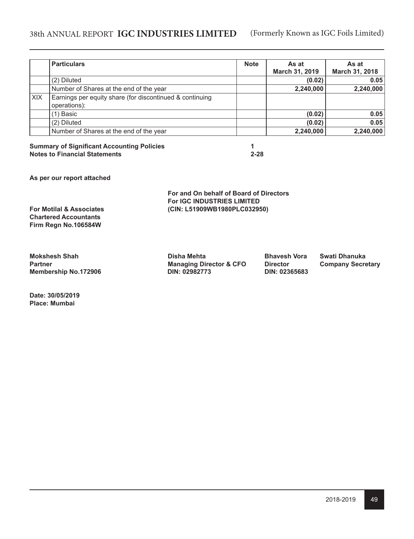# 38th ANNUAL REPORT **IGC INDUSTRIES LIMITED** (Formerly Known as IGC Foils Limited)

|       | <b>Particulars</b>                                                       | <b>Note</b> | As at<br>March 31, 2019 | As at<br>March 31, 2018 |
|-------|--------------------------------------------------------------------------|-------------|-------------------------|-------------------------|
|       | (2) Diluted                                                              |             | (0.02)                  | 0.05                    |
|       | Number of Shares at the end of the year                                  |             | 2,240,000               | 2,240,000               |
| l XIX | Earnings per equity share (for discontinued & continuing<br>operations): |             |                         |                         |
|       | 1) Basic                                                                 |             | (0.02)                  | 0.05                    |
|       | (2) Diluted                                                              |             | (0.02)                  | 0.05                    |
|       | Number of Shares at the end of the year                                  |             | 2,240,000               | 2,240,000               |

**Summary of Significant Accounting Policies 1 1 1 1 1 2-28**<br>Notes to Financial Statements **Notes to Financial Statements** 

**As per our report attached** 

 **For and On behalf of Board of Directors For IGC INDUSTRIES LIMITED For Motilal & Associates (CIN: L51909WB1980PLC032950)**

**Chartered Accountants Firm Regn No.106584W**

**Membership No.172906** 

Mokshesh Shah **Disha Mehta** Disha Mehta Bhavesh Vora Swati Dhanuka<br>Partner Director B. C. Director Director Company Secretary Partner Managing Director & CFO Director<br>Membership No.172906 **Managing Director & CFO** DIN: 02365683

**Date: 30/05/2019 Place: Mumbai**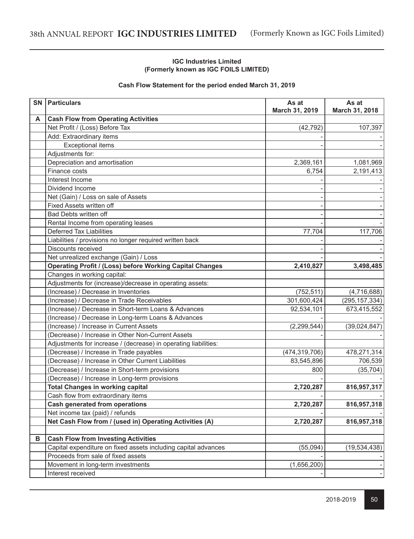# **IGC Industries Limited (Formerly known as IGC FOILS LIMITED)**

# **Cash Flow Statement for the period ended March 31, 2019**

| <b>SN</b> | <b>Particulars</b>                                              | As at<br>March 31, 2019 | As at<br>March 31, 2018 |
|-----------|-----------------------------------------------------------------|-------------------------|-------------------------|
| A         | <b>Cash Flow from Operating Activities</b>                      |                         |                         |
|           | Net Profit / (Loss) Before Tax                                  | (42, 792)               | 107,397                 |
|           | Add: Extraordinary items                                        |                         |                         |
|           | <b>Exceptional items</b>                                        |                         |                         |
|           | Adjustments for:                                                |                         |                         |
|           | Depreciation and amortisation                                   | 2,369,161               | 1,081,969               |
|           | Finance costs                                                   | 6,754                   | 2,191,413               |
|           | Interest Income                                                 |                         |                         |
|           | Dividend Income                                                 |                         |                         |
|           | Net (Gain) / Loss on sale of Assets                             |                         |                         |
|           | Fixed Assets written off                                        |                         |                         |
|           | Bad Debts written off                                           |                         |                         |
|           | Rental Income from operating leases                             |                         |                         |
|           | Deferred Tax Liabilities                                        | 77,704                  | 117,706                 |
|           | Liabilities / provisions no longer required written back        |                         |                         |
|           | Discounts received                                              |                         |                         |
|           | Net unrealized exchange (Gain) / Loss                           |                         |                         |
|           | <b>Operating Profit / (Loss) before Working Capital Changes</b> | 2,410,827               | 3,498,485               |
|           | Changes in working capital:                                     |                         |                         |
|           | Adjustments for (increase)/decrease in operating assets:        |                         |                         |
|           | (Increase) / Decrease in Inventories                            | (752, 511)              | (4,716,688)             |
|           | (Increase) / Decrease in Trade Receivables                      | 301,600,424             | (295, 157, 334)         |
|           | (Increase) / Decrease in Short-term Loans & Advances            | 92,534,101              | 673,415,552             |
|           | (Increase) / Decrease in Long-term Loans & Advances             |                         |                         |
|           | (Increase) / Increase in Current Assets                         | (2, 299, 544)           | (39,024,847)            |
|           | (Decrease) / Increase in Other Non-Current Assets               |                         |                         |
|           | Adjustments for increase / (decrease) in operating liabilities: |                         |                         |
|           | (Decrease) / Increase in Trade payables                         | (474, 319, 706)         | 478,271,314             |
|           | (Decrease) / Increase in Other Current Liabilities              | 83,545,896              | 706,539                 |
|           | (Decrease) / Increase in Short-term provisions                  | 800                     | (35, 704)               |
|           | (Decrease) / Increase in Long-term provisions                   |                         |                         |
|           | <b>Total Changes in working capital</b>                         | 2,720,287               | 816,957,317             |
|           | Cash flow from extraordinary items                              |                         |                         |
|           | <b>Cash generated from operations</b>                           | 2,720,287               | 816,957,318             |
|           | Net income tax (paid) / refunds                                 |                         |                         |
|           | Net Cash Flow from / (used in) Operating Activities (A)         | 2,720,287               | 816,957,318             |
|           |                                                                 |                         |                         |
| В         | <b>Cash Flow from Investing Activities</b>                      |                         |                         |
|           | Capital expenditure on fixed assets including capital advances  | (55,094)                | (19, 534, 438)          |
|           | Proceeds from sale of fixed assets                              |                         |                         |
|           | Movement in long-term investments                               | (1,656,200)             |                         |
|           | Interest received                                               |                         |                         |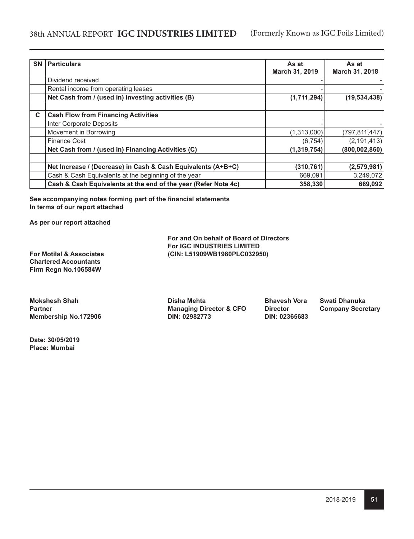| <b>SN</b> | <b>Particulars</b>                                             | As at<br>March 31, 2019 | As at<br>March 31, 2018 |
|-----------|----------------------------------------------------------------|-------------------------|-------------------------|
|           |                                                                |                         |                         |
|           | Dividend received                                              |                         |                         |
|           | Rental income from operating leases                            |                         |                         |
|           | Net Cash from / (used in) investing activities (B)             | (1,711,294)             | (19, 534, 438)          |
|           |                                                                |                         |                         |
| C         | <b>Cash Flow from Financing Activities</b>                     |                         |                         |
|           | Inter Corporate Deposits                                       |                         |                         |
|           | Movement in Borrowing                                          | (1,313,000)             | (797, 811, 447)         |
|           | Finance Cost                                                   | (6, 754)                | (2, 191, 413)           |
|           | Net Cash from / (used in) Financing Activities (C)             | (1, 319, 754)           | (800, 002, 860)         |
|           |                                                                |                         |                         |
|           | Net Increase / (Decrease) in Cash & Cash Equivalents (A+B+C)   | (310, 761)              | (2,579,981)             |
|           | Cash & Cash Equivalents at the beginning of the year           | 669,091                 | 3,249,072               |
|           | Cash & Cash Equivalents at the end of the year (Refer Note 4c) | 358,330                 | 669,092                 |

**See accompanying notes forming part of the financial statements In terms of our report attached**

**As per our report attached** 

For IGC INDUSTRIES LIMITED<br>CIN: L51909WB1980PLC0329<del>!</del> (CIN: L51909WB1980PLC0329 **Chartered Accountants Firm Regn No.106584W**

**Mokshesh Shah Disha Mehta Bhavesh Vora Swati Dhanuka Partner Company Secretary Managing Director & CFO Director Company Secretary Membership No.172906 DIN: 02982773 DIN: 02365683**

 **For and On behalf of Board of Directors** 

**For Motilal & Associates (CIN: L51909WB1980PLC032950)**

**Date: 30/05/2019 Place: Mumbai**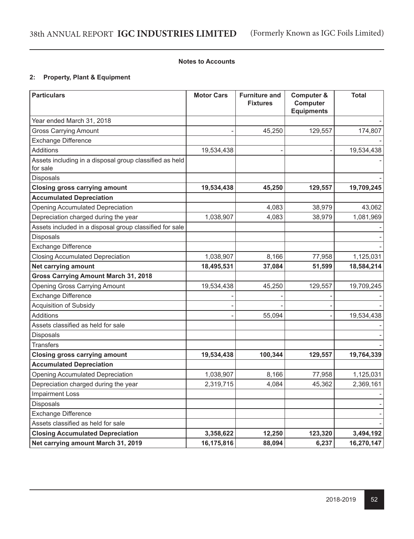# **Notes to Accounts**

# **2: Property, Plant & Equipment**

| <b>Particulars</b>                                                  | <b>Motor Cars</b> | <b>Furniture and</b><br><b>Fixtures</b> | Computer &<br>Computer<br><b>Equipments</b> | <b>Total</b> |
|---------------------------------------------------------------------|-------------------|-----------------------------------------|---------------------------------------------|--------------|
| Year ended March 31, 2018                                           |                   |                                         |                                             |              |
| <b>Gross Carrying Amount</b>                                        |                   | 45,250                                  | 129,557                                     | 174,807      |
| <b>Exchange Difference</b>                                          |                   |                                         |                                             |              |
| <b>Additions</b>                                                    | 19,534,438        |                                         |                                             | 19,534,438   |
| Assets including in a disposal group classified as held<br>for sale |                   |                                         |                                             |              |
| Disposals                                                           |                   |                                         |                                             |              |
| <b>Closing gross carrying amount</b>                                | 19,534,438        | 45,250                                  | 129,557                                     | 19,709,245   |
| <b>Accumulated Depreciation</b>                                     |                   |                                         |                                             |              |
| <b>Opening Accumulated Depreciation</b>                             |                   | 4,083                                   | 38,979                                      | 43,062       |
| Depreciation charged during the year                                | 1,038,907         | 4,083                                   | 38,979                                      | 1,081,969    |
| Assets included in a disposal group classified for sale             |                   |                                         |                                             |              |
| <b>Disposals</b>                                                    |                   |                                         |                                             |              |
| Exchange Difference                                                 |                   |                                         |                                             |              |
| <b>Closing Accumulated Depreciation</b>                             | 1,038,907         | 8,166                                   | 77,958                                      | 1,125,031    |
| <b>Net carrying amount</b>                                          | 18,495,531        | 37,084                                  | 51,599                                      | 18,584,214   |
| <b>Gross Carrying Amount March 31, 2018</b>                         |                   |                                         |                                             |              |
| <b>Opening Gross Carrying Amount</b>                                | 19,534,438        | 45,250                                  | 129,557                                     | 19,709,245   |
| <b>Exchange Difference</b>                                          |                   |                                         |                                             |              |
| Acquisition of Subsidy                                              |                   |                                         |                                             |              |
| <b>Additions</b>                                                    |                   | 55,094                                  |                                             | 19,534,438   |
| Assets classified as held for sale                                  |                   |                                         |                                             |              |
| Disposals                                                           |                   |                                         |                                             |              |
| <b>Transfers</b>                                                    |                   |                                         |                                             |              |
| <b>Closing gross carrying amount</b>                                | 19,534,438        | 100,344                                 | 129,557                                     | 19,764,339   |
| <b>Accumulated Depreciation</b>                                     |                   |                                         |                                             |              |
| <b>Opening Accumulated Depreciation</b>                             | 1,038,907         | 8,166                                   | 77,958                                      | 1,125,031    |
| Depreciation charged during the year                                | 2,319,715         | 4,084                                   | 45,362                                      | 2,369,161    |
| <b>Impairment Loss</b>                                              |                   |                                         |                                             |              |
| Disposals                                                           |                   |                                         |                                             |              |
| Exchange Difference                                                 |                   |                                         |                                             |              |
| Assets classified as held for sale                                  |                   |                                         |                                             |              |
| <b>Closing Accumulated Depreciation</b>                             | 3,358,622         | 12,250                                  | 123,320                                     | 3,494,192    |
| Net carrying amount March 31, 2019                                  | 16,175,816        | 88,094                                  | 6,237                                       | 16,270,147   |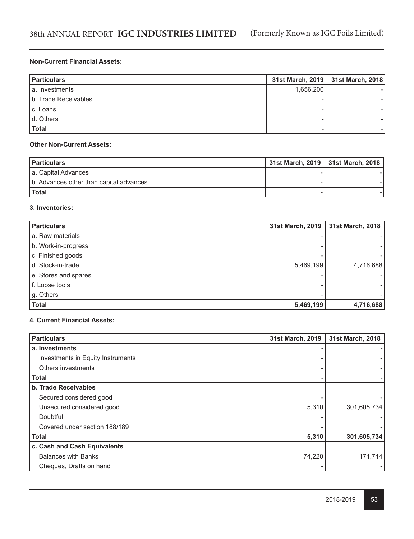# **Non-Current Financial Assets:**

| Particulars          |           | 31st March, 2019   31st March, 2018 |
|----------------------|-----------|-------------------------------------|
| Ia. Investments      | 1,656,200 |                                     |
| b. Trade Receivables |           |                                     |
| Ic. Loans            |           |                                     |
| Id. Others           |           |                                     |
| <b>Total</b>         |           |                                     |

# **Other Non-Current Assets:**

| <b>Particulars</b>                      | 31st March, 2019   31st March, 2018 |
|-----------------------------------------|-------------------------------------|
| a. Capital Advances                     |                                     |
| b. Advances other than capital advances |                                     |
| Total                                   |                                     |

# **3. Inventories:**

| <b>Particulars</b>   | 31st March, 2019 | 31st March, 2018 |
|----------------------|------------------|------------------|
| Ia. Raw materials    |                  |                  |
| b. Work-in-progress  |                  |                  |
| c. Finished goods    |                  |                  |
| Id. Stock-in-trade   | 5,469,199        | 4,716,688        |
| e. Stores and spares |                  |                  |
| If. Loose tools      |                  |                  |
| g. Others            |                  |                  |
| <b>Total</b>         | 5,469,199        | 4,716,688        |

# **4. Current Financial Assets:**

| <b>Particulars</b>                | 31st March, 2019 | 31st March, 2018 |
|-----------------------------------|------------------|------------------|
| <b>a. Investments</b>             |                  |                  |
| Investments in Equity Instruments |                  |                  |
| Others investments                |                  |                  |
| <b>Total</b>                      |                  |                  |
| b. Trade Receivables              |                  |                  |
| Secured considered good           |                  |                  |
| Unsecured considered good         | 5,310            | 301,605,734      |
| Doubtful                          |                  |                  |
| Covered under section 188/189     |                  |                  |
| <b>Total</b>                      | 5,310            | 301,605,734      |
| c. Cash and Cash Equivalents      |                  |                  |
| <b>Balances with Banks</b>        | 74,220           | 171,744          |
| Cheques, Drafts on hand           |                  |                  |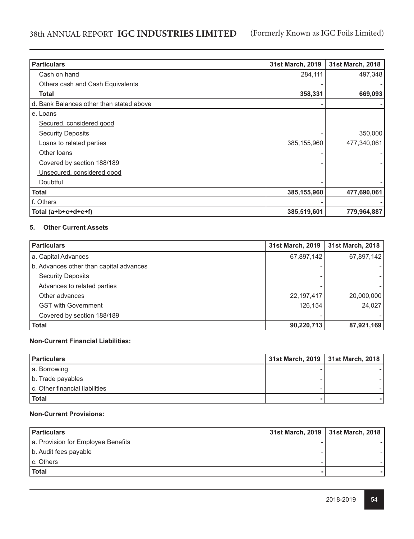|  | 38th ANNUAL REPORT IGC INDUSTRIES LIMITED | (Formerly Know |
|--|-------------------------------------------|----------------|
|--|-------------------------------------------|----------------|

| <b>Particulars</b>                       | 31st March, 2019 | 31st March, 2018 |
|------------------------------------------|------------------|------------------|
| Cash on hand                             | 284,111          | 497,348          |
| Others cash and Cash Equivalents         |                  |                  |
| Total                                    | 358,331          | 669,093          |
| d. Bank Balances other than stated above |                  |                  |
| e. Loans                                 |                  |                  |
| Secured, considered good                 |                  |                  |
| <b>Security Deposits</b>                 |                  | 350,000          |
| Loans to related parties                 | 385,155,960      | 477,340,061      |
| Other Ioans                              |                  |                  |
| Covered by section 188/189               |                  |                  |
| Unsecured, considered good               |                  |                  |
| Doubtful                                 |                  |                  |
| <b>Total</b>                             | 385,155,960      | 477,690,061      |
| f. Others                                |                  |                  |
| Total (a+b+c+d+e+f)                      | 385,519,601      | 779,964,887      |

# **5. Other Current Assets**

| Particulars                             | 31st March, 2019 | 31st March, 2018 |
|-----------------------------------------|------------------|------------------|
| a. Capital Advances                     | 67,897,142       | 67,897,142       |
| b. Advances other than capital advances |                  |                  |
| <b>Security Deposits</b>                |                  |                  |
| Advances to related parties             |                  |                  |
| Other advances                          | 22, 197, 417     | 20,000,000       |
| <b>GST with Government</b>              | 126,154          | 24,027           |
| Covered by section 188/189              |                  |                  |
| <b>Total</b>                            | 90,220,713       | 87,921,169       |

# **Non-Current Financial Liabilities:**

| <b>Particulars</b>              | 31st March, 2019   31st March, 2018 |
|---------------------------------|-------------------------------------|
| a. Borrowing                    |                                     |
| b. Trade payables               |                                     |
| Ic. Other financial liabilities |                                     |
| Total                           |                                     |

# **Non-Current Provisions:**

| <b>Particulars</b>                 | 31st March, 2019   31st March, 2018 |
|------------------------------------|-------------------------------------|
| a. Provision for Employee Benefits |                                     |
| b. Audit fees payable              |                                     |
| c. Others                          |                                     |
| <b>Total</b>                       |                                     |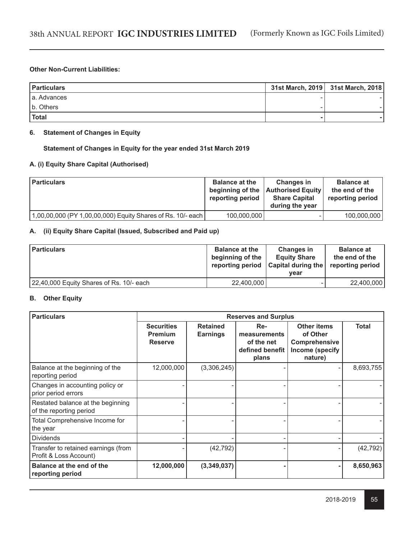# **Other Non-Current Liabilities:**

| Particulars  | 31st March, 2019 31st March, 2018 |
|--------------|-----------------------------------|
| la. Advances |                                   |
| b. Others    |                                   |
| <b>Total</b> |                                   |

# **6. Statement of Changes in Equity**

**Statement of Changes in Equity for the year ended 31st March 2019**

# **A. (i) Equity Share Capital (Authorised)**

| Particulars                                                 | <b>Balance at the</b><br>reporting period | <b>Changes in</b><br>beginning of the   Authorised Equity  <br><b>Share Capital</b><br>during the year | <b>Balance at</b><br>the end of the<br>reporting period |
|-------------------------------------------------------------|-------------------------------------------|--------------------------------------------------------------------------------------------------------|---------------------------------------------------------|
| 1,00,00,000 (PY 1,00,00,000) Equity Shares of Rs. 10/- each | 100.000.000                               |                                                                                                        | 100,000,000                                             |

# **A. (ii) Equity Share Capital (Issued, Subscribed and Paid up)**

| <b>Particulars</b>                       | <b>Balance at the</b><br>beginning of the<br>reporting period | <b>Changes in</b><br><b>Equity Share</b><br>Capital during the<br>vear | <b>Balance at</b><br>the end of the<br>reporting period |
|------------------------------------------|---------------------------------------------------------------|------------------------------------------------------------------------|---------------------------------------------------------|
| 22,40,000 Equity Shares of Rs. 10/- each | 22,400,000                                                    |                                                                        | 22,400,000                                              |

# **B. Other Equity**

| <b>Particulars</b>                                            | <b>Reserves and Surplus</b>                    |                                    |                                                               |                                                                         |              |
|---------------------------------------------------------------|------------------------------------------------|------------------------------------|---------------------------------------------------------------|-------------------------------------------------------------------------|--------------|
|                                                               | <b>Securities</b><br>Premium<br><b>Reserve</b> | <b>Retained</b><br><b>Earnings</b> | Re-<br>measurements<br>of the net<br>defined benefit<br>plans | Other items<br>of Other<br>Comprehensive<br>Income (specify)<br>nature) | <b>Total</b> |
| Balance at the beginning of the<br>reporting period           | 12,000,000                                     | (3,306,245)                        |                                                               |                                                                         | 8,693,755    |
| Changes in accounting policy or<br>prior period errors        |                                                |                                    |                                                               |                                                                         |              |
| Restated balance at the beginning<br>of the reporting period  |                                                |                                    |                                                               |                                                                         |              |
| Total Comprehensive Income for<br>the year                    |                                                |                                    |                                                               |                                                                         |              |
| <b>Dividends</b>                                              |                                                |                                    |                                                               |                                                                         |              |
| Transfer to retained earnings (from<br>Profit & Loss Account) |                                                | (42, 792)                          |                                                               |                                                                         | (42, 792)    |
| Balance at the end of the<br>reporting period                 | 12,000,000                                     | (3,349,037)                        |                                                               | ۰                                                                       | 8,650,963    |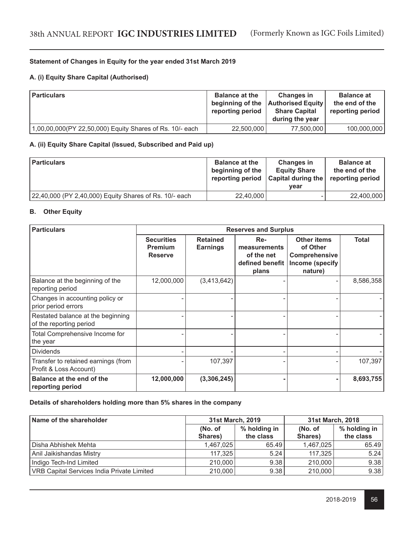# **Statement of Changes in Equity for the year ended 31st March 2019**

# **A. (i) Equity Share Capital (Authorised)**

| Particulars                                              | <b>Balance at the</b><br>beginning of the<br>reporting period | <b>Changes in</b><br><b>Authorised Equity</b><br><b>Share Capital</b><br>during the year | <b>Balance at</b><br>the end of the<br>reporting period |
|----------------------------------------------------------|---------------------------------------------------------------|------------------------------------------------------------------------------------------|---------------------------------------------------------|
| 1,00,00,000(PY 22,50,000) Equity Shares of Rs. 10/- each | 22,500,000                                                    | 77,500,000                                                                               | 100,000,000                                             |

# **A. (ii) Equity Share Capital (Issued, Subscribed and Paid up)**

| Particulars                                            | <b>Balance at the</b><br>beginning of the<br>reporting period | <b>Changes in</b><br><b>Equity Share</b><br>Capital during the<br>vear | <b>Balance at</b><br>the end of the<br>reporting period |
|--------------------------------------------------------|---------------------------------------------------------------|------------------------------------------------------------------------|---------------------------------------------------------|
| 22,40,000 (PY 2,40,000) Equity Shares of Rs. 10/- each | 22.40.000                                                     |                                                                        | 22.400.000                                              |

# **B. Other Equity**

| <b>Particulars</b>                                            | <b>Reserves and Surplus</b>                           |                                    |                                                               |                                                                                      |              |
|---------------------------------------------------------------|-------------------------------------------------------|------------------------------------|---------------------------------------------------------------|--------------------------------------------------------------------------------------|--------------|
|                                                               | <b>Securities</b><br><b>Premium</b><br><b>Reserve</b> | <b>Retained</b><br><b>Earnings</b> | Re-<br>measurements<br>of the net<br>defined benefit<br>plans | <b>Other items</b><br>of Other<br><b>Comprehensive</b><br>Income (specify<br>nature) | <b>Total</b> |
| Balance at the beginning of the<br>reporting period           | 12,000,000                                            | (3,413,642)                        |                                                               |                                                                                      | 8,586,358    |
| Changes in accounting policy or<br>prior period errors        |                                                       |                                    |                                                               |                                                                                      |              |
| Restated balance at the beginning<br>of the reporting period  |                                                       |                                    |                                                               |                                                                                      |              |
| Total Comprehensive Income for<br>the year                    |                                                       |                                    |                                                               |                                                                                      |              |
| <b>Dividends</b>                                              |                                                       |                                    |                                                               |                                                                                      |              |
| Transfer to retained earnings (from<br>Profit & Loss Account) |                                                       | 107,397                            |                                                               |                                                                                      | 107,397      |
| Balance at the end of the<br>reporting period                 | 12,000,000                                            | (3,306,245)                        |                                                               |                                                                                      | 8,693,755    |

# **Details of shareholders holding more than 5% shares in the company**

| Name of the shareholder                           | 31st March, 2019   |                           | 31st March, 2018   |                           |
|---------------------------------------------------|--------------------|---------------------------|--------------------|---------------------------|
|                                                   | (No. of<br>Shares) | % holding in<br>the class | (No. of<br>Shares) | % holding in<br>the class |
| Disha Abhishek Mehta                              | 1,467,025          | 65.49                     | 1,467,025          | 65.49                     |
| Anil Jaikishandas Mistry                          | 117.325            | 5.24                      | 117.325            | 5.24                      |
| Indigo Tech-Ind Limited                           | 210,000            | 9.38                      | 210,000            | 9.38                      |
| <b>VRB Capital Services India Private Limited</b> | 210,000            | 9.38                      | 210,000            | 9.38                      |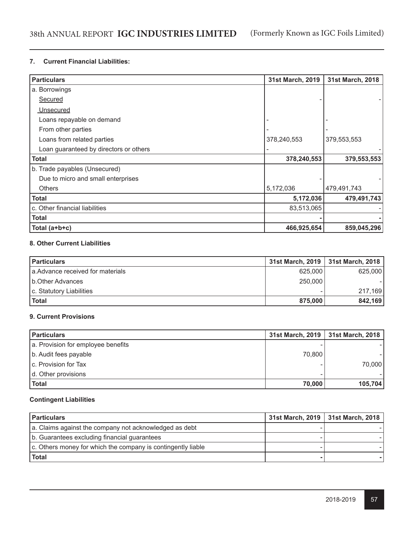# **7. Current Financial Liabilities:**

| <b>Particulars</b>                     | 31st March, 2019 | 31st March, 2018 |
|----------------------------------------|------------------|------------------|
| a. Borrowings                          |                  |                  |
| Secured                                |                  |                  |
| Unsecured                              |                  |                  |
| Loans repayable on demand              |                  |                  |
| From other parties                     |                  |                  |
| Loans from related parties             | 378,240,553      | 379,553,553      |
| Loan guaranteed by directors or others |                  |                  |
| <b>Total</b>                           | 378,240,553      | 379,553,553      |
| b. Trade payables (Unsecured)          |                  |                  |
| Due to micro and small enterprises     |                  |                  |
| <b>Others</b>                          | 5,172,036        | 479,491,743      |
| <b>Total</b>                           | 5,172,036        | 479,491,743      |
| c. Other financial liabilities         | 83,513,065       |                  |
| <b>Total</b>                           |                  |                  |
| Total (a+b+c)                          | 466,925,654      | 859,045,296      |

# **8. Other Current Liabilities**

| <b>Particulars</b>                |         | 31st March, 2019   31st March, 2018 |
|-----------------------------------|---------|-------------------------------------|
| a. Advance received for materials | 625,000 | 625.000                             |
| b.Other Advances                  | 250,000 |                                     |
| c. Statutory Liabilities          |         | 217.169                             |
| <b>Total</b>                      | 875,000 | 842.169                             |

# **9. Current Provisions**

| <b>Particulars</b>                 | 31st March, 2019 | 31st March, 2018 |
|------------------------------------|------------------|------------------|
| a. Provision for employee benefits |                  |                  |
| b. Audit fees payable              | 70.800           |                  |
| Ic. Provision for Tax              |                  | 70,000           |
| d. Other provisions                |                  |                  |
| <b>Total</b>                       | 70,000           | 105,704          |

# **Contingent Liabilities**

| <b>Particulars</b>                                           | 31st March, 2019   31st March, 2018 |
|--------------------------------------------------------------|-------------------------------------|
| a. Claims against the company not acknowledged as debt       |                                     |
| b. Guarantees excluding financial guarantees                 |                                     |
| c. Others money for which the company is contingently liable |                                     |
| <b>Total</b>                                                 |                                     |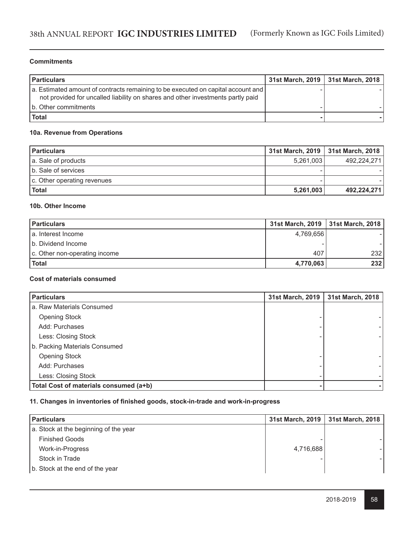# **Commitments**

| <b>Particulars</b>                                                                                                                                                    | 31st March, 2019   31st March, 2018 |
|-----------------------------------------------------------------------------------------------------------------------------------------------------------------------|-------------------------------------|
| a. Estimated amount of contracts remaining to be executed on capital account and  <br>not provided for uncalled liability on shares and other investments partly paid |                                     |
| b. Other commitments                                                                                                                                                  |                                     |
| Total                                                                                                                                                                 |                                     |

# **10a. Revenue from Operations**

| <b>Particulars</b>          |           | 31st March, 2019   31st March, 2018 |
|-----------------------------|-----------|-------------------------------------|
| a. Sale of products         | 5.261.003 | 492.224.271                         |
| b. Sale of services         |           |                                     |
| c. Other operating revenues |           |                                     |
| <b>Total</b>                | 5,261,003 | 492,224,271                         |

# **10b. Other Income**

| <b>Particulars</b>            | 31st March, 2019   31st March, 2018 |      |
|-------------------------------|-------------------------------------|------|
| I a. Interest Income          | 4.769.656                           |      |
| b. Dividend Income            |                                     |      |
| c. Other non-operating income | 407                                 | 2321 |
| Total                         | 4,770,063                           | 232  |

# **Cost of materials consumed**

| Particulars                            | 31st March, 2019 | 31st March, 2018 |
|----------------------------------------|------------------|------------------|
| l a. Raw Materials Consumed            |                  |                  |
| <b>Opening Stock</b>                   |                  |                  |
| Add: Purchases                         |                  |                  |
| Less: Closing Stock                    |                  |                  |
| b. Packing Materials Consumed          |                  |                  |
| <b>Opening Stock</b>                   |                  |                  |
| Add: Purchases                         |                  |                  |
| Less: Closing Stock                    |                  |                  |
| Total Cost of materials consumed (a+b) |                  |                  |

# **11. Changes in inventories of finished goods, stock-in-trade and work-in-progress**

| <b>Particulars</b>                    | 31st March, 2019 | 31st March, 2018 |
|---------------------------------------|------------------|------------------|
| a. Stock at the beginning of the year |                  |                  |
| <b>Finished Goods</b>                 |                  |                  |
| Work-in-Progress                      | 4,716,688        |                  |
| Stock in Trade                        |                  |                  |
| b. Stock at the end of the year       |                  |                  |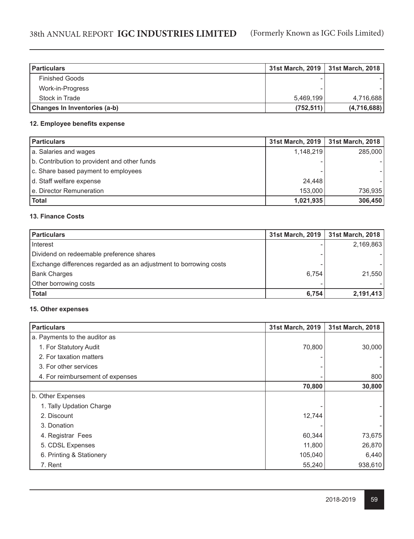| <b>Particulars</b>           |            | 31st March, 2019   31st March, 2018 |
|------------------------------|------------|-------------------------------------|
| <b>Finished Goods</b>        |            |                                     |
| Work-in-Progress             |            |                                     |
| Stock in Trade               | 5,469,199  | 4,716,688                           |
| Changes In Inventories (a-b) | (752, 511) | (4,716,688)                         |

# **12. Employee benefits expense**

| <b>Particulars</b>                           | 31st March, 2019 | 31st March, 2018 |
|----------------------------------------------|------------------|------------------|
| a. Salaries and wages                        | 1,148,219        | 285,000          |
| b. Contribution to provident and other funds |                  |                  |
| c. Share based payment to employees          |                  |                  |
| d. Staff welfare expense                     | 24.448           |                  |
| e. Director Remuneration                     | 153,000          | 736.935          |
| Total                                        | 1,021,935        | 306,450          |

# **13. Finance Costs**

| <b>Particulars</b>                                                | <b>31st March, 2019</b> | 31st March, 2018 |
|-------------------------------------------------------------------|-------------------------|------------------|
| l Interest                                                        |                         | 2,169,863        |
| Dividend on redeemable preference shares                          |                         |                  |
| Exchange differences regarded as an adjustment to borrowing costs |                         |                  |
| <b>Bank Charges</b>                                               | 6.754                   | 21.550           |
| Other borrowing costs                                             |                         |                  |
| Total                                                             | 6,754                   | 2,191,413        |

# **15. Other expenses**

| Particulars                      | 31st March, 2019 | 31st March, 2018 |
|----------------------------------|------------------|------------------|
| a. Payments to the auditor as    |                  |                  |
| 1. For Statutory Audit           | 70,800           | 30,000           |
| 2. For taxation matters          |                  |                  |
| 3. For other services            |                  |                  |
| 4. For reimbursement of expenses |                  | 800              |
|                                  | 70,800           | 30,800           |
| b. Other Expenses                |                  |                  |
| 1. Tally Updation Charge         |                  |                  |
| 2. Discount                      | 12,744           |                  |
| 3. Donation                      |                  |                  |
| 4. Registrar Fees                | 60,344           | 73,675           |
| 5. CDSL Expenses                 | 11,800           | 26,870           |
| 6. Printing & Stationery         | 105,040          | 6,440            |
| 7. Rent                          | 55,240           | 938,610          |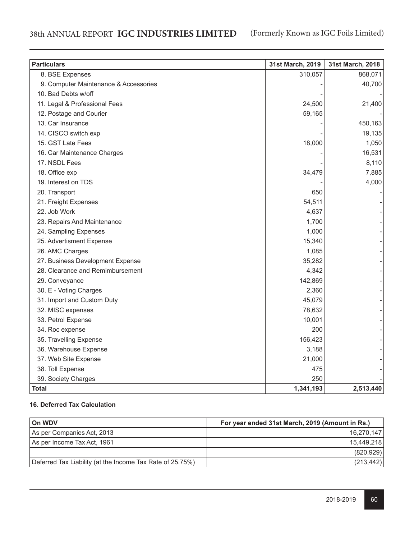| <b>Particulars</b>                    | 31st March, 2019 | 31st March, 2018 |
|---------------------------------------|------------------|------------------|
| 8. BSE Expenses                       | 310,057          | 868,071          |
| 9. Computer Maintenance & Accessories |                  | 40,700           |
| 10. Bad Debts w/off                   |                  |                  |
| 11. Legal & Professional Fees         | 24,500           | 21,400           |
| 12. Postage and Courier               | 59,165           |                  |
| 13. Car Insurance                     |                  | 450,163          |
| 14. CISCO switch exp                  |                  | 19,135           |
| 15. GST Late Fees                     | 18,000           | 1,050            |
| 16. Car Maintenance Charges           |                  | 16,531           |
| 17. NSDL Fees                         |                  | 8,110            |
| 18. Office exp                        | 34,479           | 7,885            |
| 19. Interest on TDS                   |                  | 4,000            |
| 20. Transport                         | 650              |                  |
| 21. Freight Expenses                  | 54,511           |                  |
| 22. Job Work                          | 4,637            |                  |
| 23. Repairs And Maintenance           | 1,700            |                  |
| 24. Sampling Expenses                 | 1,000            |                  |
| 25. Advertisment Expense              | 15,340           |                  |
| 26. AMC Charges                       | 1,085            |                  |
| 27. Business Development Expense      | 35,282           |                  |
| 28. Clearance and Remimbursement      | 4,342            |                  |
| 29. Conveyance                        | 142,869          |                  |
| 30. E - Voting Charges                | 2,360            |                  |
| 31. Import and Custom Duty            | 45,079           |                  |
| 32. MISC expenses                     | 78,632           |                  |
| 33. Petrol Expense                    | 10,001           |                  |
| 34. Roc expense                       | 200              |                  |
| 35. Travelling Expense                | 156,423          |                  |
| 36. Warehouse Expense                 | 3,188            |                  |
| 37. Web Site Expense                  | 21,000           |                  |
| 38. Toll Expense                      | 475              |                  |
| 39. Society Charges                   | 250              |                  |
| <b>Total</b>                          | 1,341,193        | 2,513,440        |

# **16. Deferred Tax Calculation**

| On WDV                                                    | For year ended 31st March, 2019 (Amount in Rs.) |
|-----------------------------------------------------------|-------------------------------------------------|
| As per Companies Act, 2013                                | 16.270.147                                      |
| As per Income Tax Act, 1961                               | 15.449.218                                      |
|                                                           | (820, 929)                                      |
| Deferred Tax Liability (at the Income Tax Rate of 25.75%) | (213, 442)                                      |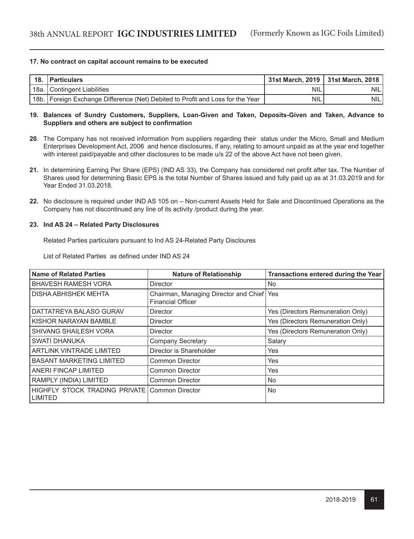# **17. No contract on capital account remains to be executed**

| ່ 18. | <b>Particulars</b>                                                             | 31st March, 2019   31st March, 2018 |                  |
|-------|--------------------------------------------------------------------------------|-------------------------------------|------------------|
|       | 18a.   Contingent Liabilities                                                  | <b>NIL</b>                          | NIL <sub>1</sub> |
|       | 18b. Foreign Exchange Difference (Net) Debited to Profit and Loss for the Year | <b>NIL</b>                          | NIL <sub>1</sub> |

# **19. Balances of Sundry Customers, Suppliers, Loan-Given and Taken, Deposits-Given and Taken, Advance to Suppliers and others are subject to confirmation**

- **20**. The Company has not received information from suppliers regarding their status under the Micro, Small and Medium Enterprises Development Act, 2006 and hence disclosures, if any, relating to amount unpaid as at the year end together with interest paid/payable and other disclosures to be made u/s 22 of the above Act have not been given.
- **21.** In determining Earning Per Share (EPS) (IND AS 33), the Company has considered net profit after tax. The Number of Shares used for determining Basic EPS is the total Number of Shares issued and fully paid up as at 31.03.2019 and for Year Ended 31.03.2018.
- **22.** No disclosure is required under IND AS 105 on Non-current Assets Held for Sale and Discontinued Operations as the Company has not discontinued any line of its activity /product during the year.

### **23. Ind AS 24 – Related Party Disclosures**

Related Parties particulars pursuant to Ind AS 24-Related Party Discloures

List of Related Parties as defined under IND AS 24

| <b>Name of Related Parties</b>                                   | <b>Nature of Relationship</b>                                         | Transactions entered during the Year |
|------------------------------------------------------------------|-----------------------------------------------------------------------|--------------------------------------|
| I BHAVESH RAMESH VORA                                            | Director                                                              | N <sub>o</sub>                       |
| I DISHA ABHISHEK MEHTA                                           | Chairman, Managing Director and Chief Yes<br><b>Financial Officer</b> |                                      |
| I DATTATREYA BALASO GURAV                                        | Director                                                              | Yes (Directors Remuneration Only)    |
| KISHOR NARAYAN BAMBLE                                            | Director                                                              | Yes (Directors Remuneration Only)    |
| I SHIVANG SHAILESH VORA                                          | <b>Director</b>                                                       | Yes (Directors Remuneration Only)    |
| l SWATI DHANUKA                                                  | <b>Company Secretary</b>                                              | Salary                               |
| ARTLINK VINTRADE LIMITED                                         | Director is Shareholder                                               | Yes.                                 |
| I BASANT MARKETING LIMITED                                       | <b>Common Director</b>                                                | Yes                                  |
| <b>ANERI FINCAP LIMITED</b>                                      | <b>Common Director</b>                                                | Yes                                  |
| RAMPLY (INDIA) LIMITED                                           | <b>Common Director</b>                                                | No.                                  |
| HIGHFLY STOCK TRADING PRIVATE Common Director<br><b>ILIMITED</b> |                                                                       | <b>No</b>                            |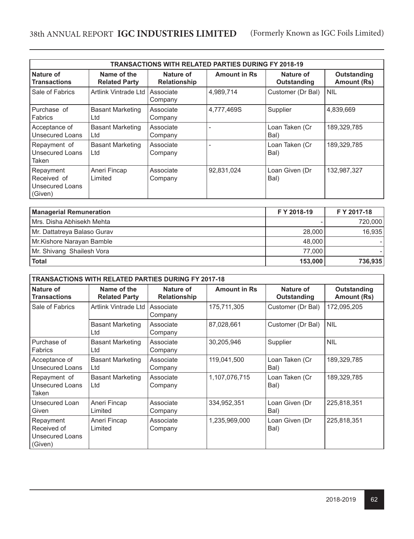| <b>TRANSACTIONS WITH RELATED PARTIES DURING FY 2018-19</b>    |                                     |                                  |                     |                          |                            |
|---------------------------------------------------------------|-------------------------------------|----------------------------------|---------------------|--------------------------|----------------------------|
| Nature of<br><b>Transactions</b>                              | Name of the<br><b>Related Party</b> | Nature of<br><b>Relationship</b> | <b>Amount in Rs</b> | Nature of<br>Outstanding | Outstanding<br>Amount (Rs) |
| Sale of Fabrics                                               | <b>Artlink Vintrade Ltd</b>         | Associate<br>Company             | 4,989,714           | Customer (Dr Bal)        | <b>NIL</b>                 |
| Purchase of<br>Fabrics                                        | <b>Basant Marketing</b><br>Ltd      | Associate<br>Company             | 4,777,469S          | Supplier                 | 4,839,669                  |
| Acceptance of<br><b>Unsecured Loans</b>                       | <b>Basant Marketing</b><br>Ltd      | Associate<br>Company             |                     | Loan Taken (Cr<br>Bal)   | 189,329,785                |
| Repayment of<br><b>Unsecured Loans</b><br>Taken               | <b>Basant Marketing</b><br>Ltd      | Associate<br>Company             |                     | Loan Taken (Cr<br>Bal)   | 189,329,785                |
| Repayment<br>Received of<br><b>Unsecured Loans</b><br>(Given) | Aneri Fincap<br>Limited             | Associate<br>Company             | 92,831,024          | Loan Given (Dr<br>Bal)   | 132,987,327                |

| <b>Managerial Remuneration</b> | F Y 2018-19 | F Y 2017-18 |
|--------------------------------|-------------|-------------|
| HMrs. Disha Abhisekh Mehta     |             | 720,000     |
| Mr. Dattatreya Balaso Gurav    | 28,000      | 16,935      |
| Mr.Kishore Narayan Bamble      | 48,000      |             |
| Mr. Shivang Shailesh Vora      | 77,000      |             |
| Total                          | 153,000     | 736,935     |

| <b>TRANSACTIONS WITH RELATED PARTIES DURING FY 2017-18</b> |                                     |                           |                     |                          |                            |
|------------------------------------------------------------|-------------------------------------|---------------------------|---------------------|--------------------------|----------------------------|
| Nature of<br><b>Transactions</b>                           | Name of the<br><b>Related Party</b> | Nature of<br>Relationship | <b>Amount in Rs</b> | Nature of<br>Outstanding | Outstanding<br>Amount (Rs) |
| Sale of Fabrics                                            | <b>Artlink Vintrade Ltd</b>         | Associate<br>Company      | 175,711,305         | Customer (Dr Bal)        | 172,095,205                |
|                                                            | <b>Basant Marketing</b><br>Ltd      | Associate<br>Company      | 87,028,661          | Customer (Dr Bal)        | <b>NIL</b>                 |
| Purchase of<br>Fabrics                                     | <b>Basant Marketing</b><br>Ltd      | Associate<br>Company      | 30,205,946          | Supplier                 | <b>NIL</b>                 |
| Acceptance of<br><b>Unsecured Loans</b>                    | <b>Basant Marketing</b><br>Ltd      | Associate<br>Company      | 119,041,500         | Loan Taken (Cr<br>Bal)   | 189,329,785                |
| Repayment of<br>Unsecured Loans<br>Taken                   | <b>Basant Marketing</b><br>Ltd      | Associate<br>Company      | 1,107,076,715       | Loan Taken (Cr<br>Bal)   | 189,329,785                |
| Unsecured Loan<br>Given                                    | Aneri Fincap<br>Limited             | Associate<br>Company      | 334,952,351         | Loan Given (Dr<br>Bal)   | 225,818,351                |
| Repayment<br>Received of<br>Unsecured Loans<br>(Given)     | Aneri Fincap<br>Limited             | Associate<br>Company      | 1,235,969,000       | Loan Given (Dr<br>Bal)   | 225,818,351                |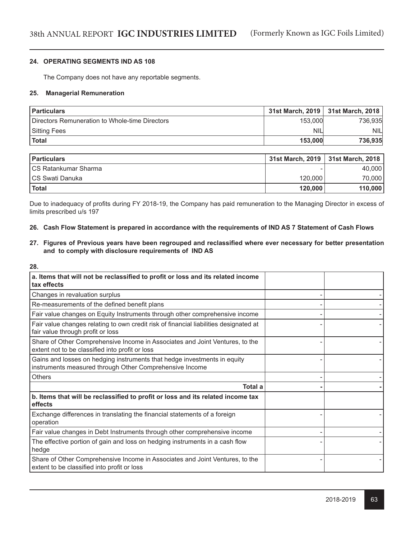# **24. OPERATING SEGMENTS IND AS 108**

The Company does not have any reportable segments.

### **25. Managerial Remuneration**

 $\overline{28}$ 

| <b>Particulars</b>                             |            | 31st March, 2019   31st March, 2018 |
|------------------------------------------------|------------|-------------------------------------|
| Directors Remuneration to Whole-time Directors | 153,000    | 736,935                             |
| Sitting Fees                                   | <b>NIL</b> | NILI                                |
| ' Total                                        | 153,000    | 736,935                             |

| <b>Particulars</b>    | $^{\circ}$ 31st March, 2019 $\,$ 31st March, 2018 |         |
|-----------------------|---------------------------------------------------|---------|
| ICS Ratankumar Sharma |                                                   | 40.000  |
| ICS Swati Danuka      | 120,000                                           | 70.000  |
| 'Total                | 120,000                                           | 110,000 |

Due to inadequacy of profits during FY 2018-19, the Company has paid remuneration to the Managing Director in excess of limits prescribed u/s 197

### **26. Cash Flow Statement is prepared in accordance with the requirements of IND AS 7 Statement of Cash Flows**

# **27. Figures of Previous years have been regrouped and reclassified where ever necessary for better presentation and to comply with disclosure requirements of IND AS**

| 20.                                                                                                                                 |  |
|-------------------------------------------------------------------------------------------------------------------------------------|--|
| a. Items that will not be reclassified to profit or loss and its related income<br>tax effects                                      |  |
| Changes in revaluation surplus                                                                                                      |  |
| Re-measurements of the defined benefit plans                                                                                        |  |
| Fair value changes on Equity Instruments through other comprehensive income                                                         |  |
| Fair value changes relating to own credit risk of financial liabilities designated at<br>fair value through profit or loss          |  |
| Share of Other Comprehensive Income in Associates and Joint Ventures, to the<br>extent not to be classified into profit or loss     |  |
| Gains and losses on hedging instruments that hedge investments in equity<br>instruments measured through Other Comprehensive Income |  |
| <b>Others</b>                                                                                                                       |  |
| Total a                                                                                                                             |  |
| b. Items that will be reclassified to profit or loss and its related income tax<br>effects                                          |  |
| Exchange differences in translating the financial statements of a foreign<br>operation                                              |  |
| Fair value changes in Debt Instruments through other comprehensive income                                                           |  |
| The effective portion of gain and loss on hedging instruments in a cash flow<br>hedge                                               |  |
| Share of Other Comprehensive Income in Associates and Joint Ventures, to the<br>extent to be classified into profit or loss         |  |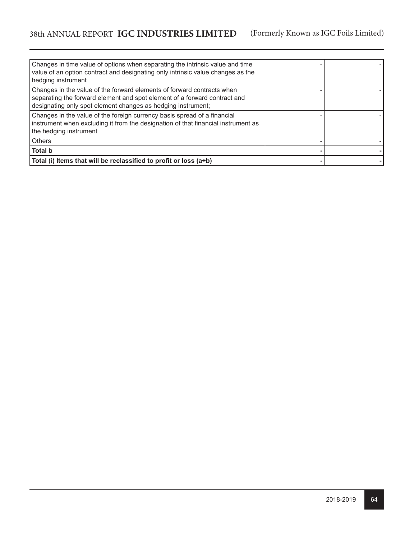| Changes in time value of options when separating the intrinsic value and time<br>value of an option contract and designating only intrinsic value changes as the<br>hedging instrument                              |  |
|---------------------------------------------------------------------------------------------------------------------------------------------------------------------------------------------------------------------|--|
| Changes in the value of the forward elements of forward contracts when<br>separating the forward element and spot element of a forward contract and<br>designating only spot element changes as hedging instrument; |  |
| Changes in the value of the foreign currency basis spread of a financial<br>instrument when excluding it from the designation of that financial instrument as<br>the hedging instrument                             |  |
| Others                                                                                                                                                                                                              |  |
| <b>Total b</b>                                                                                                                                                                                                      |  |
| Total (i) Items that will be reclassified to profit or loss (a+b)                                                                                                                                                   |  |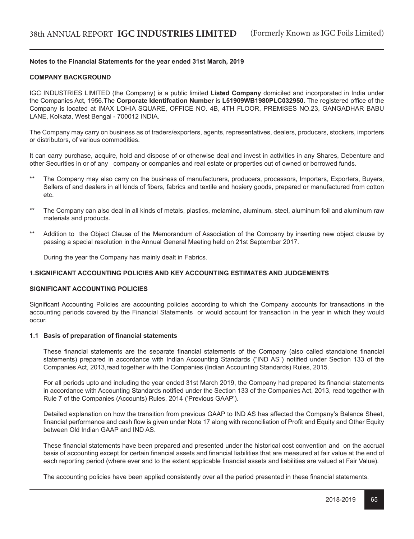### **Notes to the Financial Statements for the year ended 31st March, 2019**

#### **COMPANY BACKGROUND**

IGC INDUSTRIES LIMITED (the Company) is a public limited **Listed Company** domiciled and incorporated in India under the Companies Act, 1956.The **Corporate Identifcation Number** is **L51909WB1980PLC032950**. The registered office of the Company is located at IMAX LOHIA SQUARE, OFFICE NO. 4B, 4TH FLOOR, PREMISES NO.23, GANGADHAR BABU LANE, Kolkata, West Bengal - 700012 INDIA.

The Company may carry on business as of traders/exporters, agents, representatives, dealers, producers, stockers, importers or distributors, of various commodities.

It can carry purchase, acquire, hold and dispose of or otherwise deal and invest in activities in any Shares, Debenture and other Securities in or of any company or companies and real estate or properties out of owned or borrowed funds.

- The Company may also carry on the business of manufacturers, producers, processors, Importers, Exporters, Buyers, Sellers of and dealers in all kinds of fibers, fabrics and textile and hosiery goods, prepared or manufactured from cotton etc.
- \*\* The Company can also deal in all kinds of metals, plastics, melamine, aluminum, steel, aluminum foil and aluminum raw materials and products.
- \*\* Addition to the Object Clause of the Memorandum of Association of the Company by inserting new object clause by passing a special resolution in the Annual General Meeting held on 21st September 2017.

During the year the Company has mainly dealt in Fabrics.

### **1.SIGNIFICANT ACCOUNTING POLICIES AND KEY ACCOUNTING ESTIMATES AND JUDGEMENTS**

#### **SIGNIFICANT ACCOUNTING POLICIES**

Significant Accounting Policies are accounting policies according to which the Company accounts for transactions in the accounting periods covered by the Financial Statements or would account for transaction in the year in which they would occur.

#### **1.1 Basis of preparation of financial statements**

These financial statements are the separate financial statements of the Company (also called standalone financial statements) prepared in accordance with Indian Accounting Standards ("IND AS") notified under Section 133 of the Companies Act, 2013,read together with the Companies (Indian Accounting Standards) Rules, 2015.

For all periods upto and including the year ended 31st March 2019, the Company had prepared its financial statements in accordance with Accounting Standards notified under the Section 133 of the Companies Act, 2013, read together with Rule 7 of the Companies (Accounts) Rules, 2014 ('Previous GAAP').

Detailed explanation on how the transition from previous GAAP to IND AS has affected the Company's Balance Sheet, financial performance and cash flow is given under Note 17 along with reconciliation of Profit and Equity and Other Equity between Old Indian GAAP and IND AS.

These financial statements have been prepared and presented under the historical cost convention and on the accrual basis of accounting except for certain financial assets and financial liabilities that are measured at fair value at the end of each reporting period (where ever and to the extent applicable financial assets and liabilities are valued at Fair Value).

The accounting policies have been applied consistently over all the period presented in these financial statements.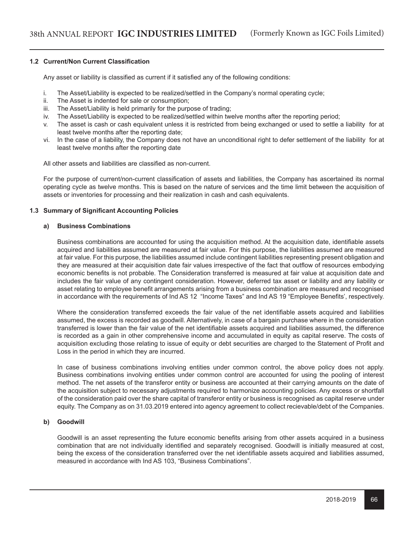# **1.2 Current/Non Current Classification**

Any asset or liability is classified as current if it satisfied any of the following conditions:

- i. The Asset/Liability is expected to be realized/settled in the Company's normal operating cycle;
- ii. The Asset is indented for sale or consumption;
- iii. The Asset/Liability is held primarily for the purpose of trading;
- iv. The Asset/Liability is expected to be realized/settled within twelve months after the reporting period;
- v. The asset is cash or cash equivalent unless it is restricted from being exchanged or used to settle a liability for at least twelve months after the reporting date;
- vi. In the case of a liability, the Company does not have an unconditional right to defer settlement of the liability for at least twelve months after the reporting date

All other assets and liabilities are classified as non-current.

For the purpose of current/non-current classification of assets and liabilities, the Company has ascertained its normal operating cycle as twelve months. This is based on the nature of services and the time limit between the acquisition of assets or inventories for processing and their realization in cash and cash equivalents.

### **1.3 Summary of Significant Accounting Policies**

#### **a) Business Combinations**

Business combinations are accounted for using the acquisition method. At the acquisition date, identifiable assets acquired and liabilities assumed are measured at fair value. For this purpose, the liabilities assumed are measured at fair value. For this purpose, the liabilities assumed include contingent liabilities representing present obligation and they are measured at their acquisition date fair values irrespective of the fact that outflow of resources embodying economic benefits is not probable. The Consideration transferred is measured at fair value at acquisition date and includes the fair value of any contingent consideration. However, deferred tax asset or liability and any liability or asset relating to employee benefit arrangements arising from a business combination are measured and recognised in accordance with the requirements of Ind AS 12 "Income Taxes" and Ind AS 19 "Employee Benefits', respectively.

Where the consideration transferred exceeds the fair value of the net identifiable assets acquired and liabilities assumed, the excess is recorded as goodwill. Alternatively, in case of a bargain purchase where in the consideration transferred is lower than the fair value of the net identifiable assets acquired and liabilities assumed, the difference is recorded as a gain in other comprehensive income and accumulated in equity as capital reserve. The costs of acquisition excluding those relating to issue of equity or debt securities are charged to the Statement of Profit and Loss in the period in which they are incurred.

In case of business combinations involving entities under common control, the above policy does not apply. Business combinations involving entities under common control are accounted for using the pooling of interest method. The net assets of the transferor entity or business are accounted at their carrying amounts on the date of the acquisition subject to necessary adjustments required to harmonize accounting policies. Any excess or shortfall of the consideration paid over the share capital of transferor entity or business is recognised as capital reserve under equity. The Company as on 31.03.2019 entered into agency agreement to collect recievable/debt of the Companies.

#### **b) Goodwill**

Goodwill is an asset representing the future economic benefits arising from other assets acquired in a business combination that are not individually identified and separately recognised. Goodwill is initially measured at cost, being the excess of the consideration transferred over the net identifiable assets acquired and liabilities assumed, measured in accordance with Ind AS 103, "Business Combinations".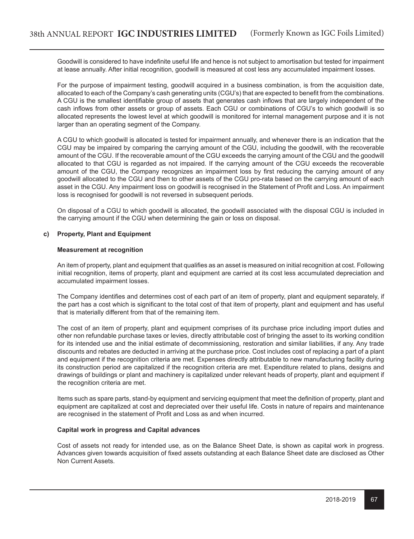Goodwill is considered to have indefinite useful life and hence is not subject to amortisation but tested for impairment at lease annually. After initial recognition, goodwill is measured at cost less any accumulated impairment losses.

For the purpose of impairment testing, goodwill acquired in a business combination, is from the acquisition date, allocated to each of the Company's cash generating units (CGU's) that are expected to benefit from the combinations. A CGU is the smallest identifiable group of assets that generates cash inflows that are largely independent of the cash inflows from other assets or group of assets. Each CGU or combinations of CGU's to which goodwill is so allocated represents the lowest level at which goodwill is monitored for internal management purpose and it is not larger than an operating segment of the Company.

A CGU to which goodwill is allocated is tested for impairment annually, and whenever there is an indication that the CGU may be impaired by comparing the carrying amount of the CGU, including the goodwill, with the recoverable amount of the CGU. If the recoverable amount of the CGU exceeds the carrying amount of the CGU and the goodwill allocated to that CGU is regarded as not impaired. If the carrying amount of the CGU exceeds the recoverable amount of the CGU, the Company recognizes an impairment loss by first reducing the carrying amount of any goodwill allocated to the CGU and then to other assets of the CGU pro-rata based on the carrying amount of each asset in the CGU. Any impairment loss on goodwill is recognised in the Statement of Profit and Loss. An impairment loss is recognised for goodwill is not reversed in subsequent periods.

On disposal of a CGU to which goodwill is allocated, the goodwill associated with the disposal CGU is included in the carrying amount if the CGU when determining the gain or loss on disposal.

# **c) Property, Plant and Equipment**

### **Measurement at recognition**

An item of property, plant and equipment that qualifies as an asset is measured on initial recognition at cost. Following initial recognition, items of property, plant and equipment are carried at its cost less accumulated depreciation and accumulated impairment losses.

The Company identifies and determines cost of each part of an item of property, plant and equipment separately, if the part has a cost which is significant to the total cost of that item of property, plant and equipment and has useful that is materially different from that of the remaining item.

The cost of an item of property, plant and equipment comprises of its purchase price including import duties and other non refundable purchase taxes or levies, directly attributable cost of bringing the asset to its working condition for its intended use and the initial estimate of decommissioning, restoration and similar liabilities, if any. Any trade discounts and rebates are deducted in arriving at the purchase price. Cost includes cost of replacing a part of a plant and equipment if the recognition criteria are met. Expenses directly attributable to new manufacturing facility during its construction period are capitalized if the recognition criteria are met. Expenditure related to plans, designs and drawings of buildings or plant and machinery is capitalized under relevant heads of property, plant and equipment if the recognition criteria are met.

Items such as spare parts, stand-by equipment and servicing equipment that meet the definition of property, plant and equipment are capitalized at cost and depreciated over their useful life. Costs in nature of repairs and maintenance are recognised in the statement of Profit and Loss as and when incurred.

#### **Capital work in progress and Capital advances**

Cost of assets not ready for intended use, as on the Balance Sheet Date, is shown as capital work in progress. Advances given towards acquisition of fixed assets outstanding at each Balance Sheet date are disclosed as Other Non Current Assets.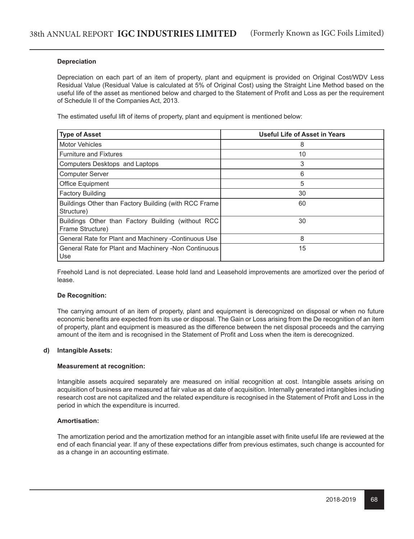### **Depreciation**

Depreciation on each part of an item of property, plant and equipment is provided on Original Cost/WDV Less Residual Value (Residual Value is calculated at 5% of Original Cost) using the Straight Line Method based on the useful life of the asset as mentioned below and charged to the Statement of Profit and Loss as per the requirement of Schedule II of the Companies Act, 2013.

The estimated useful lift of items of property, plant and equipment is mentioned below:

| <b>Type of Asset</b>                                                   | Useful Life of Asset in Years |
|------------------------------------------------------------------------|-------------------------------|
| <b>Motor Vehicles</b>                                                  | 8                             |
| <b>Furniture and Fixtures</b>                                          | 10                            |
| Computers Desktops and Laptops                                         | 3                             |
| <b>Computer Server</b>                                                 | 6                             |
| <b>Office Equipment</b>                                                | 5                             |
| <b>Factory Building</b>                                                | 30                            |
| Buildings Other than Factory Building (with RCC Frame<br>Structure)    | 60                            |
| Buildings Other than Factory Building (without RCC<br>Frame Structure) | 30                            |
| General Rate for Plant and Machinery -Continuous Use                   | 8                             |
| General Rate for Plant and Machinery -Non Continuous<br>Use            | 15                            |

Freehold Land is not depreciated. Lease hold land and Leasehold improvements are amortized over the period of lease.

#### **De Recognition:**

The carrying amount of an item of property, plant and equipment is derecognized on disposal or when no future economic benefits are expected from its use or disposal. The Gain or Loss arising from the De recognition of an item of property, plant and equipment is measured as the difference between the net disposal proceeds and the carrying amount of the item and is recognised in the Statement of Profit and Loss when the item is derecognized.

#### **d) Intangible Assets:**

#### **Measurement at recognition:**

Intangible assets acquired separately are measured on initial recognition at cost. Intangible assets arising on acquisition of business are measured at fair value as at date of acquisition. Internally generated intangibles including research cost are not capitalized and the related expenditure is recognised in the Statement of Profit and Loss in the period in which the expenditure is incurred.

#### **Amortisation:**

The amortization period and the amortization method for an intangible asset with finite useful life are reviewed at the end of each financial year. If any of these expectations differ from previous estimates, such change is accounted for as a change in an accounting estimate.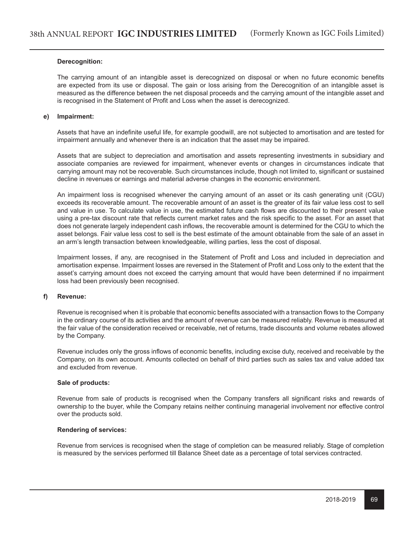# **Derecognition:**

The carrying amount of an intangible asset is derecognized on disposal or when no future economic benefits are expected from its use or disposal. The gain or loss arising from the Derecognition of an intangible asset is measured as the difference between the net disposal proceeds and the carrying amount of the intangible asset and is recognised in the Statement of Profit and Loss when the asset is derecognized.

### **e) Impairment:**

Assets that have an indefinite useful life, for example goodwill, are not subjected to amortisation and are tested for impairment annually and whenever there is an indication that the asset may be impaired.

Assets that are subject to depreciation and amortisation and assets representing investments in subsidiary and associate companies are reviewed for impairment, whenever events or changes in circumstances indicate that carrying amount may not be recoverable. Such circumstances include, though not limited to, significant or sustained decline in revenues or earnings and material adverse changes in the economic environment.

An impairment loss is recognised whenever the carrying amount of an asset or its cash generating unit (CGU) exceeds its recoverable amount. The recoverable amount of an asset is the greater of its fair value less cost to sell and value in use. To calculate value in use, the estimated future cash flows are discounted to their present value using a pre-tax discount rate that reflects current market rates and the risk specific to the asset. For an asset that does not generate largely independent cash inflows, the recoverable amount is determined for the CGU to which the asset belongs. Fair value less cost to sell is the best estimate of the amount obtainable from the sale of an asset in an arm's length transaction between knowledgeable, willing parties, less the cost of disposal.

Impairment losses, if any, are recognised in the Statement of Profit and Loss and included in depreciation and amortisation expense. Impairment losses are reversed in the Statement of Profit and Loss only to the extent that the asset's carrying amount does not exceed the carrying amount that would have been determined if no impairment loss had been previously been recognised.

#### **f) Revenue:**

Revenue is recognised when it is probable that economic benefits associated with a transaction flows to the Company in the ordinary course of its activities and the amount of revenue can be measured reliably. Revenue is measured at the fair value of the consideration received or receivable, net of returns, trade discounts and volume rebates allowed by the Company.

Revenue includes only the gross inflows of economic benefits, including excise duty, received and receivable by the Company, on its own account. Amounts collected on behalf of third parties such as sales tax and value added tax and excluded from revenue.

#### **Sale of products:**

Revenue from sale of products is recognised when the Company transfers all significant risks and rewards of ownership to the buyer, while the Company retains neither continuing managerial involvement nor effective control over the products sold.

#### **Rendering of services:**

Revenue from services is recognised when the stage of completion can be measured reliably. Stage of completion is measured by the services performed till Balance Sheet date as a percentage of total services contracted.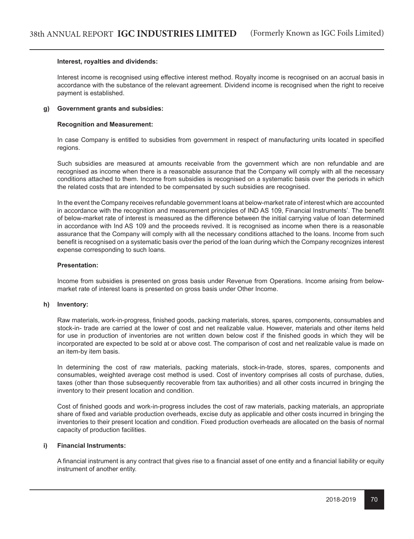## **Interest, royalties and dividends:**

Interest income is recognised using effective interest method. Royalty income is recognised on an accrual basis in accordance with the substance of the relevant agreement. Dividend income is recognised when the right to receive payment is established.

# **g) Government grants and subsidies:**

### **Recognition and Measurement:**

In case Company is entitled to subsidies from government in respect of manufacturing units located in specified regions.

Such subsidies are measured at amounts receivable from the government which are non refundable and are recognised as income when there is a reasonable assurance that the Company will comply with all the necessary conditions attached to them. Income from subsidies is recognised on a systematic basis over the periods in which the related costs that are intended to be compensated by such subsidies are recognised.

In the event the Company receives refundable government loans at below-market rate of interest which are accounted in accordance with the recognition and measurement principles of IND AS 109, Financial Instruments'. The benefit of below-market rate of interest is measured as the difference between the initial carrying value of loan determined in accordance with Ind AS 109 and the proceeds revived. It is recognised as income when there is a reasonable assurance that the Company will comply with all the necessary conditions attached to the loans. Income from such benefit is recognised on a systematic basis over the period of the loan during which the Company recognizes interest expense corresponding to such loans.

## **Presentation:**

Income from subsidies is presented on gross basis under Revenue from Operations. Income arising from belowmarket rate of interest loans is presented on gross basis under Other Income.

#### **h) Inventory:**

Raw materials, work-in-progress, finished goods, packing materials, stores, spares, components, consumables and stock-in- trade are carried at the lower of cost and net realizable value. However, materials and other items held for use in production of inventories are not written down below cost if the finished goods in which they will be incorporated are expected to be sold at or above cost. The comparison of cost and net realizable value is made on an item-by item basis.

In determining the cost of raw materials, packing materials, stock-in-trade, stores, spares, components and consumables, weighted average cost method is used. Cost of inventory comprises all costs of purchase, duties, taxes (other than those subsequently recoverable from tax authorities) and all other costs incurred in bringing the inventory to their present location and condition.

Cost of finished goods and work-in-progress includes the cost of raw materials, packing materials, an appropriate share of fixed and variable production overheads, excise duty as applicable and other costs incurred in bringing the inventories to their present location and condition. Fixed production overheads are allocated on the basis of normal capacity of production facilities.

#### **i) Financial Instruments:**

A financial instrument is any contract that gives rise to a financial asset of one entity and a financial liability or equity instrument of another entity.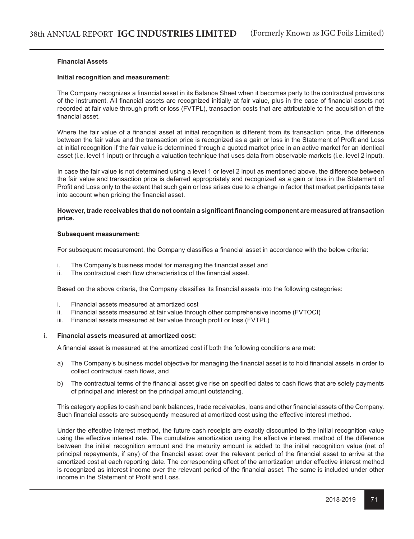# **Financial Assets**

#### **Initial recognition and measurement:**

The Company recognizes a financial asset in its Balance Sheet when it becomes party to the contractual provisions of the instrument. All financial assets are recognized initially at fair value, plus in the case of financial assets not recorded at fair value through profit or loss (FVTPL), transaction costs that are attributable to the acquisition of the financial asset.

Where the fair value of a financial asset at initial recognition is different from its transaction price, the difference between the fair value and the transaction price is recognized as a gain or loss in the Statement of Profit and Loss at initial recognition if the fair value is determined through a quoted market price in an active market for an identical asset (i.e. level 1 input) or through a valuation technique that uses data from observable markets (i.e. level 2 input).

In case the fair value is not determined using a level 1 or level 2 input as mentioned above, the difference between the fair value and transaction price is deferred appropriately and recognized as a gain or loss in the Statement of Profit and Loss only to the extent that such gain or loss arises due to a change in factor that market participants take into account when pricing the financial asset.

## **However, trade receivables that do not contain a significant financing component are measured at transaction price.**

#### **Subsequent measurement:**

For subsequent measurement, the Company classifies a financial asset in accordance with the below criteria:

- i. The Company's business model for managing the financial asset and
- ii. The contractual cash flow characteristics of the financial asset.

Based on the above criteria, the Company classifies its financial assets into the following categories:

- i. Financial assets measured at amortized cost
- ii. Financial assets measured at fair value through other comprehensive income (FVTOCI)
- iii. Financial assets measured at fair value through profit or loss (FVTPL)

#### **i. Financial assets measured at amortized cost:**

A financial asset is measured at the amortized cost if both the following conditions are met:

- a) The Company's business model objective for managing the financial asset is to hold financial assets in order to collect contractual cash flows, and
- b) The contractual terms of the financial asset give rise on specified dates to cash flows that are solely payments of principal and interest on the principal amount outstanding.

This category applies to cash and bank balances, trade receivables, loans and other financial assets of the Company. Such financial assets are subsequently measured at amortized cost using the effective interest method.

Under the effective interest method, the future cash receipts are exactly discounted to the initial recognition value using the effective interest rate. The cumulative amortization using the effective interest method of the difference between the initial recognition amount and the maturity amount is added to the initial recognition value (net of principal repayments, if any) of the financial asset over the relevant period of the financial asset to arrive at the amortized cost at each reporting date. The corresponding effect of the amortization under effective interest method is recognized as interest income over the relevant period of the financial asset. The same is included under other income in the Statement of Profit and Loss.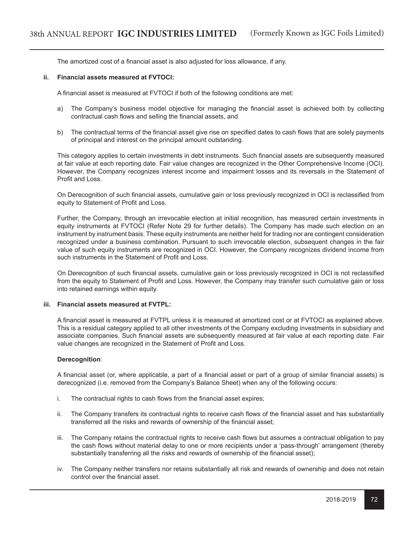The amortized cost of a financial asset is also adjusted for loss allowance, if any.

## **ii. Financial assets measured at FVTOCI:**

A financial asset is measured at FVTOCI if both of the following conditions are met:

- a) The Company's business model objective for managing the financial asset is achieved both by collecting contractual cash flows and selling the financial assets, and
- b) The contractual terms of the financial asset give rise on specified dates to cash flows that are solely payments of principal and interest on the principal amount outstanding.

This category applies to certain investments in debt instruments. Such financial assets are subsequently measured at fair value at each reporting date. Fair value changes are recognized in the Other Comprehensive Income (OCI). However, the Company recognizes interest income and impairment losses and its reversals in the Statement of Profit and Loss.

On Derecognition of such financial assets, cumulative gain or loss previously recognized in OCI is reclassified from equity to Statement of Profit and Loss.

Further, the Company, through an irrevocable election at initial recognition, has measured certain investments in equity instruments at FVTOCI (Refer Note 29 for further details). The Company has made such election on an instrument by instrument basis. These equity instruments are neither held for trading nor are contingent consideration recognized under a business combination. Pursuant to such irrevocable election, subsequent changes in the fair value of such equity instruments are recognized in OCI. However, the Company recognizes dividend income from such instruments in the Statement of Profit and Loss.

On Derecognition of such financial assets, cumulative gain or loss previously recognized in OCI is not reclassified from the equity to Statement of Profit and Loss. However, the Company may transfer such cumulative gain or loss into retained earnings within equity.

#### **iii. Financial assets measured at FVTPL:**

A financial asset is measured at FVTPL unless it is measured at amortized cost or at FVTOCI as explained above. This is a residual category applied to all other investments of the Company excluding investments in subsidiary and associate companies. Such financial assets are subsequently measured at fair value at each reporting date. Fair value changes are recognized in the Statement of Profit and Loss.

# **Derecognition**:

A financial asset (or, where applicable, a part of a financial asset or part of a group of similar financial assets) is derecognized (i.e. removed from the Company's Balance Sheet) when any of the following occurs:

- i. The contractual rights to cash flows from the financial asset expires;
- ii. The Company transfers its contractual rights to receive cash flows of the financial asset and has substantially transferred all the risks and rewards of ownership of the financial asset;
- iii. The Company retains the contractual rights to receive cash flows but assumes a contractual obligation to pay the cash flows without material delay to one or more recipients under a 'pass-through' arrangement (thereby substantially transferring all the risks and rewards of ownership of the financial asset);
- iv. The Company neither transfers nor retains substantially all risk and rewards of ownership and does not retain control over the financial asset.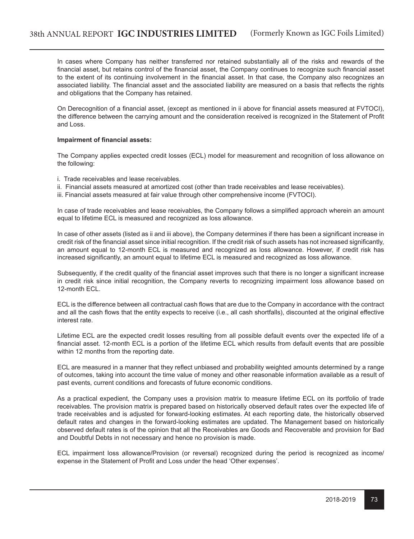In cases where Company has neither transferred nor retained substantially all of the risks and rewards of the financial asset, but retains control of the financial asset, the Company continues to recognize such financial asset to the extent of its continuing involvement in the financial asset. In that case, the Company also recognizes an associated liability. The financial asset and the associated liability are measured on a basis that reflects the rights and obligations that the Company has retained.

On Derecognition of a financial asset, (except as mentioned in ii above for financial assets measured at FVTOCI), the difference between the carrying amount and the consideration received is recognized in the Statement of Profit and Loss.

# **Impairment of financial assets:**

The Company applies expected credit losses (ECL) model for measurement and recognition of loss allowance on the following:

- i. Trade receivables and lease receivables.
- ii. Financial assets measured at amortized cost (other than trade receivables and lease receivables).
- iii. Financial assets measured at fair value through other comprehensive income (FVTOCI).

In case of trade receivables and lease receivables, the Company follows a simplified approach wherein an amount equal to lifetime ECL is measured and recognized as loss allowance.

In case of other assets (listed as ii and iii above), the Company determines if there has been a significant increase in credit risk of the financial asset since initial recognition. If the credit risk of such assets has not increased significantly, an amount equal to 12-month ECL is measured and recognized as loss allowance. However, if credit risk has increased significantly, an amount equal to lifetime ECL is measured and recognized as loss allowance.

Subsequently, if the credit quality of the financial asset improves such that there is no longer a significant increase in credit risk since initial recognition, the Company reverts to recognizing impairment loss allowance based on 12-month ECL.

ECL is the difference between all contractual cash flows that are due to the Company in accordance with the contract and all the cash flows that the entity expects to receive (i.e., all cash shortfalls), discounted at the original effective interest rate.

Lifetime ECL are the expected credit losses resulting from all possible default events over the expected life of a financial asset. 12-month ECL is a portion of the lifetime ECL which results from default events that are possible within 12 months from the reporting date.

ECL are measured in a manner that they reflect unbiased and probability weighted amounts determined by a range of outcomes, taking into account the time value of money and other reasonable information available as a result of past events, current conditions and forecasts of future economic conditions.

As a practical expedient, the Company uses a provision matrix to measure lifetime ECL on its portfolio of trade receivables. The provision matrix is prepared based on historically observed default rates over the expected life of trade receivables and is adjusted for forward-looking estimates. At each reporting date, the historically observed default rates and changes in the forward-looking estimates are updated. The Management based on historically observed default rates is of the opinion that all the Receivables are Goods and Recoverable and provision for Bad and Doubtful Debts in not necessary and hence no provision is made.

ECL impairment loss allowance/Provision (or reversal) recognized during the period is recognized as income/ expense in the Statement of Profit and Loss under the head 'Other expenses'.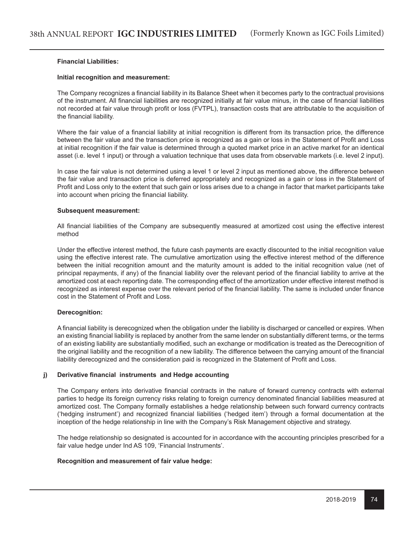# **Financial Liabilities:**

#### **Initial recognition and measurement:**

The Company recognizes a financial liability in its Balance Sheet when it becomes party to the contractual provisions of the instrument. All financial liabilities are recognized initially at fair value minus, in the case of financial liabilities not recorded at fair value through profit or loss (FVTPL), transaction costs that are attributable to the acquisition of the financial liability.

Where the fair value of a financial liability at initial recognition is different from its transaction price, the difference between the fair value and the transaction price is recognized as a gain or loss in the Statement of Profit and Loss at initial recognition if the fair value is determined through a quoted market price in an active market for an identical asset (i.e. level 1 input) or through a valuation technique that uses data from observable markets (i.e. level 2 input).

In case the fair value is not determined using a level 1 or level 2 input as mentioned above, the difference between the fair value and transaction price is deferred appropriately and recognized as a gain or loss in the Statement of Profit and Loss only to the extent that such gain or loss arises due to a change in factor that market participants take into account when pricing the financial liability.

## **Subsequent measurement:**

All financial liabilities of the Company are subsequently measured at amortized cost using the effective interest method

Under the effective interest method, the future cash payments are exactly discounted to the initial recognition value using the effective interest rate. The cumulative amortization using the effective interest method of the difference between the initial recognition amount and the maturity amount is added to the initial recognition value (net of principal repayments, if any) of the financial liability over the relevant period of the financial liability to arrive at the amortized cost at each reporting date. The corresponding effect of the amortization under effective interest method is recognized as interest expense over the relevant period of the financial liability. The same is included under finance cost in the Statement of Profit and Loss.

# **Derecognition:**

A financial liability is derecognized when the obligation under the liability is discharged or cancelled or expires. When an existing financial liability is replaced by another from the same lender on substantially different terms, or the terms of an existing liability are substantially modified, such an exchange or modification is treated as the Derecognition of the original liability and the recognition of a new liability. The difference between the carrying amount of the financial liability derecognized and the consideration paid is recognized in the Statement of Profit and Loss.

# **j) Derivative financial instruments and Hedge accounting**

The Company enters into derivative financial contracts in the nature of forward currency contracts with external parties to hedge its foreign currency risks relating to foreign currency denominated financial liabilities measured at amortized cost. The Company formally establishes a hedge relationship between such forward currency contracts ('hedging instrument') and recognized financial liabilities ('hedged item') through a formal documentation at the inception of the hedge relationship in line with the Company's Risk Management objective and strategy.

The hedge relationship so designated is accounted for in accordance with the accounting principles prescribed for a fair value hedge under Ind AS 109, 'Financial Instruments'.

#### **Recognition and measurement of fair value hedge:**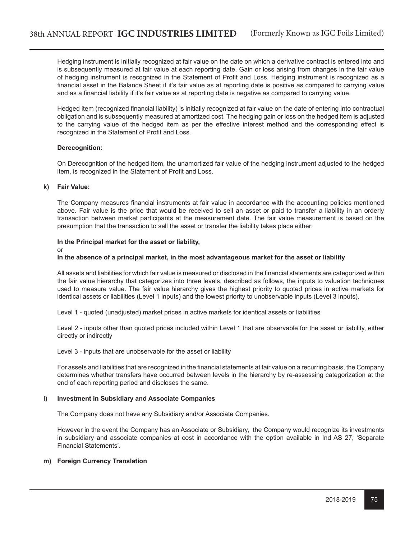Hedging instrument is initially recognized at fair value on the date on which a derivative contract is entered into and is subsequently measured at fair value at each reporting date. Gain or loss arising from changes in the fair value of hedging instrument is recognized in the Statement of Profit and Loss. Hedging instrument is recognized as a financial asset in the Balance Sheet if it's fair value as at reporting date is positive as compared to carrying value and as a financial liability if it's fair value as at reporting date is negative as compared to carrying value.

Hedged item (recognized financial liability) is initially recognized at fair value on the date of entering into contractual obligation and is subsequently measured at amortized cost. The hedging gain or loss on the hedged item is adjusted to the carrying value of the hedged item as per the effective interest method and the corresponding effect is recognized in the Statement of Profit and Loss.

## **Derecognition:**

On Derecognition of the hedged item, the unamortized fair value of the hedging instrument adjusted to the hedged item, is recognized in the Statement of Profit and Loss.

## **k) Fair Value:**

The Company measures financial instruments at fair value in accordance with the accounting policies mentioned above. Fair value is the price that would be received to sell an asset or paid to transfer a liability in an orderly transaction between market participants at the measurement date. The fair value measurement is based on the presumption that the transaction to sell the asset or transfer the liability takes place either:

#### **In the Principal market for the asset or liability,**

#### or

# **In the absence of a principal market, in the most advantageous market for the asset or liability**

All assets and liabilities for which fair value is measured or disclosed in the financial statements are categorized within the fair value hierarchy that categorizes into three levels, described as follows, the inputs to valuation techniques used to measure value. The fair value hierarchy gives the highest priority to quoted prices in active markets for identical assets or liabilities (Level 1 inputs) and the lowest priority to unobservable inputs (Level 3 inputs).

Level 1 - quoted (unadjusted) market prices in active markets for identical assets or liabilities

Level 2 - inputs other than quoted prices included within Level 1 that are observable for the asset or liability, either directly or indirectly

Level 3 - inputs that are unobservable for the asset or liability

For assets and liabilities that are recognized in the financial statements at fair value on a recurring basis, the Company determines whether transfers have occurred between levels in the hierarchy by re-assessing categorization at the end of each reporting period and discloses the same.

## **l) Investment in Subsidiary and Associate Companies**

The Company does not have any Subsidiary and/or Associate Companies.

However in the event the Company has an Associate or Subsidiary, the Company would recognize its investments in subsidiary and associate companies at cost in accordance with the option available in Ind AS 27, 'Separate Financial Statements'.

#### **m) Foreign Currency Translation**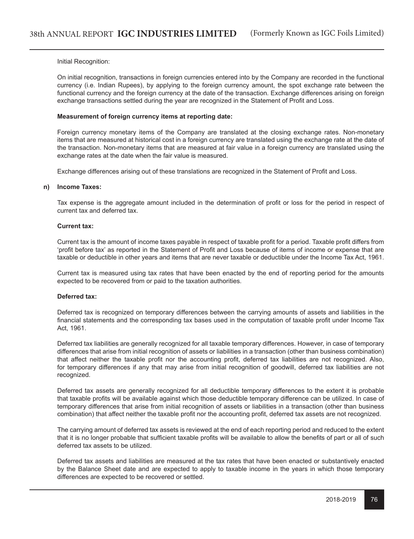Initial Recognition:

On initial recognition, transactions in foreign currencies entered into by the Company are recorded in the functional currency (i.e. Indian Rupees), by applying to the foreign currency amount, the spot exchange rate between the functional currency and the foreign currency at the date of the transaction. Exchange differences arising on foreign exchange transactions settled during the year are recognized in the Statement of Profit and Loss.

## **Measurement of foreign currency items at reporting date:**

Foreign currency monetary items of the Company are translated at the closing exchange rates. Non-monetary items that are measured at historical cost in a foreign currency are translated using the exchange rate at the date of the transaction. Non-monetary items that are measured at fair value in a foreign currency are translated using the exchange rates at the date when the fair value is measured.

Exchange differences arising out of these translations are recognized in the Statement of Profit and Loss.

#### **n) Income Taxes:**

Tax expense is the aggregate amount included in the determination of profit or loss for the period in respect of current tax and deferred tax.

### **Current tax:**

Current tax is the amount of income taxes payable in respect of taxable profit for a period. Taxable profit differs from 'profit before tax' as reported in the Statement of Profit and Loss because of items of income or expense that are taxable or deductible in other years and items that are never taxable or deductible under the Income Tax Act, 1961.

Current tax is measured using tax rates that have been enacted by the end of reporting period for the amounts expected to be recovered from or paid to the taxation authorities.

#### **Deferred tax:**

Deferred tax is recognized on temporary differences between the carrying amounts of assets and liabilities in the financial statements and the corresponding tax bases used in the computation of taxable profit under Income Tax Act, 1961.

Deferred tax liabilities are generally recognized for all taxable temporary differences. However, in case of temporary differences that arise from initial recognition of assets or liabilities in a transaction (other than business combination) that affect neither the taxable profit nor the accounting profit, deferred tax liabilities are not recognized. Also, for temporary differences if any that may arise from initial recognition of goodwill, deferred tax liabilities are not recognized.

Deferred tax assets are generally recognized for all deductible temporary differences to the extent it is probable that taxable profits will be available against which those deductible temporary difference can be utilized. In case of temporary differences that arise from initial recognition of assets or liabilities in a transaction (other than business combination) that affect neither the taxable profit nor the accounting profit, deferred tax assets are not recognized.

The carrying amount of deferred tax assets is reviewed at the end of each reporting period and reduced to the extent that it is no longer probable that sufficient taxable profits will be available to allow the benefits of part or all of such deferred tax assets to be utilized.

Deferred tax assets and liabilities are measured at the tax rates that have been enacted or substantively enacted by the Balance Sheet date and are expected to apply to taxable income in the years in which those temporary differences are expected to be recovered or settled.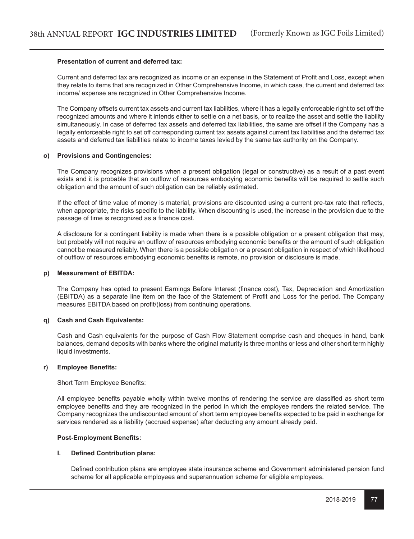# **Presentation of current and deferred tax:**

Current and deferred tax are recognized as income or an expense in the Statement of Profit and Loss, except when they relate to items that are recognized in Other Comprehensive Income, in which case, the current and deferred tax income/ expense are recognized in Other Comprehensive Income.

The Company offsets current tax assets and current tax liabilities, where it has a legally enforceable right to set off the recognized amounts and where it intends either to settle on a net basis, or to realize the asset and settle the liability simultaneously. In case of deferred tax assets and deferred tax liabilities, the same are offset if the Company has a legally enforceable right to set off corresponding current tax assets against current tax liabilities and the deferred tax assets and deferred tax liabilities relate to income taxes levied by the same tax authority on the Company.

## **o) Provisions and Contingencies:**

The Company recognizes provisions when a present obligation (legal or constructive) as a result of a past event exists and it is probable that an outflow of resources embodying economic benefits will be required to settle such obligation and the amount of such obligation can be reliably estimated.

If the effect of time value of money is material, provisions are discounted using a current pre-tax rate that reflects, when appropriate, the risks specific to the liability. When discounting is used, the increase in the provision due to the passage of time is recognized as a finance cost.

A disclosure for a contingent liability is made when there is a possible obligation or a present obligation that may, but probably will not require an outflow of resources embodying economic benefits or the amount of such obligation cannot be measured reliably. When there is a possible obligation or a present obligation in respect of which likelihood of outflow of resources embodying economic benefits is remote, no provision or disclosure is made.

### **p) Measurement of EBITDA:**

The Company has opted to present Earnings Before Interest (finance cost), Tax, Depreciation and Amortization (EBITDA) as a separate line item on the face of the Statement of Profit and Loss for the period. The Company measures EBITDA based on profit/(loss) from continuing operations.

# **q) Cash and Cash Equivalents:**

Cash and Cash equivalents for the purpose of Cash Flow Statement comprise cash and cheques in hand, bank balances, demand deposits with banks where the original maturity is three months or less and other short term highly liquid investments.

#### **r) Employee Benefits:**

Short Term Employee Benefits:

All employee benefits payable wholly within twelve months of rendering the service are classified as short term employee benefits and they are recognized in the period in which the employee renders the related service. The Company recognizes the undiscounted amount of short term employee benefits expected to be paid in exchange for services rendered as a liability (accrued expense) after deducting any amount already paid.

#### **Post-Employment Benefits:**

# **I. Defined Contribution plans:**

Defined contribution plans are employee state insurance scheme and Government administered pension fund scheme for all applicable employees and superannuation scheme for eligible employees.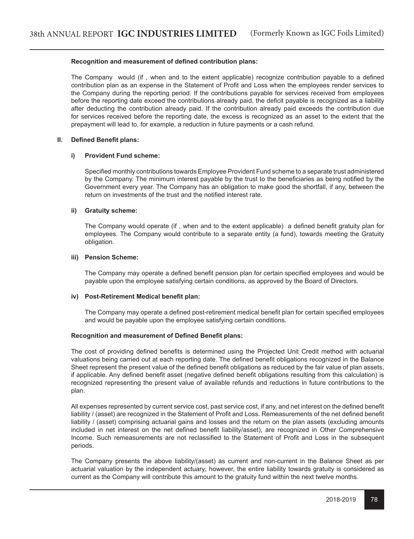### **Recognition and measurement of defined contribution plans:**

The Company would (if , when and to the extent applicable) recognize contribution payable to a defined contribution plan as an expense in the Statement of Profit and Loss when the employees render services to the Company during the reporting period. If the contributions payable for services received from employees before the reporting date exceed the contributions already paid, the deficit payable is recognized as a liability after deducting the contribution already paid. If the contribution already paid exceeds the contribution due for services received before the reporting date, the excess is recognized as an asset to the extent that the prepayment will lead to, for example, a reduction in future payments or a cash refund.

#### **II. Defined Benefit plans:**

## **i) Provident Fund scheme:**

Specified monthly contributions towards Employee Provident Fund scheme to a separate trust administered by the Company. The minimum interest payable by the trust to the beneficiaries as being notified by the Government every year. The Company has an obligation to make good the shortfall, if any, between the return on investments of the trust and the notified interest rate.

## **ii) Gratuity scheme:**

The Company would operate (if , when and to the extent applicable) a defined benefit gratuity plan for employees. The Company would contribute to a separate entity (a fund), towards meeting the Gratuity obligation.

# **iii) Pension Scheme:**

The Company may operate a defined benefit pension plan for certain specified employees and would be payable upon the employee satisfying certain conditions, as approved by the Board of Directors.

# **iv) Post-Retirement Medical benefit plan:**

The Company may operate a defined post-retirement medical benefit plan for certain specified employees and would be payable upon the employee satisfying certain conditions.

#### **Recognition and measurement of Defined Benefit plans:**

The cost of providing defined benefits is determined using the Projected Unit Credit method with actuarial valuations being carried out at each reporting date. The defined benefit obligations recognized in the Balance Sheet represent the present value of the defined benefit obligations as reduced by the fair value of plan assets, if applicable. Any defined benefit asset (negative defined benefit obligations resulting from this calculation) is recognized representing the present value of available refunds and reductions in future contributions to the plan.

All expenses represented by current service cost, past service cost, if any, and net interest on the defined benefit liability / (asset) are recognized in the Statement of Profit and Loss. Remeasurements of the net defined benefit liability / (asset) comprising actuarial gains and losses and the return on the plan assets (excluding amounts included in net interest on the net defined benefit liability/asset), are recognized in Other Comprehensive Income. Such remeasurements are not reclassified to the Statement of Profit and Loss in the subsequent periods.

The Company presents the above liability/(asset) as current and non-current in the Balance Sheet as per actuarial valuation by the independent actuary; however, the entire liability towards gratuity is considered as current as the Company will contribute this amount to the gratuity fund within the next twelve months.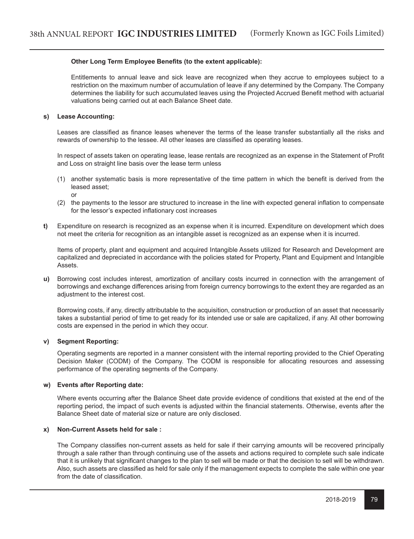# **Other Long Term Employee Benefits (to the extent applicable):**

Entitlements to annual leave and sick leave are recognized when they accrue to employees subject to a restriction on the maximum number of accumulation of leave if any determined by the Company. The Company determines the liability for such accumulated leaves using the Projected Accrued Benefit method with actuarial valuations being carried out at each Balance Sheet date.

### **s) Lease Accounting:**

Leases are classified as finance leases whenever the terms of the lease transfer substantially all the risks and rewards of ownership to the lessee. All other leases are classified as operating leases.

In respect of assets taken on operating lease, lease rentals are recognized as an expense in the Statement of Profit and Loss on straight line basis over the lease term unless

- (1) another systematic basis is more representative of the time pattern in which the benefit is derived from the leased asset; or
- (2) the payments to the lessor are structured to increase in the line with expected general inflation to compensate for the lessor's expected inflationary cost increases
- **t)** Expenditure on research is recognized as an expense when it is incurred. Expenditure on development which does not meet the criteria for recognition as an intangible asset is recognized as an expense when it is incurred.

Items of property, plant and equipment and acquired Intangible Assets utilized for Research and Development are capitalized and depreciated in accordance with the policies stated for Property, Plant and Equipment and Intangible Assets.

**u)** Borrowing cost includes interest, amortization of ancillary costs incurred in connection with the arrangement of borrowings and exchange differences arising from foreign currency borrowings to the extent they are regarded as an adjustment to the interest cost.

Borrowing costs, if any, directly attributable to the acquisition, construction or production of an asset that necessarily takes a substantial period of time to get ready for its intended use or sale are capitalized, if any. All other borrowing costs are expensed in the period in which they occur.

#### **v) Segment Reporting:**

Operating segments are reported in a manner consistent with the internal reporting provided to the Chief Operating Decision Maker (CODM) of the Company. The CODM is responsible for allocating resources and assessing performance of the operating segments of the Company.

#### **w) Events after Reporting date:**

Where events occurring after the Balance Sheet date provide evidence of conditions that existed at the end of the reporting period, the impact of such events is adjusted within the financial statements. Otherwise, events after the Balance Sheet date of material size or nature are only disclosed.

### **x) Non-Current Assets held for sale :**

The Company classifies non-current assets as held for sale if their carrying amounts will be recovered principally through a sale rather than through continuing use of the assets and actions required to complete such sale indicate that it is unlikely that significant changes to the plan to sell will be made or that the decision to sell will be withdrawn. Also, such assets are classified as held for sale only if the management expects to complete the sale within one year from the date of classification.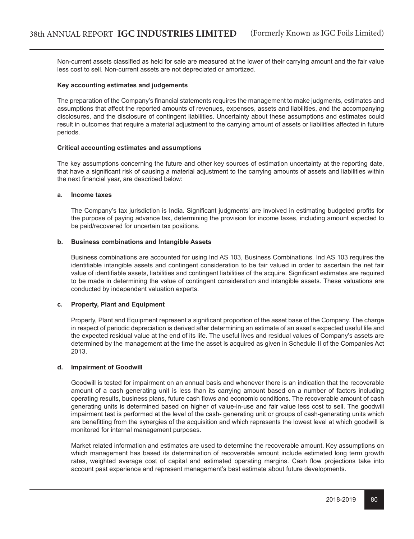Non-current assets classified as held for sale are measured at the lower of their carrying amount and the fair value less cost to sell. Non-current assets are not depreciated or amortized.

### **Key accounting estimates and judgements**

The preparation of the Company's financial statements requires the management to make judgments, estimates and assumptions that affect the reported amounts of revenues, expenses, assets and liabilities, and the accompanying disclosures, and the disclosure of contingent liabilities. Uncertainty about these assumptions and estimates could result in outcomes that require a material adjustment to the carrying amount of assets or liabilities affected in future periods.

## **Critical accounting estimates and assumptions**

The key assumptions concerning the future and other key sources of estimation uncertainty at the reporting date, that have a significant risk of causing a material adjustment to the carrying amounts of assets and liabilities within the next financial year, are described below:

## **a. Income taxes**

The Company's tax jurisdiction is India. Significant judgments' are involved in estimating budgeted profits for the purpose of paying advance tax, determining the provision for income taxes, including amount expected to be paid/recovered for uncertain tax positions.

## **b. Business combinations and Intangible Assets**

Business combinations are accounted for using Ind AS 103, Business Combinations. Ind AS 103 requires the identifiable intangible assets and contingent consideration to be fair valued in order to ascertain the net fair value of identifiable assets, liabilities and contingent liabilities of the acquire. Significant estimates are required to be made in determining the value of contingent consideration and intangible assets. These valuations are conducted by independent valuation experts.

# **c. Property, Plant and Equipment**

Property, Plant and Equipment represent a significant proportion of the asset base of the Company. The charge in respect of periodic depreciation is derived after determining an estimate of an asset's expected useful life and the expected residual value at the end of its life. The useful lives and residual values of Company's assets are determined by the management at the time the asset is acquired as given in Schedule II of the Companies Act 2013.

# **d. Impairment of Goodwill**

Goodwill is tested for impairment on an annual basis and whenever there is an indication that the recoverable amount of a cash generating unit is less than its carrying amount based on a number of factors including operating results, business plans, future cash flows and economic conditions. The recoverable amount of cash generating units is determined based on higher of value-in-use and fair value less cost to sell. The goodwill impairment test is performed at the level of the cash- generating unit or groups of cash-generating units which are benefitting from the synergies of the acquisition and which represents the lowest level at which goodwill is monitored for internal management purposes.

Market related information and estimates are used to determine the recoverable amount. Key assumptions on which management has based its determination of recoverable amount include estimated long term growth rates, weighted average cost of capital and estimated operating margins. Cash flow projections take into account past experience and represent management's best estimate about future developments.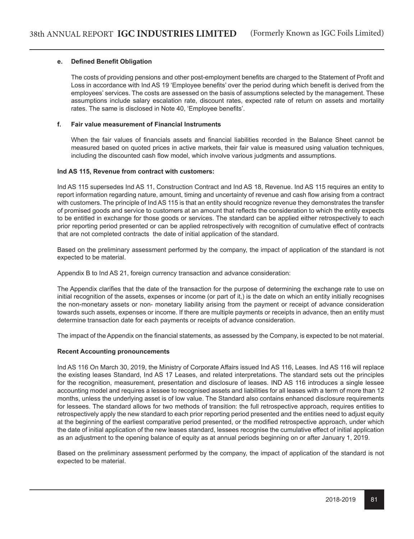# **e. Defined Benefit Obligation**

The costs of providing pensions and other post-employment benefits are charged to the Statement of Profit and Loss in accordance with Ind AS 19 'Employee benefits' over the period during which benefit is derived from the employees' services. The costs are assessed on the basis of assumptions selected by the management. These assumptions include salary escalation rate, discount rates, expected rate of return on assets and mortality rates. The same is disclosed in Note 40, 'Employee benefits'.

# **f. Fair value measurement of Financial Instruments**

When the fair values of financials assets and financial liabilities recorded in the Balance Sheet cannot be measured based on quoted prices in active markets, their fair value is measured using valuation techniques, including the discounted cash flow model, which involve various judgments and assumptions.

## **Ind AS 115, Revenue from contract with customers:**

Ind AS 115 supersedes Ind AS 11, Construction Contract and Ind AS 18, Revenue. Ind AS 115 requires an entity to report information regarding nature, amount, timing and uncertainty of revenue and cash flow arising from a contract with customers. The principle of Ind AS 115 is that an entity should recognize revenue they demonstrates the transfer of promised goods and service to customers at an amount that reflects the consideration to which the entity expects to be entitled in exchange for those goods or services. The standard can be applied either retrospectively to each prior reporting period presented or can be applied retrospectively with recognition of cumulative effect of contracts that are not completed contracts the date of initial application of the standard.

Based on the preliminary assessment performed by the company, the impact of application of the standard is not expected to be material.

Appendix B to Ind AS 21, foreign currency transaction and advance consideration:

The Appendix clarifies that the date of the transaction for the purpose of determining the exchange rate to use on initial recognition of the assets, expenses or income (or part of it,) is the date on which an entity initially recognises the non-monetary assets or non- monetary liability arising from the payment or receipt of advance consideration towards such assets, expenses or income. If there are multiple payments or receipts in advance, then an entity must determine transaction date for each payments or receipts of advance consideration.

The impact of the Appendix on the financial statements, as assessed by the Company, is expected to be not material.

# **Recent Accounting pronouncements**

Ind AS 116 On March 30, 2019, the Ministry of Corporate Affairs issued Ind AS 116, Leases. Ind AS 116 will replace the existing leases Standard, Ind AS 17 Leases, and related interpretations. The standard sets out the principles for the recognition, measurement, presentation and disclosure of leases. IND AS 116 introduces a single lessee accounting model and requires a lessee to recognised assets and liabilities for all leases with a term of more than 12 months, unless the underlying asset is of low value. The Standard also contains enhanced disclosure requirements for lessees. The standard allows for two methods of transition: the full retrospective approach, requires entities to retrospectively apply the new standard to each prior reporting period presented and the entities need to adjust equity at the beginning of the earliest comparative period presented, or the modified retrospective approach, under which the date of initial application of the new leases standard, lessees recognise the cumulative effect of initial application as an adjustment to the opening balance of equity as at annual periods beginning on or after January 1, 2019.

Based on the preliminary assessment performed by the company, the impact of application of the standard is not expected to be material.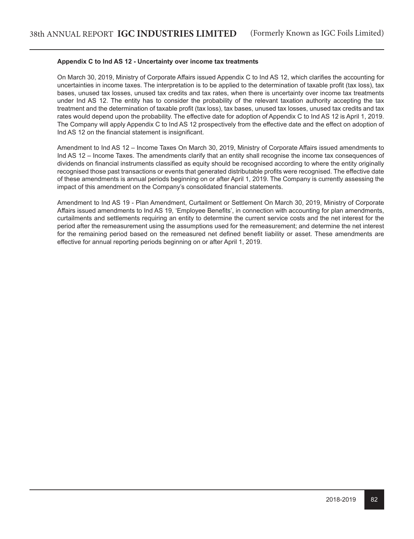# **Appendix C to Ind AS 12 - Uncertainty over income tax treatments**

On March 30, 2019, Ministry of Corporate Affairs issued Appendix C to Ind AS 12, which clarifies the accounting for uncertainties in income taxes. The interpretation is to be applied to the determination of taxable profit (tax loss), tax bases, unused tax losses, unused tax credits and tax rates, when there is uncertainty over income tax treatments under Ind AS 12. The entity has to consider the probability of the relevant taxation authority accepting the tax treatment and the determination of taxable profit (tax loss), tax bases, unused tax losses, unused tax credits and tax rates would depend upon the probability. The effective date for adoption of Appendix C to Ind AS 12 is April 1, 2019. The Company will apply Appendix C to Ind AS 12 prospectively from the effective date and the effect on adoption of Ind AS 12 on the financial statement is insignificant.

Amendment to Ind AS 12 – Income Taxes On March 30, 2019, Ministry of Corporate Affairs issued amendments to Ind AS 12 – Income Taxes. The amendments clarify that an entity shall recognise the income tax consequences of dividends on financial instruments classified as equity should be recognised according to where the entity originally recognised those past transactions or events that generated distributable profits were recognised. The effective date of these amendments is annual periods beginning on or after April 1, 2019. The Company is currently assessing the impact of this amendment on the Company's consolidated financial statements.

Amendment to Ind AS 19 - Plan Amendment, Curtailment or Settlement On March 30, 2019, Ministry of Corporate Affairs issued amendments to Ind AS 19, 'Employee Benefits', in connection with accounting for plan amendments, curtailments and settlements requiring an entity to determine the current service costs and the net interest for the period after the remeasurement using the assumptions used for the remeasurement; and determine the net interest for the remaining period based on the remeasured net defined benefit liability or asset. These amendments are effective for annual reporting periods beginning on or after April 1, 2019.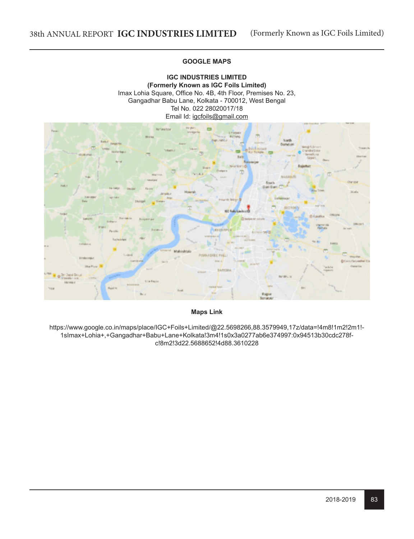# **GOOGLE MAPS**

**IGC INDUSTRIES LIMITED (Formerly Known as IGC Foils Limited)** Imax Lohia Square, Office No. 4B, 4th Floor, Premises No. 23, Gangadhar Babu Lane, Kolkata - 700012, West Bengal Tel No. 022 28020017/18 Email Id: igcfoils@gmail.com



**Maps Link**

https://www.google.co.in/maps/place/IGC+Foils+Limited/@22.5698266,88.3579949,17z/data=!4m8!1m2!2m1!- 1sImax+Lohia+,+Gangadhar+Babu+Lane+Kolkata!3m4!1s0x3a0277ab6e374997:0x94513b30cdc278fc!8m2!3d22.5688652!4d88.3610228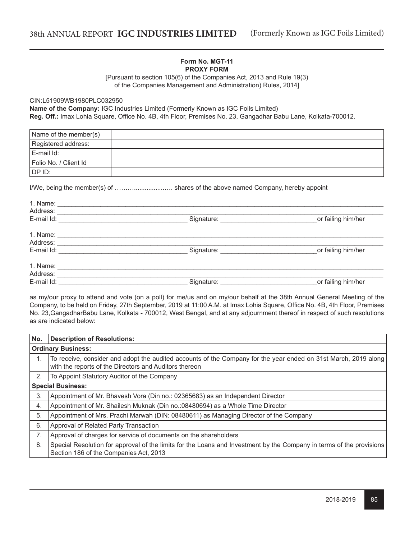# **Form No. MGT-11 PROXY FORM**

[Pursuant to section 105(6) of the Companies Act, 2013 and Rule 19(3) of the Companies Management and Administration) Rules, 2014]

CIN:L51909WB1980PLC032950

**Name of the Company:** IGC Industries Limited (Formerly Known as IGC Foils Limited) **Reg. Off.:** Imax Lohia Square, Office No. 4B, 4th Floor, Premises No. 23, Gangadhar Babu Lane, Kolkata-700012.

| Name of the member(s) |  |
|-----------------------|--|
| Registered address:   |  |
| E-mail Id:            |  |
| Folio No. / Client Id |  |
| DP ID:                |  |

I/We, being the member(s) of ……….................…. shares of the above named Company, hereby appoint

| Address:               |                                        |                    |
|------------------------|----------------------------------------|--------------------|
|                        | Signature: ___________________________ | or failing him/her |
|                        |                                        |                    |
|                        |                                        |                    |
|                        | Signature: __________________________  | or failing him/her |
| 1. Name: _____________ |                                        |                    |
| Address:               |                                        |                    |
| E-mail Id:             | Signature:                             | or failing him/her |

as my/our proxy to attend and vote (on a poll) for me/us and on my/our behalf at the 38th Annual General Meeting of the Company, to be held on Friday, 27th September, 2019 at 11:00 A.M. at Imax Lohia Square, Office No. 4B, 4th Floor, Premises No. 23,GangadharBabu Lane, Kolkata - 700012, West Bengal, and at any adjournment thereof in respect of such resolutions as are indicated below:

| No.            | <b>Description of Resolutions:</b>                                                                                                                                        |  |  |  |
|----------------|---------------------------------------------------------------------------------------------------------------------------------------------------------------------------|--|--|--|
|                | <b>Ordinary Business:</b>                                                                                                                                                 |  |  |  |
| $\mathbf{1}$ . | To receive, consider and adopt the audited accounts of the Company for the year ended on 31st March, 2019 along<br>with the reports of the Directors and Auditors thereon |  |  |  |
| 2.             | To Appoint Statutory Auditor of the Company                                                                                                                               |  |  |  |
|                | <b>Special Business:</b>                                                                                                                                                  |  |  |  |
| 3.             | Appointment of Mr. Bhavesh Vora (Din no.: 02365683) as an Independent Director                                                                                            |  |  |  |
| 4.             | Appointment of Mr. Shailesh Muknak (Din no.:08480694) as a Whole Time Director                                                                                            |  |  |  |
| 5.             | Appointment of Mrs. Prachi Marwah (DIN: 08480611) as Managing Director of the Company                                                                                     |  |  |  |
| 6.             | Approval of Related Party Transaction                                                                                                                                     |  |  |  |
| 7.             | Approval of charges for service of documents on the shareholders                                                                                                          |  |  |  |
| 8.             | Special Resolution for approval of the limits for the Loans and Investment by the Company in terms of the provisions<br>Section 186 of the Companies Act, 2013            |  |  |  |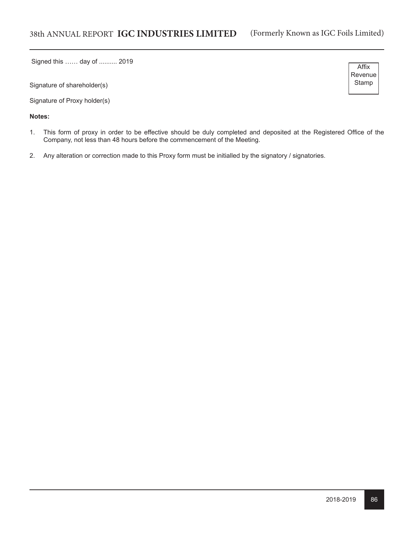Signed this …… day of .......... 2019

Signature of shareholder(s)

Signature of Proxy holder(s)

# **Notes:**

- 1. This form of proxy in order to be effective should be duly completed and deposited at the Registered Office of the Company, not less than 48 hours before the commencement of the Meeting.
- 2. Any alteration or correction made to this Proxy form must be initialled by the signatory / signatories.

Affix Revenue **Stamp**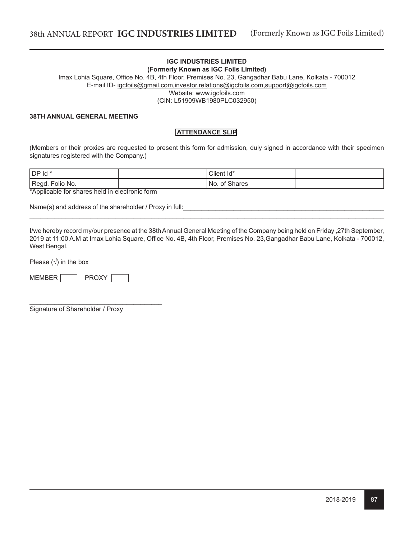### **IGC INDUSTRIES LIMITED (Formerly Known as IGC Foils Limited)**

Imax Lohia Square, Office No. 4B, 4th Floor, Premises No. 23, Gangadhar Babu Lane, Kolkata - 700012 E-mail ID- igcfoils@gmail.com,investor.relations@igcfoils.com,support@igcfoils.com Website: www.igcfoils.com (CIN: L51909WB1980PLC032950)

# **38TH ANNUAL GENERAL MEETING**

# **ATTENDANCE SLIP**

(Members or their proxies are requested to present this form for admission, duly signed in accordance with their specimen signatures registered with the Company.)

| DPId*                                                                                                     | Client Id*           |  |
|-----------------------------------------------------------------------------------------------------------|----------------------|--|
| Regd.<br>Folio No.<br>* A second contact on Concern to a contact of the contact of the contact of Concern | Shares<br>'No.<br>0t |  |

\*Applicable for shares held in electronic form

Name(s) and address of the shareholder / Proxy in full: \_\_\_\_\_\_\_\_\_\_\_\_\_\_\_\_\_\_\_\_\_\_\_\_

I/we hereby record my/our presence at the 38th Annual General Meeting of the Company being held on Friday ,27th September, 2019 at 11:00 A.M at Imax Lohia Square, Office No. 4B, 4th Floor, Premises No. 23,Gangadhar Babu Lane, Kolkata - 700012, West Bengal.

 $\_$  , and the state of the state of the state of the state of the state of the state of the state of the state of the state of the state of the state of the state of the state of the state of the state of the state of the

Please  $(\sqrt{})$  in the box

| <b>MEMBER</b> |  | <b>PROXY</b> |  |  |
|---------------|--|--------------|--|--|
|---------------|--|--------------|--|--|

\_\_\_\_\_\_\_\_\_\_\_\_\_\_\_\_\_\_\_\_\_\_\_\_\_\_\_\_\_\_\_\_\_\_\_\_\_

Signature of Shareholder / Proxy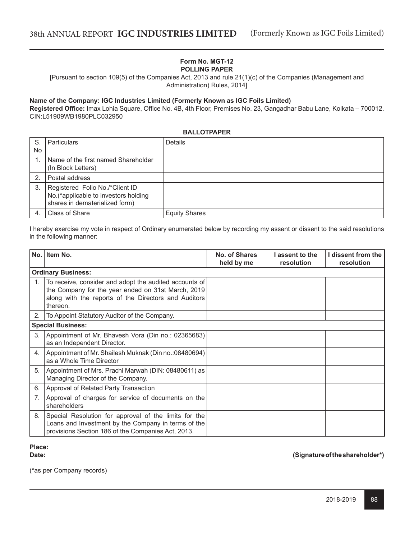## **Form No. MGT-12 POLLING PAPER**

[Pursuant to section 109(5) of the Companies Act, 2013 and rule 21(1)(c) of the Companies (Management and Administration) Rules, 2014]

# **Name of the Company: IGC Industries Limited (Formerly Known as IGC Foils Limited)**

**Registered Office:** Imax Lohia Square, Office No. 4B, 4th Floor, Premises No. 23, Gangadhar Babu Lane, Kolkata – 700012. CIN:L51909WB1980PLC032950

# **BALLOTPAPER**

| S<br>No. | <b>Particulars</b>                                                                                        | <b>Details</b>       |
|----------|-----------------------------------------------------------------------------------------------------------|----------------------|
|          | Name of the first named Shareholder<br>(In Block Letters)                                                 |                      |
| 2.       | Postal address                                                                                            |                      |
| 3.       | Registered Folio No./*Client ID<br>No.(*applicable to investors holding<br>shares in dematerialized form) |                      |
|          | Class of Share                                                                                            | <b>Equity Shares</b> |

I hereby exercise my vote in respect of Ordinary enumerated below by recording my assent or dissent to the said resolutions in the following manner:

|    | No. Item No.                                                                                                                                                                     | No. of Shares<br>held by me | I assent to the<br>resolution | I dissent from the<br>resolution |
|----|----------------------------------------------------------------------------------------------------------------------------------------------------------------------------------|-----------------------------|-------------------------------|----------------------------------|
|    | <b>Ordinary Business:</b>                                                                                                                                                        |                             |                               |                                  |
|    | To receive, consider and adopt the audited accounts of<br>the Company for the year ended on 31st March, 2019<br>along with the reports of the Directors and Auditors<br>thereon. |                             |                               |                                  |
| 2. | To Appoint Statutory Auditor of the Company.                                                                                                                                     |                             |                               |                                  |
|    | <b>Special Business:</b>                                                                                                                                                         |                             |                               |                                  |
| 3. | Appointment of Mr. Bhavesh Vora (Din no.: 02365683)<br>as an Independent Director.                                                                                               |                             |                               |                                  |
| 4. | Appointment of Mr. Shailesh Muknak (Din no.: 08480694)<br>as a Whole Time Director                                                                                               |                             |                               |                                  |
| 5. | Appointment of Mrs. Prachi Marwah (DIN: 08480611) as<br>Managing Director of the Company.                                                                                        |                             |                               |                                  |
| 6. | Approval of Related Party Transaction                                                                                                                                            |                             |                               |                                  |
| 7. | Approval of charges for service of documents on the<br>shareholders                                                                                                              |                             |                               |                                  |
| 8. | Special Resolution for approval of the limits for the<br>Loans and Investment by the Company in terms of the<br>provisions Section 186 of the Companies Act, 2013.               |                             |                               |                                  |

# **Place:**

Date: **Constanting Constanting Constanting Constanting Constanting Constanting Constanting Constanting Constanting Constanting Constanting Constanting Constanting Constanting Constanting Constanting Constanting Constanting** 

(\*as per Company records)